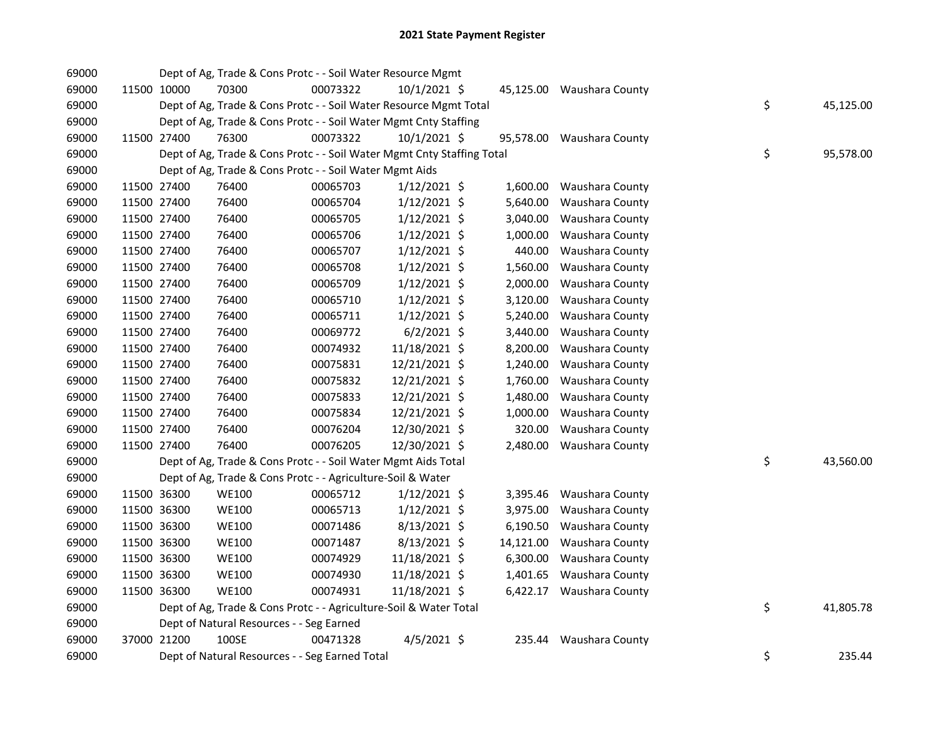| 69000 |             | Dept of Ag, Trade & Cons Protc - - Soil Water Resource Mgmt            |          |                |           |                           |    |           |
|-------|-------------|------------------------------------------------------------------------|----------|----------------|-----------|---------------------------|----|-----------|
| 69000 | 11500 10000 | 70300                                                                  | 00073322 | $10/1/2021$ \$ |           | 45,125.00 Waushara County |    |           |
| 69000 |             | Dept of Ag, Trade & Cons Protc - - Soil Water Resource Mgmt Total      |          |                |           |                           | \$ | 45,125.00 |
| 69000 |             | Dept of Ag, Trade & Cons Protc - - Soil Water Mgmt Cnty Staffing       |          |                |           |                           |    |           |
| 69000 | 11500 27400 | 76300                                                                  | 00073322 | $10/1/2021$ \$ |           | 95,578.00 Waushara County |    |           |
| 69000 |             | Dept of Ag, Trade & Cons Protc - - Soil Water Mgmt Cnty Staffing Total |          |                |           |                           | \$ | 95,578.00 |
| 69000 |             | Dept of Ag, Trade & Cons Protc - - Soil Water Mgmt Aids                |          |                |           |                           |    |           |
| 69000 | 11500 27400 | 76400                                                                  | 00065703 | $1/12/2021$ \$ |           | 1,600.00 Waushara County  |    |           |
| 69000 | 11500 27400 | 76400                                                                  | 00065704 | $1/12/2021$ \$ | 5,640.00  | Waushara County           |    |           |
| 69000 | 11500 27400 | 76400                                                                  | 00065705 | $1/12/2021$ \$ | 3,040.00  | Waushara County           |    |           |
| 69000 | 11500 27400 | 76400                                                                  | 00065706 | $1/12/2021$ \$ | 1,000.00  | Waushara County           |    |           |
| 69000 | 11500 27400 | 76400                                                                  | 00065707 | $1/12/2021$ \$ | 440.00    | Waushara County           |    |           |
| 69000 | 11500 27400 | 76400                                                                  | 00065708 | $1/12/2021$ \$ | 1,560.00  | Waushara County           |    |           |
| 69000 | 11500 27400 | 76400                                                                  | 00065709 | $1/12/2021$ \$ | 2,000.00  | Waushara County           |    |           |
| 69000 | 11500 27400 | 76400                                                                  | 00065710 | $1/12/2021$ \$ | 3,120.00  | Waushara County           |    |           |
| 69000 | 11500 27400 | 76400                                                                  | 00065711 | $1/12/2021$ \$ | 5,240.00  | Waushara County           |    |           |
| 69000 | 11500 27400 | 76400                                                                  | 00069772 | $6/2/2021$ \$  | 3,440.00  | Waushara County           |    |           |
| 69000 | 11500 27400 | 76400                                                                  | 00074932 | 11/18/2021 \$  | 8,200.00  | Waushara County           |    |           |
| 69000 | 11500 27400 | 76400                                                                  | 00075831 | 12/21/2021 \$  | 1,240.00  | Waushara County           |    |           |
| 69000 | 11500 27400 | 76400                                                                  | 00075832 | 12/21/2021 \$  | 1,760.00  | Waushara County           |    |           |
| 69000 | 11500 27400 | 76400                                                                  | 00075833 | 12/21/2021 \$  | 1,480.00  | Waushara County           |    |           |
| 69000 | 11500 27400 | 76400                                                                  | 00075834 | 12/21/2021 \$  | 1,000.00  | Waushara County           |    |           |
| 69000 | 11500 27400 | 76400                                                                  | 00076204 | 12/30/2021 \$  | 320.00    | Waushara County           |    |           |
| 69000 | 11500 27400 | 76400                                                                  | 00076205 | 12/30/2021 \$  |           | 2,480.00 Waushara County  |    |           |
| 69000 |             | Dept of Ag, Trade & Cons Protc - - Soil Water Mgmt Aids Total          |          |                |           |                           | \$ | 43,560.00 |
| 69000 |             | Dept of Ag, Trade & Cons Protc - - Agriculture-Soil & Water            |          |                |           |                           |    |           |
| 69000 | 11500 36300 | <b>WE100</b>                                                           | 00065712 | $1/12/2021$ \$ |           | 3,395.46 Waushara County  |    |           |
| 69000 | 11500 36300 | WE100                                                                  | 00065713 | $1/12/2021$ \$ | 3,975.00  | Waushara County           |    |           |
| 69000 | 11500 36300 | <b>WE100</b>                                                           | 00071486 | $8/13/2021$ \$ | 6,190.50  | Waushara County           |    |           |
| 69000 | 11500 36300 | <b>WE100</b>                                                           | 00071487 | $8/13/2021$ \$ | 14,121.00 | Waushara County           |    |           |
| 69000 | 11500 36300 | <b>WE100</b>                                                           | 00074929 | 11/18/2021 \$  | 6,300.00  | Waushara County           |    |           |
| 69000 | 11500 36300 | <b>WE100</b>                                                           | 00074930 | 11/18/2021 \$  |           | 1,401.65 Waushara County  |    |           |
| 69000 | 11500 36300 | <b>WE100</b>                                                           | 00074931 | 11/18/2021 \$  |           | 6,422.17 Waushara County  |    |           |
| 69000 |             | Dept of Ag, Trade & Cons Protc - - Agriculture-Soil & Water Total      |          |                |           |                           | \$ | 41,805.78 |
| 69000 |             | Dept of Natural Resources - - Seg Earned                               |          |                |           |                           |    |           |
| 69000 | 37000 21200 | 100SE                                                                  | 00471328 | $4/5/2021$ \$  |           | 235.44 Waushara County    |    |           |
| 69000 |             | Dept of Natural Resources - - Seg Earned Total                         |          |                |           |                           | \$ | 235.44    |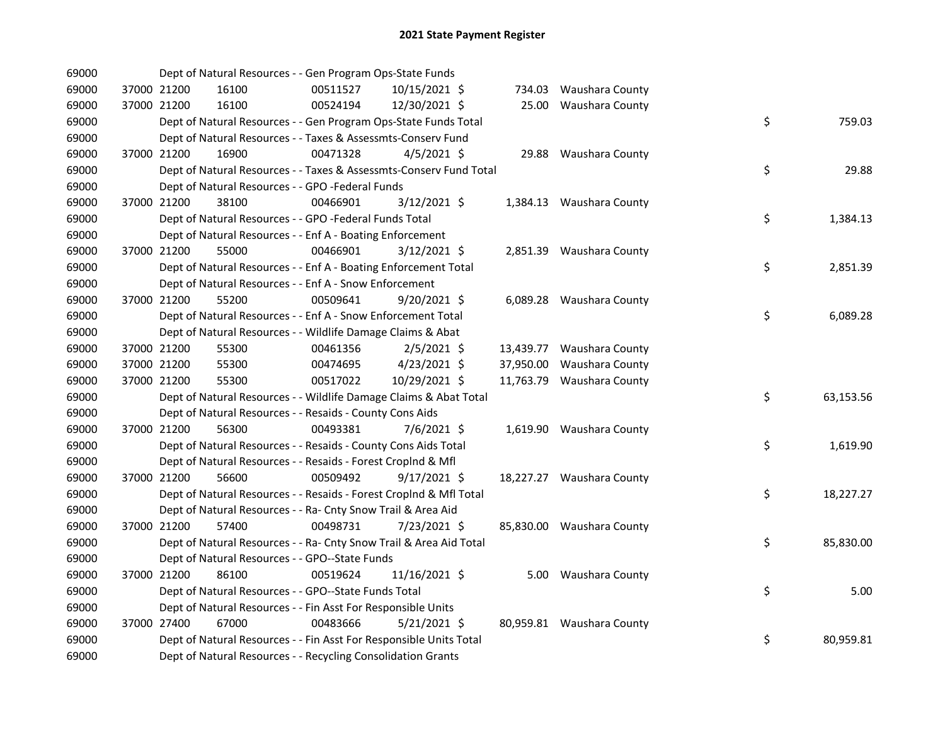| 69000 |             |             | Dept of Natural Resources - - Gen Program Ops-State Funds          |          |                |  |                           |    |           |
|-------|-------------|-------------|--------------------------------------------------------------------|----------|----------------|--|---------------------------|----|-----------|
| 69000 |             | 37000 21200 | 16100                                                              | 00511527 | 10/15/2021 \$  |  | 734.03 Waushara County    |    |           |
| 69000 |             | 37000 21200 | 16100                                                              | 00524194 | 12/30/2021 \$  |  | 25.00 Waushara County     |    |           |
| 69000 |             |             | Dept of Natural Resources - - Gen Program Ops-State Funds Total    |          |                |  |                           | \$ | 759.03    |
| 69000 |             |             | Dept of Natural Resources - - Taxes & Assessmts-Conserv Fund       |          |                |  |                           |    |           |
| 69000 |             | 37000 21200 | 16900                                                              | 00471328 | $4/5/2021$ \$  |  | 29.88 Waushara County     |    |           |
| 69000 |             |             | Dept of Natural Resources - - Taxes & Assessmts-Conserv Fund Total |          |                |  |                           | \$ | 29.88     |
| 69000 |             |             | Dept of Natural Resources - - GPO -Federal Funds                   |          |                |  |                           |    |           |
| 69000 |             | 37000 21200 | 38100                                                              | 00466901 | $3/12/2021$ \$ |  | 1,384.13 Waushara County  |    |           |
| 69000 |             |             | Dept of Natural Resources - - GPO -Federal Funds Total             |          |                |  |                           | \$ | 1,384.13  |
| 69000 |             |             | Dept of Natural Resources - - Enf A - Boating Enforcement          |          |                |  |                           |    |           |
| 69000 | 37000 21200 |             | 55000                                                              | 00466901 | $3/12/2021$ \$ |  | 2,851.39 Waushara County  |    |           |
| 69000 |             |             | Dept of Natural Resources - - Enf A - Boating Enforcement Total    |          |                |  |                           | \$ | 2,851.39  |
| 69000 |             |             | Dept of Natural Resources - - Enf A - Snow Enforcement             |          |                |  |                           |    |           |
| 69000 | 37000 21200 |             | 55200                                                              | 00509641 | $9/20/2021$ \$ |  | 6,089.28 Waushara County  |    |           |
| 69000 |             |             | Dept of Natural Resources - - Enf A - Snow Enforcement Total       |          |                |  |                           | \$ | 6,089.28  |
| 69000 |             |             | Dept of Natural Resources - - Wildlife Damage Claims & Abat        |          |                |  |                           |    |           |
| 69000 |             | 37000 21200 | 55300                                                              | 00461356 | $2/5/2021$ \$  |  | 13,439.77 Waushara County |    |           |
| 69000 |             | 37000 21200 | 55300                                                              | 00474695 | 4/23/2021 \$   |  | 37,950.00 Waushara County |    |           |
| 69000 | 37000 21200 |             | 55300                                                              | 00517022 | 10/29/2021 \$  |  | 11,763.79 Waushara County |    |           |
| 69000 |             |             | Dept of Natural Resources - - Wildlife Damage Claims & Abat Total  |          |                |  |                           | \$ | 63,153.56 |
| 69000 |             |             | Dept of Natural Resources - - Resaids - County Cons Aids           |          |                |  |                           |    |           |
| 69000 |             | 37000 21200 | 56300                                                              | 00493381 | 7/6/2021 \$    |  | 1,619.90 Waushara County  |    |           |
| 69000 |             |             | Dept of Natural Resources - - Resaids - County Cons Aids Total     |          |                |  |                           | \$ | 1,619.90  |
| 69000 |             |             | Dept of Natural Resources - - Resaids - Forest Croplnd & Mfl       |          |                |  |                           |    |           |
| 69000 |             | 37000 21200 | 56600                                                              | 00509492 | $9/17/2021$ \$ |  | 18,227.27 Waushara County |    |           |
| 69000 |             |             | Dept of Natural Resources - - Resaids - Forest CropInd & Mfl Total |          |                |  |                           | \$ | 18,227.27 |
| 69000 |             |             | Dept of Natural Resources - - Ra- Cnty Snow Trail & Area Aid       |          |                |  |                           |    |           |
| 69000 |             | 37000 21200 | 57400                                                              | 00498731 | 7/23/2021 \$   |  | 85,830.00 Waushara County |    |           |
| 69000 |             |             | Dept of Natural Resources - - Ra- Cnty Snow Trail & Area Aid Total |          |                |  |                           | \$ | 85,830.00 |
| 69000 |             |             | Dept of Natural Resources - - GPO--State Funds                     |          |                |  |                           |    |           |
| 69000 |             | 37000 21200 | 86100                                                              | 00519624 | 11/16/2021 \$  |  | 5.00 Waushara County      |    |           |
| 69000 |             |             | Dept of Natural Resources - - GPO--State Funds Total               |          |                |  |                           | \$ | 5.00      |
| 69000 |             |             | Dept of Natural Resources - - Fin Asst For Responsible Units       |          |                |  |                           |    |           |
| 69000 |             | 37000 27400 | 67000                                                              | 00483666 | $5/21/2021$ \$ |  | 80,959.81 Waushara County |    |           |
| 69000 |             |             | Dept of Natural Resources - - Fin Asst For Responsible Units Total |          |                |  |                           | \$ | 80,959.81 |
| 69000 |             |             | Dept of Natural Resources - - Recycling Consolidation Grants       |          |                |  |                           |    |           |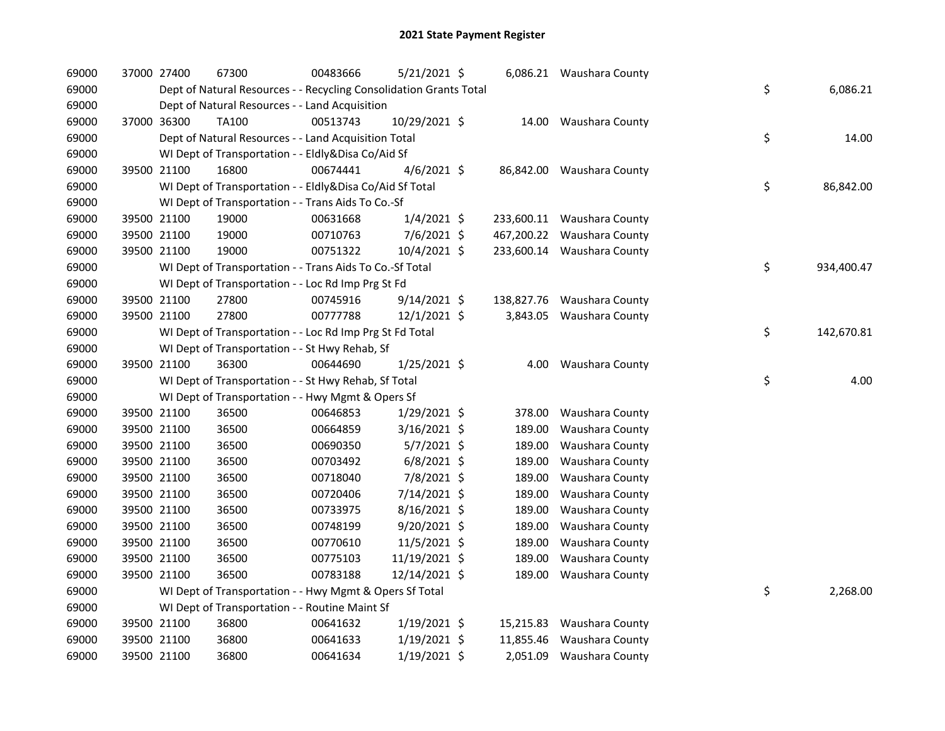| 69000 | 37000 27400 | 67300                                                              | 00483666 | 5/21/2021 \$   |           | 6,086.21 Waushara County   |    |            |
|-------|-------------|--------------------------------------------------------------------|----------|----------------|-----------|----------------------------|----|------------|
| 69000 |             | Dept of Natural Resources - - Recycling Consolidation Grants Total |          |                |           |                            | \$ | 6,086.21   |
| 69000 |             | Dept of Natural Resources - - Land Acquisition                     |          |                |           |                            |    |            |
| 69000 | 37000 36300 | TA100                                                              | 00513743 | 10/29/2021 \$  |           | 14.00 Waushara County      |    |            |
| 69000 |             | Dept of Natural Resources - - Land Acquisition Total               |          |                |           |                            | \$ | 14.00      |
| 69000 |             | WI Dept of Transportation - - Eldly&Disa Co/Aid Sf                 |          |                |           |                            |    |            |
| 69000 | 39500 21100 | 16800                                                              | 00674441 | $4/6/2021$ \$  |           | 86,842.00 Waushara County  |    |            |
| 69000 |             | WI Dept of Transportation - - Eldly&Disa Co/Aid Sf Total           |          |                |           |                            | \$ | 86,842.00  |
| 69000 |             | WI Dept of Transportation - - Trans Aids To Co.-Sf                 |          |                |           |                            |    |            |
| 69000 | 39500 21100 | 19000                                                              | 00631668 | $1/4/2021$ \$  |           | 233,600.11 Waushara County |    |            |
| 69000 | 39500 21100 | 19000                                                              | 00710763 | 7/6/2021 \$    |           | 467,200.22 Waushara County |    |            |
| 69000 | 39500 21100 | 19000                                                              | 00751322 | 10/4/2021 \$   |           | 233,600.14 Waushara County |    |            |
| 69000 |             | WI Dept of Transportation - - Trans Aids To Co.-Sf Total           |          |                |           |                            | \$ | 934,400.47 |
| 69000 |             | WI Dept of Transportation - - Loc Rd Imp Prg St Fd                 |          |                |           |                            |    |            |
| 69000 | 39500 21100 | 27800                                                              | 00745916 | $9/14/2021$ \$ |           | 138,827.76 Waushara County |    |            |
| 69000 | 39500 21100 | 27800                                                              | 00777788 | $12/1/2021$ \$ |           | 3,843.05 Waushara County   |    |            |
| 69000 |             | WI Dept of Transportation - - Loc Rd Imp Prg St Fd Total           |          |                |           |                            | \$ | 142,670.81 |
| 69000 |             | WI Dept of Transportation - - St Hwy Rehab, Sf                     |          |                |           |                            |    |            |
| 69000 | 39500 21100 | 36300                                                              | 00644690 | $1/25/2021$ \$ | 4.00      | Waushara County            |    |            |
| 69000 |             | WI Dept of Transportation - - St Hwy Rehab, Sf Total               |          |                |           |                            | \$ | 4.00       |
| 69000 |             | WI Dept of Transportation - - Hwy Mgmt & Opers Sf                  |          |                |           |                            |    |            |
| 69000 | 39500 21100 | 36500                                                              | 00646853 | 1/29/2021 \$   | 378.00    | Waushara County            |    |            |
| 69000 | 39500 21100 | 36500                                                              | 00664859 | $3/16/2021$ \$ | 189.00    | Waushara County            |    |            |
| 69000 | 39500 21100 | 36500                                                              | 00690350 | $5/7/2021$ \$  | 189.00    | Waushara County            |    |            |
| 69000 | 39500 21100 | 36500                                                              | 00703492 | $6/8/2021$ \$  | 189.00    | Waushara County            |    |            |
| 69000 | 39500 21100 | 36500                                                              | 00718040 | 7/8/2021 \$    | 189.00    | Waushara County            |    |            |
| 69000 | 39500 21100 | 36500                                                              | 00720406 | 7/14/2021 \$   | 189.00    | Waushara County            |    |            |
| 69000 | 39500 21100 | 36500                                                              | 00733975 | $8/16/2021$ \$ | 189.00    | Waushara County            |    |            |
| 69000 | 39500 21100 | 36500                                                              | 00748199 | $9/20/2021$ \$ | 189.00    | Waushara County            |    |            |
| 69000 | 39500 21100 | 36500                                                              | 00770610 | 11/5/2021 \$   | 189.00    | Waushara County            |    |            |
| 69000 | 39500 21100 | 36500                                                              | 00775103 | 11/19/2021 \$  | 189.00    | Waushara County            |    |            |
| 69000 | 39500 21100 | 36500                                                              | 00783188 | 12/14/2021 \$  | 189.00    | Waushara County            |    |            |
| 69000 |             | WI Dept of Transportation - - Hwy Mgmt & Opers Sf Total            |          |                |           |                            | \$ | 2,268.00   |
| 69000 |             | WI Dept of Transportation - - Routine Maint Sf                     |          |                |           |                            |    |            |
| 69000 | 39500 21100 | 36800                                                              | 00641632 | 1/19/2021 \$   | 15,215.83 | Waushara County            |    |            |
| 69000 | 39500 21100 | 36800                                                              | 00641633 | $1/19/2021$ \$ | 11,855.46 | Waushara County            |    |            |
| 69000 | 39500 21100 | 36800                                                              | 00641634 | $1/19/2021$ \$ | 2,051.09  | Waushara County            |    |            |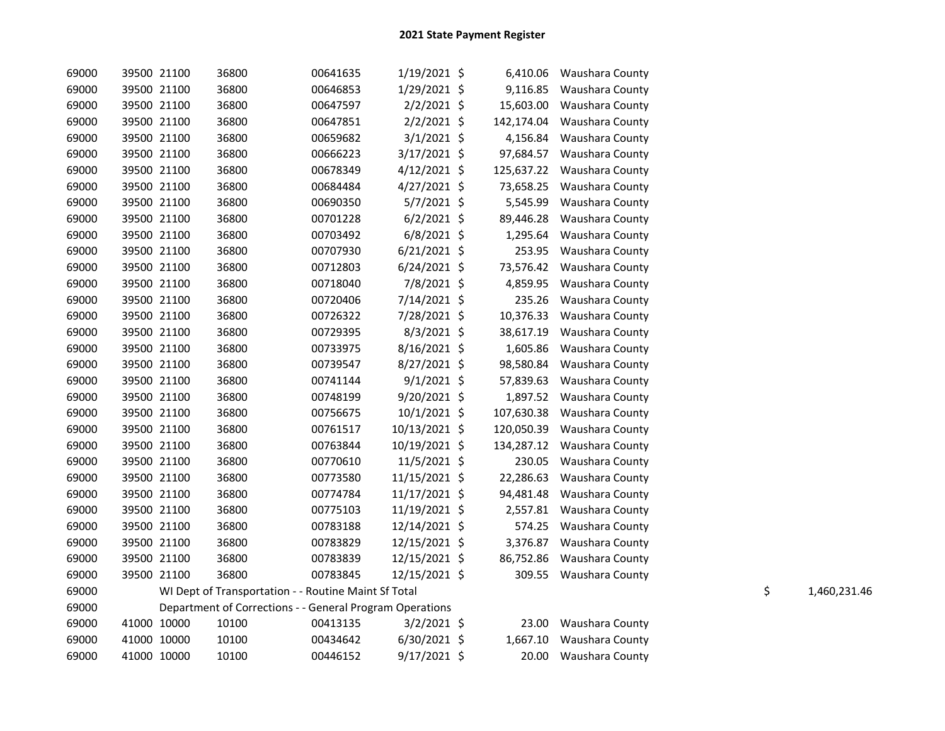| 69000 | 39500 21100 | 36800                                                    | 00641635 | 1/19/2021 \$   | 6,410.06   | <b>Waushara County</b> |    |              |
|-------|-------------|----------------------------------------------------------|----------|----------------|------------|------------------------|----|--------------|
| 69000 | 39500 21100 | 36800                                                    | 00646853 | 1/29/2021 \$   | 9,116.85   | Waushara County        |    |              |
| 69000 | 39500 21100 | 36800                                                    | 00647597 | 2/2/2021 \$    | 15,603.00  | Waushara County        |    |              |
| 69000 | 39500 21100 | 36800                                                    | 00647851 | $2/2/2021$ \$  | 142,174.04 | Waushara County        |    |              |
| 69000 | 39500 21100 | 36800                                                    | 00659682 | $3/1/2021$ \$  | 4,156.84   | Waushara County        |    |              |
| 69000 | 39500 21100 | 36800                                                    | 00666223 | 3/17/2021 \$   | 97,684.57  | Waushara County        |    |              |
| 69000 | 39500 21100 | 36800                                                    | 00678349 | $4/12/2021$ \$ | 125,637.22 | Waushara County        |    |              |
| 69000 | 39500 21100 | 36800                                                    | 00684484 | $4/27/2021$ \$ | 73,658.25  | Waushara County        |    |              |
| 69000 | 39500 21100 | 36800                                                    | 00690350 | $5/7/2021$ \$  | 5,545.99   | Waushara County        |    |              |
| 69000 | 39500 21100 | 36800                                                    | 00701228 | $6/2/2021$ \$  | 89,446.28  | Waushara County        |    |              |
| 69000 | 39500 21100 | 36800                                                    | 00703492 | $6/8/2021$ \$  | 1,295.64   | Waushara County        |    |              |
| 69000 | 39500 21100 | 36800                                                    | 00707930 | $6/21/2021$ \$ | 253.95     | Waushara County        |    |              |
| 69000 | 39500 21100 | 36800                                                    | 00712803 | $6/24/2021$ \$ | 73,576.42  | Waushara County        |    |              |
| 69000 | 39500 21100 | 36800                                                    | 00718040 | 7/8/2021 \$    | 4,859.95   | Waushara County        |    |              |
| 69000 | 39500 21100 | 36800                                                    | 00720406 | 7/14/2021 \$   | 235.26     | Waushara County        |    |              |
| 69000 | 39500 21100 | 36800                                                    | 00726322 | 7/28/2021 \$   | 10,376.33  | Waushara County        |    |              |
| 69000 | 39500 21100 | 36800                                                    | 00729395 | 8/3/2021 \$    | 38,617.19  | Waushara County        |    |              |
| 69000 | 39500 21100 | 36800                                                    | 00733975 | 8/16/2021 \$   | 1,605.86   | Waushara County        |    |              |
| 69000 | 39500 21100 | 36800                                                    | 00739547 | $8/27/2021$ \$ | 98,580.84  | Waushara County        |    |              |
| 69000 | 39500 21100 | 36800                                                    | 00741144 | $9/1/2021$ \$  | 57,839.63  | Waushara County        |    |              |
| 69000 | 39500 21100 | 36800                                                    | 00748199 | $9/20/2021$ \$ | 1,897.52   | Waushara County        |    |              |
| 69000 | 39500 21100 | 36800                                                    | 00756675 | $10/1/2021$ \$ | 107,630.38 | Waushara County        |    |              |
| 69000 | 39500 21100 | 36800                                                    | 00761517 | 10/13/2021 \$  | 120,050.39 | Waushara County        |    |              |
| 69000 | 39500 21100 | 36800                                                    | 00763844 | 10/19/2021 \$  | 134,287.12 | Waushara County        |    |              |
| 69000 | 39500 21100 | 36800                                                    | 00770610 | 11/5/2021 \$   | 230.05     | Waushara County        |    |              |
| 69000 | 39500 21100 | 36800                                                    | 00773580 | 11/15/2021 \$  | 22,286.63  | Waushara County        |    |              |
| 69000 | 39500 21100 | 36800                                                    | 00774784 | 11/17/2021 \$  | 94,481.48  | Waushara County        |    |              |
| 69000 | 39500 21100 | 36800                                                    | 00775103 | 11/19/2021 \$  | 2,557.81   | Waushara County        |    |              |
| 69000 | 39500 21100 | 36800                                                    | 00783188 | 12/14/2021 \$  | 574.25     | Waushara County        |    |              |
| 69000 | 39500 21100 | 36800                                                    | 00783829 | 12/15/2021 \$  | 3,376.87   | Waushara County        |    |              |
| 69000 | 39500 21100 | 36800                                                    | 00783839 | 12/15/2021 \$  | 86,752.86  | Waushara County        |    |              |
| 69000 | 39500 21100 | 36800                                                    | 00783845 | 12/15/2021 \$  | 309.55     | Waushara County        |    |              |
| 69000 |             | WI Dept of Transportation - - Routine Maint Sf Total     |          |                |            |                        | \$ | 1,460,231.46 |
| 69000 |             | Department of Corrections - - General Program Operations |          |                |            |                        |    |              |
| 69000 | 41000 10000 | 10100                                                    | 00413135 | $3/2/2021$ \$  | 23.00      | Waushara County        |    |              |
| 69000 | 41000 10000 | 10100                                                    | 00434642 | $6/30/2021$ \$ | 1,667.10   | Waushara County        |    |              |
| 69000 | 41000 10000 | 10100                                                    | 00446152 | 9/17/2021 \$   | 20.00      | Waushara County        |    |              |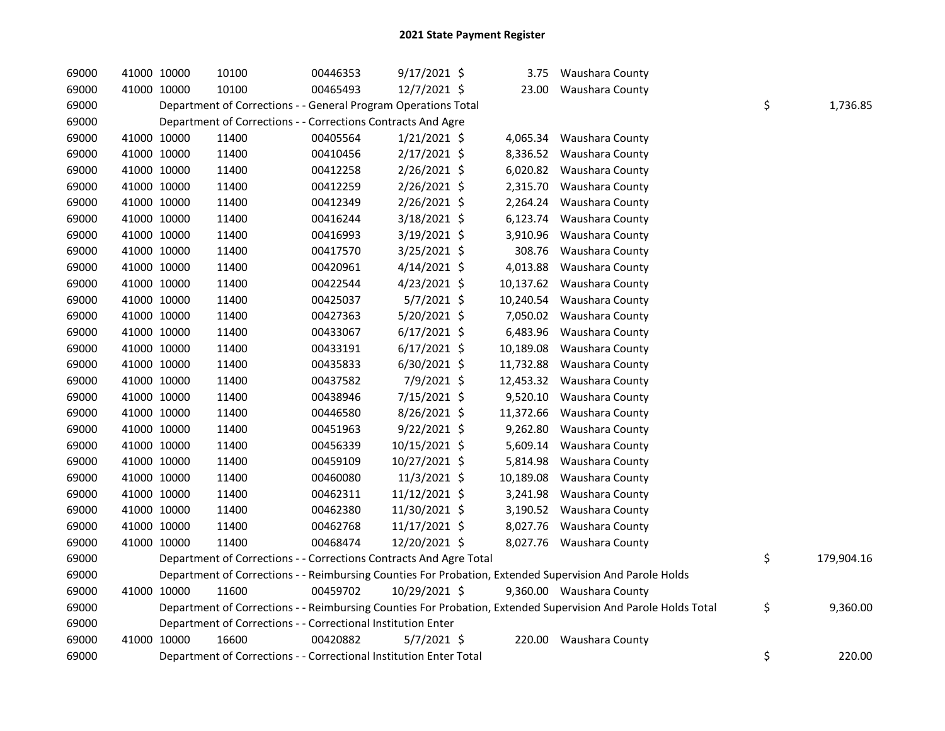| 69000 | 41000 10000 | 10100                                                              | 00446353 | $9/17/2021$ \$ | 3.75      | Waushara County                                                                                               |                  |
|-------|-------------|--------------------------------------------------------------------|----------|----------------|-----------|---------------------------------------------------------------------------------------------------------------|------------------|
| 69000 | 41000 10000 | 10100                                                              | 00465493 | 12/7/2021 \$   | 23.00     | Waushara County                                                                                               |                  |
| 69000 |             | Department of Corrections - - General Program Operations Total     |          |                |           |                                                                                                               | \$<br>1,736.85   |
| 69000 |             | Department of Corrections - - Corrections Contracts And Agre       |          |                |           |                                                                                                               |                  |
| 69000 | 41000 10000 | 11400                                                              | 00405564 | $1/21/2021$ \$ | 4,065.34  | Waushara County                                                                                               |                  |
| 69000 | 41000 10000 | 11400                                                              | 00410456 | 2/17/2021 \$   | 8,336.52  | Waushara County                                                                                               |                  |
| 69000 | 41000 10000 | 11400                                                              | 00412258 | $2/26/2021$ \$ | 6,020.82  | Waushara County                                                                                               |                  |
| 69000 | 41000 10000 | 11400                                                              | 00412259 | 2/26/2021 \$   | 2,315.70  | Waushara County                                                                                               |                  |
| 69000 | 41000 10000 | 11400                                                              | 00412349 | $2/26/2021$ \$ | 2,264.24  | Waushara County                                                                                               |                  |
| 69000 | 41000 10000 | 11400                                                              | 00416244 | 3/18/2021 \$   | 6,123.74  | Waushara County                                                                                               |                  |
| 69000 | 41000 10000 | 11400                                                              | 00416993 | 3/19/2021 \$   | 3,910.96  | Waushara County                                                                                               |                  |
| 69000 | 41000 10000 | 11400                                                              | 00417570 | $3/25/2021$ \$ | 308.76    | Waushara County                                                                                               |                  |
| 69000 | 41000 10000 | 11400                                                              | 00420961 | $4/14/2021$ \$ | 4,013.88  | Waushara County                                                                                               |                  |
| 69000 | 41000 10000 | 11400                                                              | 00422544 | 4/23/2021 \$   |           | 10,137.62 Waushara County                                                                                     |                  |
| 69000 | 41000 10000 | 11400                                                              | 00425037 | $5/7/2021$ \$  | 10,240.54 | Waushara County                                                                                               |                  |
| 69000 | 41000 10000 | 11400                                                              | 00427363 | 5/20/2021 \$   | 7,050.02  | Waushara County                                                                                               |                  |
| 69000 | 41000 10000 | 11400                                                              | 00433067 | $6/17/2021$ \$ | 6,483.96  | Waushara County                                                                                               |                  |
| 69000 | 41000 10000 | 11400                                                              | 00433191 | $6/17/2021$ \$ | 10,189.08 | Waushara County                                                                                               |                  |
| 69000 | 41000 10000 | 11400                                                              | 00435833 | $6/30/2021$ \$ | 11,732.88 | Waushara County                                                                                               |                  |
| 69000 | 41000 10000 | 11400                                                              | 00437582 | 7/9/2021 \$    | 12,453.32 | Waushara County                                                                                               |                  |
| 69000 | 41000 10000 | 11400                                                              | 00438946 | 7/15/2021 \$   | 9,520.10  | Waushara County                                                                                               |                  |
| 69000 | 41000 10000 | 11400                                                              | 00446580 | 8/26/2021 \$   | 11,372.66 | Waushara County                                                                                               |                  |
| 69000 | 41000 10000 | 11400                                                              | 00451963 | 9/22/2021 \$   | 9,262.80  | Waushara County                                                                                               |                  |
| 69000 | 41000 10000 | 11400                                                              | 00456339 | 10/15/2021 \$  | 5,609.14  | Waushara County                                                                                               |                  |
| 69000 | 41000 10000 | 11400                                                              | 00459109 | 10/27/2021 \$  | 5,814.98  | Waushara County                                                                                               |                  |
| 69000 | 41000 10000 | 11400                                                              | 00460080 | 11/3/2021 \$   | 10,189.08 | Waushara County                                                                                               |                  |
| 69000 | 41000 10000 | 11400                                                              | 00462311 | 11/12/2021 \$  | 3,241.98  | Waushara County                                                                                               |                  |
| 69000 | 41000 10000 | 11400                                                              | 00462380 | 11/30/2021 \$  |           | 3,190.52 Waushara County                                                                                      |                  |
| 69000 | 41000 10000 | 11400                                                              | 00462768 | 11/17/2021 \$  |           | 8,027.76 Waushara County                                                                                      |                  |
| 69000 | 41000 10000 | 11400                                                              | 00468474 | 12/20/2021 \$  |           | 8,027.76 Waushara County                                                                                      |                  |
| 69000 |             | Department of Corrections - - Corrections Contracts And Agre Total |          |                |           |                                                                                                               | \$<br>179,904.16 |
| 69000 |             |                                                                    |          |                |           | Department of Corrections - - Reimbursing Counties For Probation, Extended Supervision And Parole Holds       |                  |
| 69000 | 41000 10000 | 11600                                                              | 00459702 | 10/29/2021 \$  |           | 9,360.00 Waushara County                                                                                      |                  |
| 69000 |             |                                                                    |          |                |           | Department of Corrections - - Reimbursing Counties For Probation, Extended Supervision And Parole Holds Total | \$<br>9,360.00   |
| 69000 |             | Department of Corrections - - Correctional Institution Enter       |          |                |           |                                                                                                               |                  |
| 69000 | 41000 10000 | 16600                                                              | 00420882 | $5/7/2021$ \$  | 220.00    | Waushara County                                                                                               |                  |
| 69000 |             | Department of Corrections - - Correctional Institution Enter Total |          |                |           |                                                                                                               | \$<br>220.00     |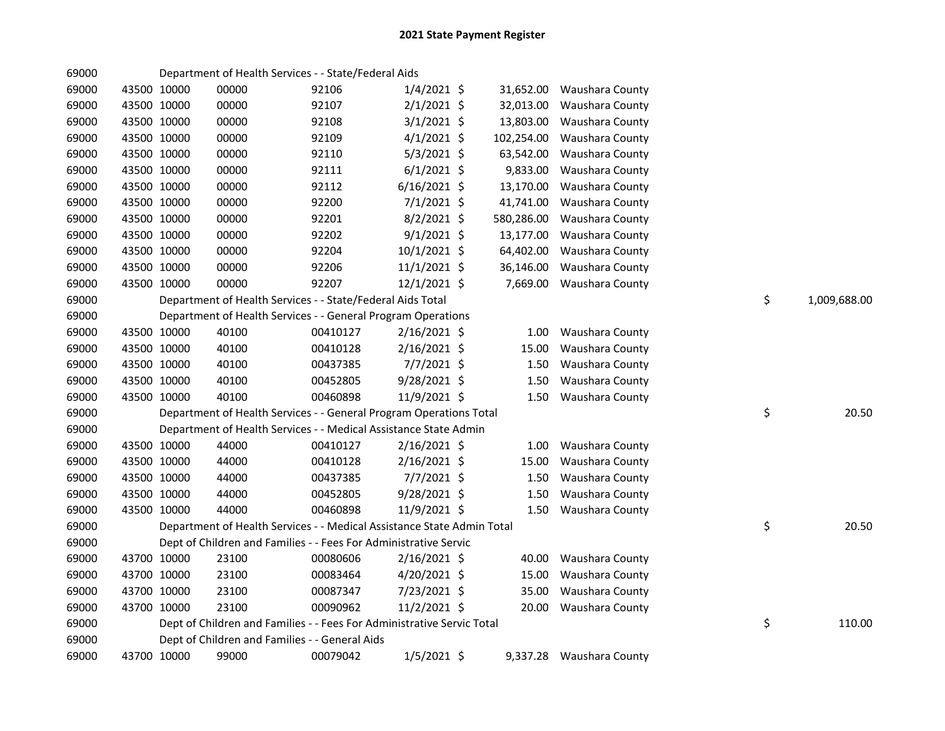| 69000 |             |             | Department of Health Services - - State/Federal Aids                   |          |                |            |                          |                    |
|-------|-------------|-------------|------------------------------------------------------------------------|----------|----------------|------------|--------------------------|--------------------|
| 69000 |             | 43500 10000 | 00000                                                                  | 92106    | $1/4/2021$ \$  | 31,652.00  | Waushara County          |                    |
| 69000 |             | 43500 10000 | 00000                                                                  | 92107    | $2/1/2021$ \$  | 32,013.00  | Waushara County          |                    |
| 69000 |             | 43500 10000 | 00000                                                                  | 92108    | $3/1/2021$ \$  | 13,803.00  | Waushara County          |                    |
| 69000 |             | 43500 10000 | 00000                                                                  | 92109    | $4/1/2021$ \$  | 102,254.00 | Waushara County          |                    |
| 69000 |             | 43500 10000 | 00000                                                                  | 92110    | $5/3/2021$ \$  | 63,542.00  | Waushara County          |                    |
| 69000 |             | 43500 10000 | 00000                                                                  | 92111    | $6/1/2021$ \$  | 9,833.00   | Waushara County          |                    |
| 69000 |             | 43500 10000 | 00000                                                                  | 92112    | $6/16/2021$ \$ | 13,170.00  | Waushara County          |                    |
| 69000 |             | 43500 10000 | 00000                                                                  | 92200    | $7/1/2021$ \$  | 41,741.00  | Waushara County          |                    |
| 69000 |             | 43500 10000 | 00000                                                                  | 92201    | $8/2/2021$ \$  | 580,286.00 | Waushara County          |                    |
| 69000 |             | 43500 10000 | 00000                                                                  | 92202    | $9/1/2021$ \$  | 13,177.00  | Waushara County          |                    |
| 69000 |             | 43500 10000 | 00000                                                                  | 92204    | 10/1/2021 \$   | 64,402.00  | Waushara County          |                    |
| 69000 |             | 43500 10000 | 00000                                                                  | 92206    | 11/1/2021 \$   | 36,146.00  | Waushara County          |                    |
| 69000 |             | 43500 10000 | 00000                                                                  | 92207    | $12/1/2021$ \$ |            | 7,669.00 Waushara County |                    |
| 69000 |             |             | Department of Health Services - - State/Federal Aids Total             |          |                |            |                          | \$<br>1,009,688.00 |
| 69000 |             |             | Department of Health Services - - General Program Operations           |          |                |            |                          |                    |
| 69000 |             | 43500 10000 | 40100                                                                  | 00410127 | $2/16/2021$ \$ | 1.00       | Waushara County          |                    |
| 69000 |             | 43500 10000 | 40100                                                                  | 00410128 | $2/16/2021$ \$ | 15.00      | Waushara County          |                    |
| 69000 |             | 43500 10000 | 40100                                                                  | 00437385 | $7/7/2021$ \$  | 1.50       | Waushara County          |                    |
| 69000 |             | 43500 10000 | 40100                                                                  | 00452805 | 9/28/2021 \$   | 1.50       | Waushara County          |                    |
| 69000 |             | 43500 10000 | 40100                                                                  | 00460898 | 11/9/2021 \$   | 1.50       | Waushara County          |                    |
| 69000 |             |             | Department of Health Services - - General Program Operations Total     |          |                |            |                          | \$<br>20.50        |
| 69000 |             |             | Department of Health Services - - Medical Assistance State Admin       |          |                |            |                          |                    |
| 69000 |             | 43500 10000 | 44000                                                                  | 00410127 | $2/16/2021$ \$ | 1.00       | Waushara County          |                    |
| 69000 |             | 43500 10000 | 44000                                                                  | 00410128 | $2/16/2021$ \$ | 15.00      | Waushara County          |                    |
| 69000 |             | 43500 10000 | 44000                                                                  | 00437385 | 7/7/2021 \$    | 1.50       | Waushara County          |                    |
| 69000 | 43500 10000 |             | 44000                                                                  | 00452805 | 9/28/2021 \$   | 1.50       | Waushara County          |                    |
| 69000 |             | 43500 10000 | 44000                                                                  | 00460898 | 11/9/2021 \$   | 1.50       | Waushara County          |                    |
| 69000 |             |             | Department of Health Services - - Medical Assistance State Admin Total |          |                |            |                          | \$<br>20.50        |
| 69000 |             |             | Dept of Children and Families - - Fees For Administrative Servic       |          |                |            |                          |                    |
| 69000 |             | 43700 10000 | 23100                                                                  | 00080606 | $2/16/2021$ \$ | 40.00      | Waushara County          |                    |
| 69000 |             | 43700 10000 | 23100                                                                  | 00083464 | $4/20/2021$ \$ | 15.00      | Waushara County          |                    |
| 69000 |             | 43700 10000 | 23100                                                                  | 00087347 | $7/23/2021$ \$ | 35.00      | Waushara County          |                    |
| 69000 |             | 43700 10000 | 23100                                                                  | 00090962 | 11/2/2021 \$   |            | 20.00 Waushara County    |                    |
| 69000 |             |             | Dept of Children and Families - - Fees For Administrative Servic Total |          |                |            |                          | \$<br>110.00       |
| 69000 |             |             | Dept of Children and Families - - General Aids                         |          |                |            |                          |                    |
| 69000 |             | 43700 10000 | 99000                                                                  | 00079042 | $1/5/2021$ \$  |            | 9,337.28 Waushara County |                    |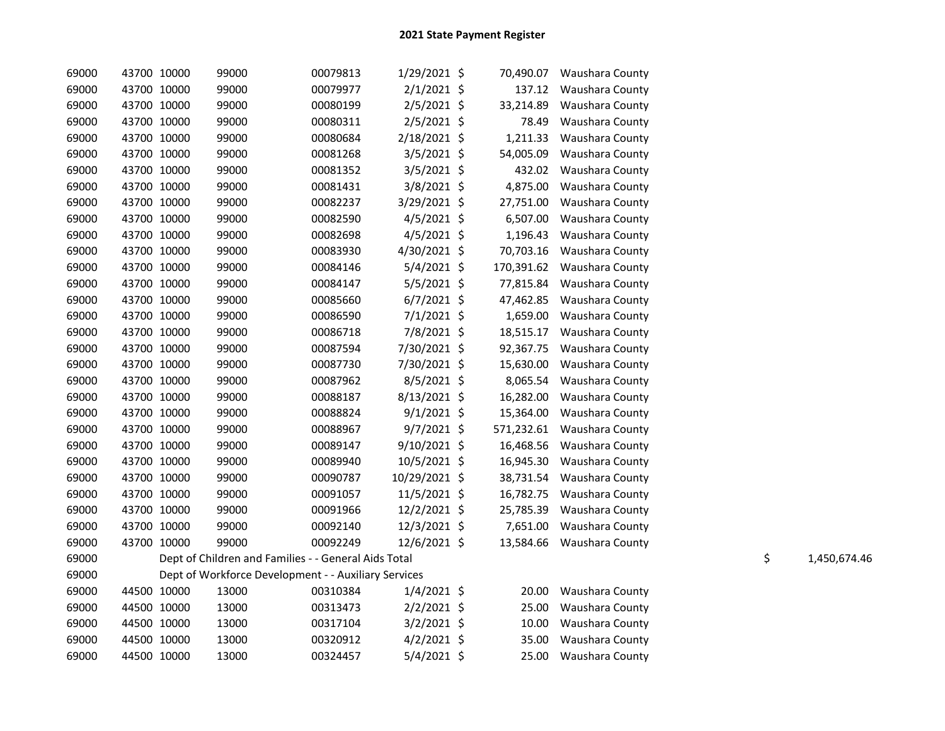| 69000 | 43700 10000 | 99000                                                | 00079813 | 1/29/2021 \$   | 70,490.07  | <b>Waushara County</b> |    |              |
|-------|-------------|------------------------------------------------------|----------|----------------|------------|------------------------|----|--------------|
| 69000 | 43700 10000 | 99000                                                | 00079977 | $2/1/2021$ \$  | 137.12     | Waushara County        |    |              |
| 69000 | 43700 10000 | 99000                                                | 00080199 | $2/5/2021$ \$  | 33,214.89  | Waushara County        |    |              |
| 69000 | 43700 10000 | 99000                                                | 00080311 | $2/5/2021$ \$  | 78.49      | Waushara County        |    |              |
| 69000 | 43700 10000 | 99000                                                | 00080684 | $2/18/2021$ \$ | 1,211.33   | Waushara County        |    |              |
| 69000 | 43700 10000 | 99000                                                | 00081268 | 3/5/2021 \$    | 54,005.09  | Waushara County        |    |              |
| 69000 | 43700 10000 | 99000                                                | 00081352 | 3/5/2021 \$    | 432.02     | Waushara County        |    |              |
| 69000 | 43700 10000 | 99000                                                | 00081431 | 3/8/2021 \$    | 4,875.00   | Waushara County        |    |              |
| 69000 | 43700 10000 | 99000                                                | 00082237 | 3/29/2021 \$   | 27,751.00  | Waushara County        |    |              |
| 69000 | 43700 10000 | 99000                                                | 00082590 | $4/5/2021$ \$  | 6,507.00   | Waushara County        |    |              |
| 69000 | 43700 10000 | 99000                                                | 00082698 | $4/5/2021$ \$  | 1,196.43   | Waushara County        |    |              |
| 69000 | 43700 10000 | 99000                                                | 00083930 | 4/30/2021 \$   | 70,703.16  | Waushara County        |    |              |
| 69000 | 43700 10000 | 99000                                                | 00084146 | 5/4/2021 \$    | 170,391.62 | Waushara County        |    |              |
| 69000 | 43700 10000 | 99000                                                | 00084147 | $5/5/2021$ \$  | 77,815.84  | Waushara County        |    |              |
| 69000 | 43700 10000 | 99000                                                | 00085660 | $6/7/2021$ \$  | 47,462.85  | Waushara County        |    |              |
| 69000 | 43700 10000 | 99000                                                | 00086590 | 7/1/2021 \$    | 1,659.00   | Waushara County        |    |              |
| 69000 | 43700 10000 | 99000                                                | 00086718 | 7/8/2021 \$    | 18,515.17  | Waushara County        |    |              |
| 69000 | 43700 10000 | 99000                                                | 00087594 | 7/30/2021 \$   | 92,367.75  | Waushara County        |    |              |
| 69000 | 43700 10000 | 99000                                                | 00087730 | 7/30/2021 \$   | 15,630.00  | Waushara County        |    |              |
| 69000 | 43700 10000 | 99000                                                | 00087962 | 8/5/2021 \$    | 8,065.54   | Waushara County        |    |              |
| 69000 | 43700 10000 | 99000                                                | 00088187 | 8/13/2021 \$   | 16,282.00  | Waushara County        |    |              |
| 69000 | 43700 10000 | 99000                                                | 00088824 | $9/1/2021$ \$  | 15,364.00  | Waushara County        |    |              |
| 69000 | 43700 10000 | 99000                                                | 00088967 | $9/7/2021$ \$  | 571,232.61 | Waushara County        |    |              |
| 69000 | 43700 10000 | 99000                                                | 00089147 | 9/10/2021 \$   | 16,468.56  | Waushara County        |    |              |
| 69000 | 43700 10000 | 99000                                                | 00089940 | 10/5/2021 \$   | 16,945.30  | Waushara County        |    |              |
| 69000 | 43700 10000 | 99000                                                | 00090787 | 10/29/2021 \$  | 38,731.54  | Waushara County        |    |              |
| 69000 | 43700 10000 | 99000                                                | 00091057 | 11/5/2021 \$   | 16,782.75  | Waushara County        |    |              |
| 69000 | 43700 10000 | 99000                                                | 00091966 | 12/2/2021 \$   | 25,785.39  | Waushara County        |    |              |
| 69000 | 43700 10000 | 99000                                                | 00092140 | 12/3/2021 \$   | 7,651.00   | Waushara County        |    |              |
| 69000 | 43700 10000 | 99000                                                | 00092249 | 12/6/2021 \$   | 13,584.66  | Waushara County        |    |              |
| 69000 |             | Dept of Children and Families - - General Aids Total |          |                |            |                        | \$ | 1,450,674.46 |
| 69000 |             | Dept of Workforce Development - - Auxiliary Services |          |                |            |                        |    |              |
| 69000 | 44500 10000 | 13000                                                | 00310384 | $1/4/2021$ \$  | 20.00      | Waushara County        |    |              |
| 69000 | 44500 10000 | 13000                                                | 00313473 | $2/2/2021$ \$  | 25.00      | Waushara County        |    |              |
| 69000 | 44500 10000 | 13000                                                | 00317104 | $3/2/2021$ \$  | 10.00      | Waushara County        |    |              |
| 69000 | 44500 10000 | 13000                                                | 00320912 | $4/2/2021$ \$  | 35.00      | Waushara County        |    |              |
| 69000 | 44500 10000 | 13000                                                | 00324457 | 5/4/2021 \$    | 25.00      | Waushara County        |    |              |
|       |             |                                                      |          |                |            |                        |    |              |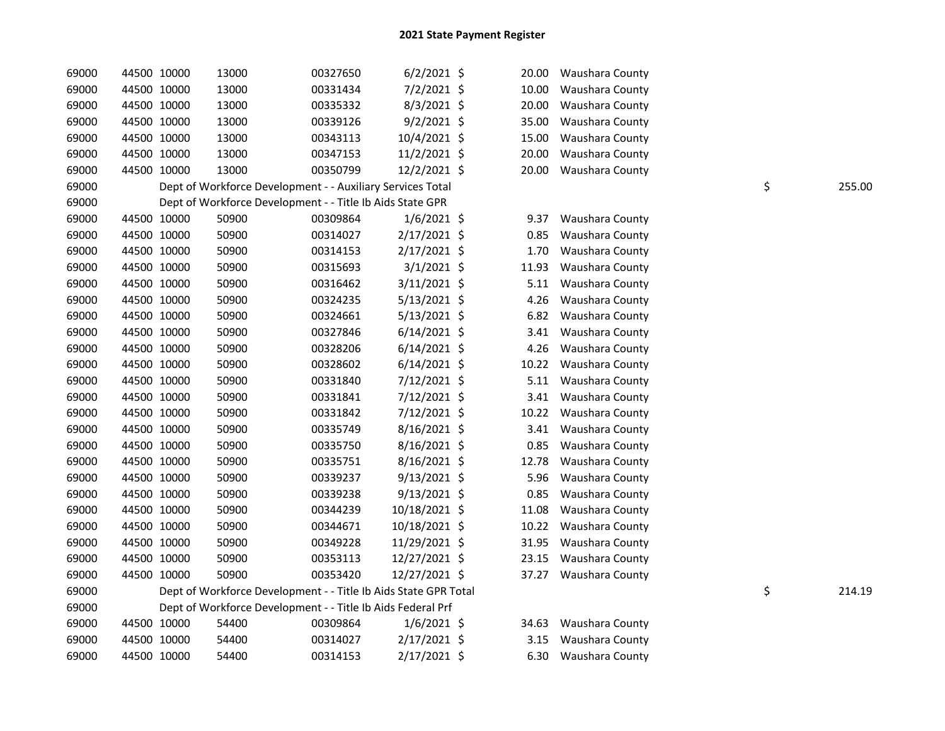| 69000 |             | 44500 10000 | 13000                                                           | 00327650 | $6/2/2021$ \$  | 20.00 | Waushara County |              |
|-------|-------------|-------------|-----------------------------------------------------------------|----------|----------------|-------|-----------------|--------------|
| 69000 |             | 44500 10000 | 13000                                                           | 00331434 | 7/2/2021 \$    | 10.00 | Waushara County |              |
| 69000 |             | 44500 10000 | 13000                                                           | 00335332 | $8/3/2021$ \$  | 20.00 | Waushara County |              |
| 69000 |             | 44500 10000 | 13000                                                           | 00339126 | $9/2/2021$ \$  | 35.00 | Waushara County |              |
| 69000 |             | 44500 10000 | 13000                                                           | 00343113 | 10/4/2021 \$   | 15.00 | Waushara County |              |
| 69000 |             | 44500 10000 | 13000                                                           | 00347153 | 11/2/2021 \$   | 20.00 | Waushara County |              |
| 69000 |             | 44500 10000 | 13000                                                           | 00350799 | 12/2/2021 \$   | 20.00 | Waushara County |              |
| 69000 |             |             | Dept of Workforce Development - - Auxiliary Services Total      |          |                |       |                 | \$<br>255.00 |
| 69000 |             |             | Dept of Workforce Development - - Title Ib Aids State GPR       |          |                |       |                 |              |
| 69000 |             | 44500 10000 | 50900                                                           | 00309864 | $1/6/2021$ \$  | 9.37  | Waushara County |              |
| 69000 |             | 44500 10000 | 50900                                                           | 00314027 | 2/17/2021 \$   | 0.85  | Waushara County |              |
| 69000 |             | 44500 10000 | 50900                                                           | 00314153 | $2/17/2021$ \$ | 1.70  | Waushara County |              |
| 69000 |             | 44500 10000 | 50900                                                           | 00315693 | $3/1/2021$ \$  | 11.93 | Waushara County |              |
| 69000 |             | 44500 10000 | 50900                                                           | 00316462 | 3/11/2021 \$   | 5.11  | Waushara County |              |
| 69000 |             | 44500 10000 | 50900                                                           | 00324235 | $5/13/2021$ \$ | 4.26  | Waushara County |              |
| 69000 |             | 44500 10000 | 50900                                                           | 00324661 | $5/13/2021$ \$ | 6.82  | Waushara County |              |
| 69000 |             | 44500 10000 | 50900                                                           | 00327846 | $6/14/2021$ \$ | 3.41  | Waushara County |              |
| 69000 |             | 44500 10000 | 50900                                                           | 00328206 | $6/14/2021$ \$ | 4.26  | Waushara County |              |
| 69000 |             | 44500 10000 | 50900                                                           | 00328602 | $6/14/2021$ \$ | 10.22 | Waushara County |              |
| 69000 |             | 44500 10000 | 50900                                                           | 00331840 | 7/12/2021 \$   | 5.11  | Waushara County |              |
| 69000 |             | 44500 10000 | 50900                                                           | 00331841 | 7/12/2021 \$   | 3.41  | Waushara County |              |
| 69000 |             | 44500 10000 | 50900                                                           | 00331842 | 7/12/2021 \$   | 10.22 | Waushara County |              |
| 69000 |             | 44500 10000 | 50900                                                           | 00335749 | $8/16/2021$ \$ | 3.41  | Waushara County |              |
| 69000 |             | 44500 10000 | 50900                                                           | 00335750 | 8/16/2021 \$   | 0.85  | Waushara County |              |
| 69000 |             | 44500 10000 | 50900                                                           | 00335751 | $8/16/2021$ \$ | 12.78 | Waushara County |              |
| 69000 |             | 44500 10000 | 50900                                                           | 00339237 | $9/13/2021$ \$ | 5.96  | Waushara County |              |
| 69000 |             | 44500 10000 | 50900                                                           | 00339238 | $9/13/2021$ \$ | 0.85  | Waushara County |              |
| 69000 |             | 44500 10000 | 50900                                                           | 00344239 | 10/18/2021 \$  | 11.08 | Waushara County |              |
| 69000 |             | 44500 10000 | 50900                                                           | 00344671 | 10/18/2021 \$  | 10.22 | Waushara County |              |
| 69000 |             | 44500 10000 | 50900                                                           | 00349228 | 11/29/2021 \$  | 31.95 | Waushara County |              |
| 69000 |             | 44500 10000 | 50900                                                           | 00353113 | 12/27/2021 \$  | 23.15 | Waushara County |              |
| 69000 | 44500 10000 |             | 50900                                                           | 00353420 | 12/27/2021 \$  | 37.27 | Waushara County |              |
| 69000 |             |             | Dept of Workforce Development - - Title Ib Aids State GPR Total |          |                |       |                 | \$<br>214.19 |
| 69000 |             |             | Dept of Workforce Development - - Title Ib Aids Federal Prf     |          |                |       |                 |              |
| 69000 |             | 44500 10000 | 54400                                                           | 00309864 | $1/6/2021$ \$  | 34.63 | Waushara County |              |
| 69000 |             | 44500 10000 | 54400                                                           | 00314027 | $2/17/2021$ \$ | 3.15  | Waushara County |              |
| 69000 | 44500 10000 |             | 54400                                                           | 00314153 | 2/17/2021 \$   | 6.30  | Waushara County |              |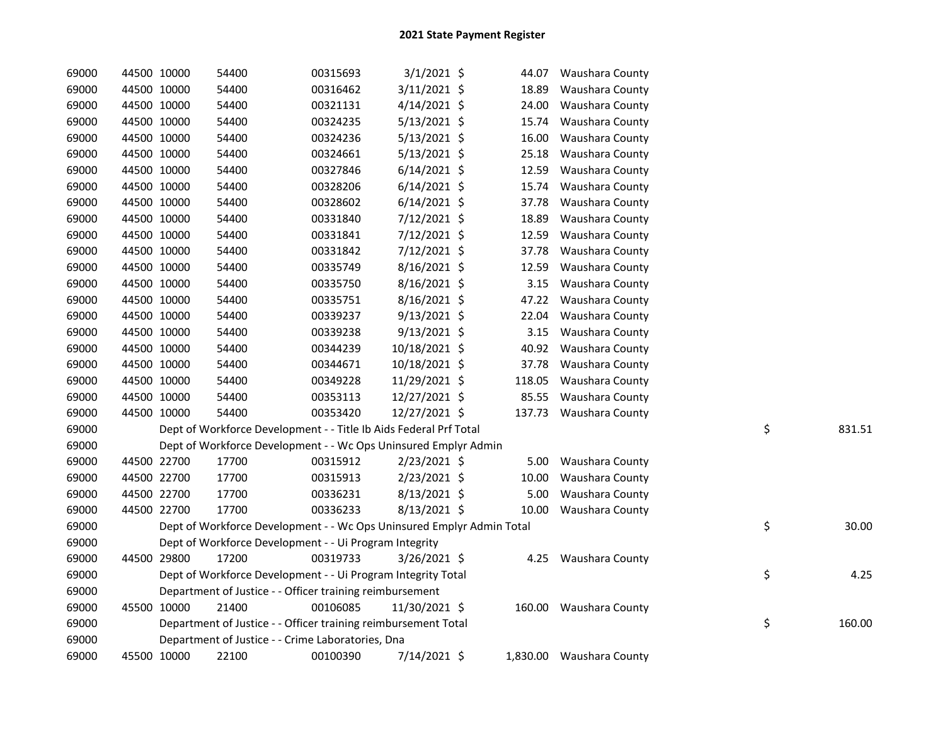| 69000 | 44500 10000 | 54400                                                                 | 00315693 | $3/1/2021$ \$  | 44.07  | <b>Waushara County</b>   |    |        |
|-------|-------------|-----------------------------------------------------------------------|----------|----------------|--------|--------------------------|----|--------|
| 69000 | 44500 10000 | 54400                                                                 | 00316462 | 3/11/2021 \$   | 18.89  | Waushara County          |    |        |
| 69000 | 44500 10000 | 54400                                                                 | 00321131 | $4/14/2021$ \$ | 24.00  | Waushara County          |    |        |
| 69000 | 44500 10000 | 54400                                                                 | 00324235 | $5/13/2021$ \$ | 15.74  | Waushara County          |    |        |
| 69000 | 44500 10000 | 54400                                                                 | 00324236 | $5/13/2021$ \$ | 16.00  | Waushara County          |    |        |
| 69000 | 44500 10000 | 54400                                                                 | 00324661 | 5/13/2021 \$   | 25.18  | Waushara County          |    |        |
| 69000 | 44500 10000 | 54400                                                                 | 00327846 | $6/14/2021$ \$ | 12.59  | Waushara County          |    |        |
| 69000 | 44500 10000 | 54400                                                                 | 00328206 | $6/14/2021$ \$ | 15.74  | Waushara County          |    |        |
| 69000 | 44500 10000 | 54400                                                                 | 00328602 | $6/14/2021$ \$ | 37.78  | Waushara County          |    |        |
| 69000 | 44500 10000 | 54400                                                                 | 00331840 | 7/12/2021 \$   | 18.89  | Waushara County          |    |        |
| 69000 | 44500 10000 | 54400                                                                 | 00331841 | 7/12/2021 \$   | 12.59  | Waushara County          |    |        |
| 69000 | 44500 10000 | 54400                                                                 | 00331842 | 7/12/2021 \$   | 37.78  | Waushara County          |    |        |
| 69000 | 44500 10000 | 54400                                                                 | 00335749 | $8/16/2021$ \$ | 12.59  | Waushara County          |    |        |
| 69000 | 44500 10000 | 54400                                                                 | 00335750 | 8/16/2021 \$   | 3.15   | Waushara County          |    |        |
| 69000 | 44500 10000 | 54400                                                                 | 00335751 | 8/16/2021 \$   | 47.22  | Waushara County          |    |        |
| 69000 | 44500 10000 | 54400                                                                 | 00339237 | $9/13/2021$ \$ | 22.04  | Waushara County          |    |        |
| 69000 | 44500 10000 | 54400                                                                 | 00339238 | $9/13/2021$ \$ | 3.15   | Waushara County          |    |        |
| 69000 | 44500 10000 | 54400                                                                 | 00344239 | 10/18/2021 \$  | 40.92  | Waushara County          |    |        |
| 69000 | 44500 10000 | 54400                                                                 | 00344671 | 10/18/2021 \$  | 37.78  | Waushara County          |    |        |
| 69000 | 44500 10000 | 54400                                                                 | 00349228 | 11/29/2021 \$  | 118.05 | Waushara County          |    |        |
| 69000 | 44500 10000 | 54400                                                                 | 00353113 | 12/27/2021 \$  | 85.55  | Waushara County          |    |        |
| 69000 | 44500 10000 | 54400                                                                 | 00353420 | 12/27/2021 \$  |        | 137.73 Waushara County   |    |        |
| 69000 |             | Dept of Workforce Development - - Title Ib Aids Federal Prf Total     |          |                |        |                          | \$ | 831.51 |
| 69000 |             | Dept of Workforce Development - - Wc Ops Uninsured Emplyr Admin       |          |                |        |                          |    |        |
| 69000 | 44500 22700 | 17700                                                                 | 00315912 | $2/23/2021$ \$ | 5.00   | Waushara County          |    |        |
| 69000 | 44500 22700 | 17700                                                                 | 00315913 | 2/23/2021 \$   | 10.00  | Waushara County          |    |        |
| 69000 | 44500 22700 | 17700                                                                 | 00336231 | 8/13/2021 \$   | 5.00   | Waushara County          |    |        |
| 69000 | 44500 22700 | 17700                                                                 | 00336233 | $8/13/2021$ \$ | 10.00  | Waushara County          |    |        |
| 69000 |             | Dept of Workforce Development - - Wc Ops Uninsured Emplyr Admin Total |          |                |        |                          | \$ | 30.00  |
| 69000 |             | Dept of Workforce Development - - Ui Program Integrity                |          |                |        |                          |    |        |
| 69000 | 44500 29800 | 17200                                                                 | 00319733 | $3/26/2021$ \$ | 4.25   | Waushara County          |    |        |
| 69000 |             | Dept of Workforce Development - - Ui Program Integrity Total          |          |                |        |                          | \$ | 4.25   |
| 69000 |             | Department of Justice - - Officer training reimbursement              |          |                |        |                          |    |        |
| 69000 | 45500 10000 | 21400                                                                 | 00106085 | 11/30/2021 \$  |        | 160.00 Waushara County   |    |        |
| 69000 |             | Department of Justice - - Officer training reimbursement Total        |          |                |        |                          | \$ | 160.00 |
| 69000 |             | Department of Justice - - Crime Laboratories, Dna                     |          |                |        |                          |    |        |
| 69000 | 45500 10000 | 22100                                                                 | 00100390 | 7/14/2021 \$   |        | 1,830.00 Waushara County |    |        |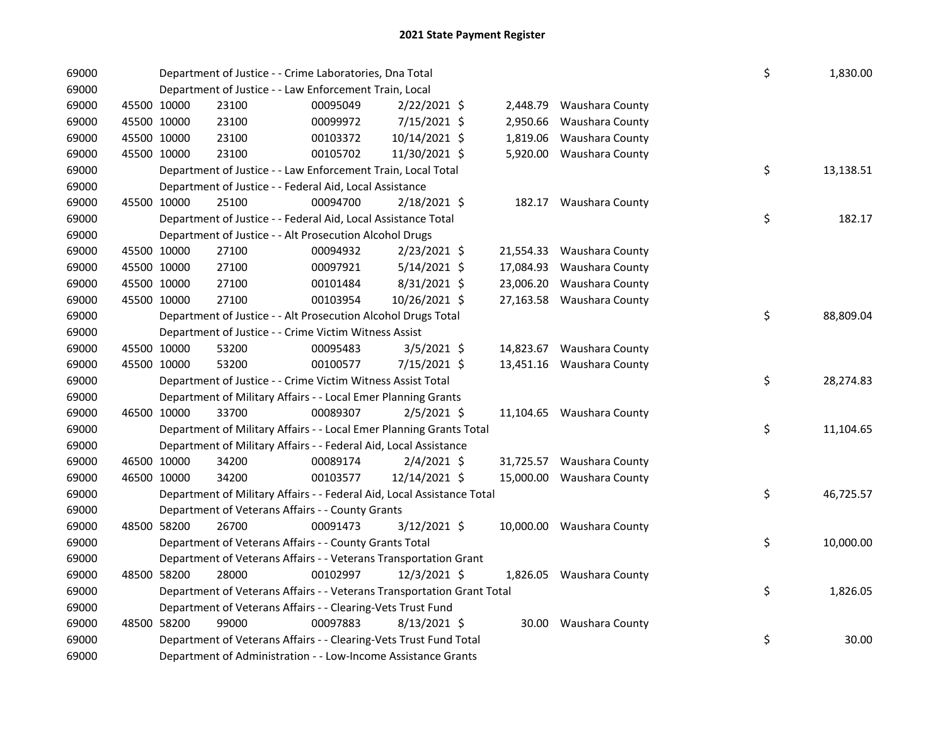| 69000          |                            |             | Department of Justice - - Crime Laboratories, Dna Total                | \$                   | 1,830.00                      |                      |                                    |    |           |
|----------------|----------------------------|-------------|------------------------------------------------------------------------|----------------------|-------------------------------|----------------------|------------------------------------|----|-----------|
| 69000          |                            |             | Department of Justice - - Law Enforcement Train, Local                 |                      |                               |                      |                                    |    |           |
| 69000<br>69000 | 45500 10000<br>45500 10000 |             | 23100<br>23100                                                         | 00095049<br>00099972 | 2/22/2021 \$                  | 2,448.79             | Waushara County                    |    |           |
| 69000          | 45500 10000                |             | 23100                                                                  | 00103372             | 7/15/2021 \$<br>10/14/2021 \$ | 2,950.66<br>1,819.06 | Waushara County<br>Waushara County |    |           |
| 69000          | 45500 10000                |             | 23100                                                                  | 00105702             | 11/30/2021 \$                 |                      | 5,920.00 Waushara County           |    |           |
| 69000          |                            |             | Department of Justice - - Law Enforcement Train, Local Total           |                      |                               |                      |                                    | \$ | 13,138.51 |
| 69000          |                            |             | Department of Justice - - Federal Aid, Local Assistance                |                      |                               |                      |                                    |    |           |
| 69000          | 45500 10000                |             | 25100                                                                  | 00094700             | 2/18/2021 \$                  |                      | 182.17 Waushara County             |    |           |
| 69000          |                            |             | Department of Justice - - Federal Aid, Local Assistance Total          |                      |                               |                      |                                    | \$ | 182.17    |
| 69000          |                            |             | Department of Justice - - Alt Prosecution Alcohol Drugs                |                      |                               |                      |                                    |    |           |
| 69000          | 45500 10000                |             | 27100                                                                  | 00094932             | $2/23/2021$ \$                | 21,554.33            | Waushara County                    |    |           |
| 69000          | 45500 10000                |             | 27100                                                                  | 00097921             | $5/14/2021$ \$                | 17,084.93            | Waushara County                    |    |           |
| 69000          | 45500 10000                |             | 27100                                                                  | 00101484             | 8/31/2021 \$                  | 23,006.20            | Waushara County                    |    |           |
| 69000          | 45500 10000                |             | 27100                                                                  | 00103954             | 10/26/2021 \$                 |                      | 27,163.58 Waushara County          |    |           |
| 69000          |                            |             | Department of Justice - - Alt Prosecution Alcohol Drugs Total          |                      |                               |                      |                                    | \$ | 88,809.04 |
| 69000          |                            |             | Department of Justice - - Crime Victim Witness Assist                  |                      |                               |                      |                                    |    |           |
| 69000          | 45500 10000                |             | 53200                                                                  | 00095483             | $3/5/2021$ \$                 |                      | 14,823.67 Waushara County          |    |           |
| 69000          | 45500 10000                |             | 53200                                                                  | 00100577             | 7/15/2021 \$                  | 13,451.16            | Waushara County                    |    |           |
| 69000          |                            |             | Department of Justice - - Crime Victim Witness Assist Total            |                      |                               |                      |                                    | \$ | 28,274.83 |
| 69000          |                            |             | Department of Military Affairs - - Local Emer Planning Grants          |                      |                               |                      |                                    |    |           |
| 69000          |                            | 46500 10000 | 33700                                                                  | 00089307             | $2/5/2021$ \$                 |                      | 11,104.65 Waushara County          |    |           |
| 69000          |                            |             | Department of Military Affairs - - Local Emer Planning Grants Total    |                      |                               |                      |                                    | \$ | 11,104.65 |
| 69000          |                            |             | Department of Military Affairs - - Federal Aid, Local Assistance       |                      |                               |                      |                                    |    |           |
| 69000          |                            | 46500 10000 | 34200                                                                  | 00089174             | $2/4/2021$ \$                 |                      | 31,725.57 Waushara County          |    |           |
| 69000          |                            | 46500 10000 | 34200                                                                  | 00103577             | 12/14/2021 \$                 |                      | 15,000.00 Waushara County          |    |           |
| 69000          |                            |             | Department of Military Affairs - - Federal Aid, Local Assistance Total |                      |                               |                      |                                    | \$ | 46,725.57 |
| 69000          |                            |             | Department of Veterans Affairs - - County Grants                       |                      |                               |                      |                                    |    |           |
| 69000          | 48500 58200                |             | 26700                                                                  | 00091473             | 3/12/2021 \$                  |                      | 10,000.00 Waushara County          |    |           |
| 69000          |                            |             | Department of Veterans Affairs - - County Grants Total                 |                      |                               |                      |                                    | \$ | 10,000.00 |
| 69000          |                            |             | Department of Veterans Affairs - - Veterans Transportation Grant       |                      |                               |                      |                                    |    |           |
| 69000          | 48500 58200                |             | 28000                                                                  | 00102997             | 12/3/2021 \$                  |                      | 1,826.05 Waushara County           |    |           |
| 69000          |                            |             | Department of Veterans Affairs - - Veterans Transportation Grant Total |                      |                               |                      |                                    | \$ | 1,826.05  |
| 69000          |                            |             | Department of Veterans Affairs - - Clearing-Vets Trust Fund            |                      |                               |                      |                                    |    |           |
| 69000          | 48500 58200                |             | 99000                                                                  | 00097883             | $8/13/2021$ \$                |                      | 30.00 Waushara County              |    |           |
| 69000          |                            |             | Department of Veterans Affairs - - Clearing-Vets Trust Fund Total      |                      |                               |                      |                                    | \$ | 30.00     |
| 69000          |                            |             | Department of Administration - - Low-Income Assistance Grants          |                      |                               |                      |                                    |    |           |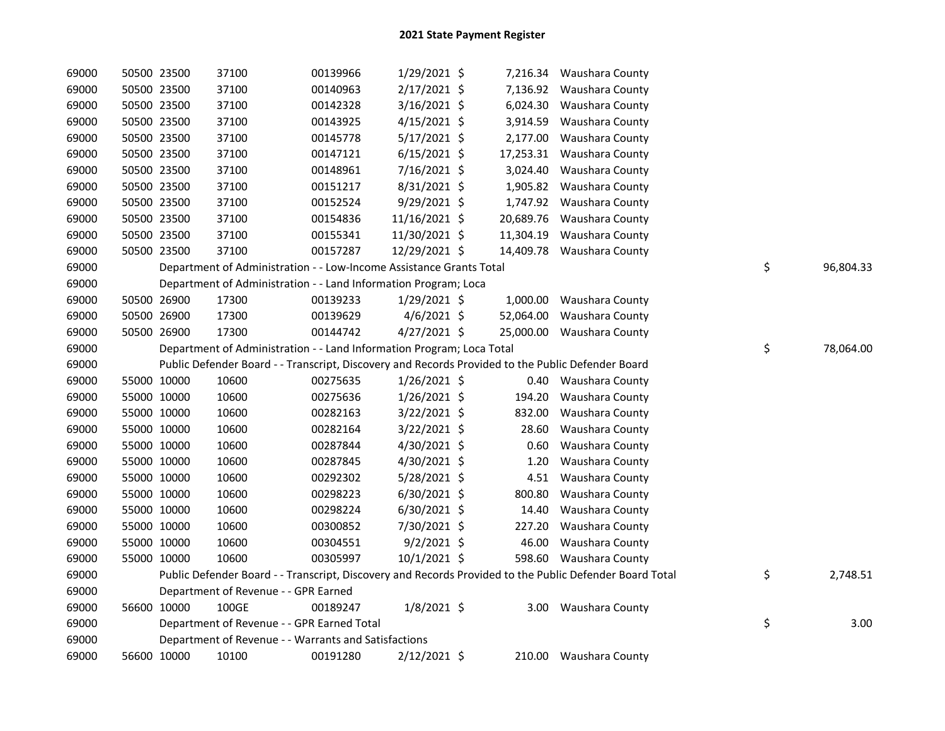| 69000 | 50500 23500 | 37100                                                                 | 00139966 | 1/29/2021 \$   |           | 7,216.34 Waushara County                                                                                |                 |
|-------|-------------|-----------------------------------------------------------------------|----------|----------------|-----------|---------------------------------------------------------------------------------------------------------|-----------------|
| 69000 | 50500 23500 | 37100                                                                 | 00140963 | 2/17/2021 \$   |           | 7,136.92 Waushara County                                                                                |                 |
| 69000 | 50500 23500 | 37100                                                                 | 00142328 | $3/16/2021$ \$ | 6,024.30  | Waushara County                                                                                         |                 |
| 69000 | 50500 23500 | 37100                                                                 | 00143925 | $4/15/2021$ \$ |           | 3,914.59 Waushara County                                                                                |                 |
| 69000 | 50500 23500 | 37100                                                                 | 00145778 | $5/17/2021$ \$ | 2,177.00  | Waushara County                                                                                         |                 |
| 69000 | 50500 23500 | 37100                                                                 | 00147121 | $6/15/2021$ \$ |           | 17,253.31 Waushara County                                                                               |                 |
| 69000 | 50500 23500 | 37100                                                                 | 00148961 | 7/16/2021 \$   | 3,024.40  | Waushara County                                                                                         |                 |
| 69000 | 50500 23500 | 37100                                                                 | 00151217 | 8/31/2021 \$   | 1,905.82  | Waushara County                                                                                         |                 |
| 69000 | 50500 23500 | 37100                                                                 | 00152524 | 9/29/2021 \$   | 1,747.92  | Waushara County                                                                                         |                 |
| 69000 | 50500 23500 | 37100                                                                 | 00154836 | 11/16/2021 \$  | 20,689.76 | Waushara County                                                                                         |                 |
| 69000 | 50500 23500 | 37100                                                                 | 00155341 | 11/30/2021 \$  | 11,304.19 | Waushara County                                                                                         |                 |
| 69000 | 50500 23500 | 37100                                                                 | 00157287 | 12/29/2021 \$  |           | 14,409.78 Waushara County                                                                               |                 |
| 69000 |             | Department of Administration - - Low-Income Assistance Grants Total   |          |                |           |                                                                                                         | \$<br>96,804.33 |
| 69000 |             | Department of Administration - - Land Information Program; Loca       |          |                |           |                                                                                                         |                 |
| 69000 | 50500 26900 | 17300                                                                 | 00139233 | $1/29/2021$ \$ |           | 1,000.00 Waushara County                                                                                |                 |
| 69000 | 50500 26900 | 17300                                                                 | 00139629 | $4/6/2021$ \$  | 52,064.00 | Waushara County                                                                                         |                 |
| 69000 | 50500 26900 | 17300                                                                 | 00144742 | $4/27/2021$ \$ |           | 25,000.00 Waushara County                                                                               |                 |
| 69000 |             | Department of Administration - - Land Information Program; Loca Total |          |                |           |                                                                                                         | \$<br>78,064.00 |
|       |             |                                                                       |          |                |           |                                                                                                         |                 |
| 69000 |             |                                                                       |          |                |           | Public Defender Board - - Transcript, Discovery and Records Provided to the Public Defender Board       |                 |
| 69000 | 55000 10000 | 10600                                                                 | 00275635 | $1/26/2021$ \$ |           | 0.40 Waushara County                                                                                    |                 |
| 69000 | 55000 10000 | 10600                                                                 | 00275636 | $1/26/2021$ \$ | 194.20    | Waushara County                                                                                         |                 |
| 69000 | 55000 10000 | 10600                                                                 | 00282163 | 3/22/2021 \$   | 832.00    | Waushara County                                                                                         |                 |
| 69000 | 55000 10000 | 10600                                                                 | 00282164 | 3/22/2021 \$   | 28.60     | Waushara County                                                                                         |                 |
| 69000 | 55000 10000 | 10600                                                                 | 00287844 | 4/30/2021 \$   | 0.60      | Waushara County                                                                                         |                 |
| 69000 | 55000 10000 | 10600                                                                 | 00287845 | 4/30/2021 \$   | 1.20      | Waushara County                                                                                         |                 |
| 69000 | 55000 10000 | 10600                                                                 | 00292302 | $5/28/2021$ \$ | 4.51      | Waushara County                                                                                         |                 |
| 69000 | 55000 10000 | 10600                                                                 | 00298223 | $6/30/2021$ \$ | 800.80    | Waushara County                                                                                         |                 |
| 69000 | 55000 10000 | 10600                                                                 | 00298224 | 6/30/2021 \$   | 14.40     | Waushara County                                                                                         |                 |
| 69000 | 55000 10000 | 10600                                                                 | 00300852 | 7/30/2021 \$   | 227.20    | Waushara County                                                                                         |                 |
| 69000 | 55000 10000 | 10600                                                                 | 00304551 | $9/2/2021$ \$  | 46.00     | Waushara County                                                                                         |                 |
| 69000 | 55000 10000 | 10600                                                                 | 00305997 | $10/1/2021$ \$ |           | 598.60 Waushara County                                                                                  |                 |
| 69000 |             |                                                                       |          |                |           | Public Defender Board - - Transcript, Discovery and Records Provided to the Public Defender Board Total | \$<br>2,748.51  |
| 69000 |             | Department of Revenue - - GPR Earned                                  |          |                |           |                                                                                                         |                 |
| 69000 | 56600 10000 | 100GE                                                                 | 00189247 | $1/8/2021$ \$  |           | 3.00 Waushara County                                                                                    |                 |
| 69000 |             | Department of Revenue - - GPR Earned Total                            |          |                |           |                                                                                                         | \$<br>3.00      |
| 69000 |             | Department of Revenue - - Warrants and Satisfactions                  |          |                |           |                                                                                                         |                 |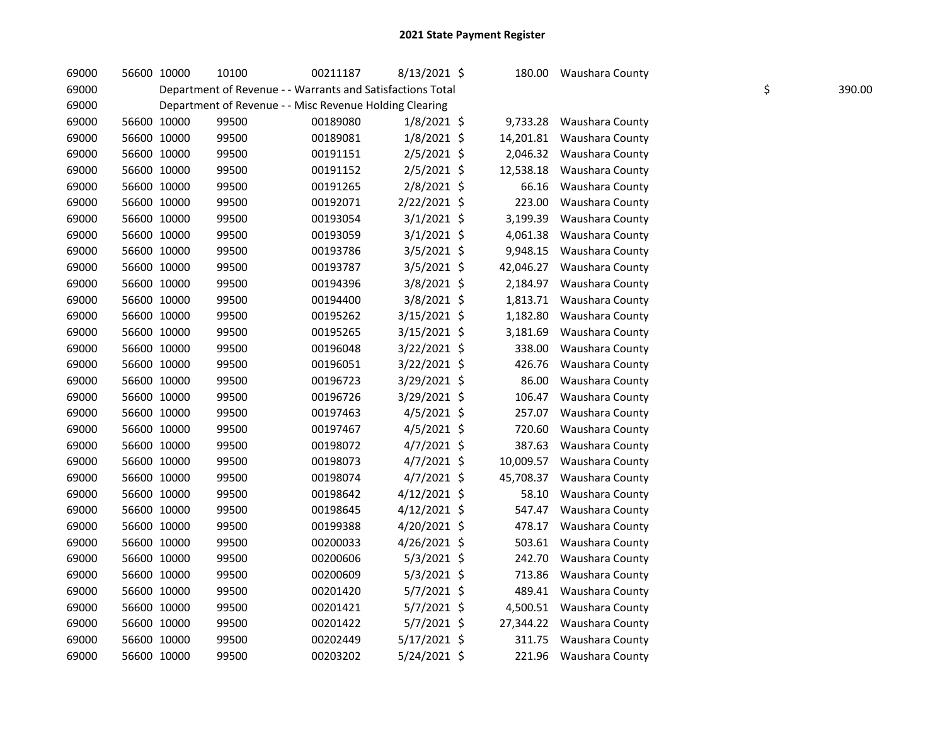| 69000 | 56600 10000 | 10100 | 00211187                                                   | 8/13/2021 \$   | 180.00    | Waushara County |    |        |
|-------|-------------|-------|------------------------------------------------------------|----------------|-----------|-----------------|----|--------|
| 69000 |             |       | Department of Revenue - - Warrants and Satisfactions Total |                |           |                 | \$ | 390.00 |
| 69000 |             |       | Department of Revenue - - Misc Revenue Holding Clearing    |                |           |                 |    |        |
| 69000 | 56600 10000 | 99500 | 00189080                                                   | $1/8/2021$ \$  | 9,733.28  | Waushara County |    |        |
| 69000 | 56600 10000 | 99500 | 00189081                                                   | $1/8/2021$ \$  | 14,201.81 | Waushara County |    |        |
| 69000 | 56600 10000 | 99500 | 00191151                                                   | $2/5/2021$ \$  | 2,046.32  | Waushara County |    |        |
| 69000 | 56600 10000 | 99500 | 00191152                                                   | $2/5/2021$ \$  | 12,538.18 | Waushara County |    |        |
| 69000 | 56600 10000 | 99500 | 00191265                                                   | 2/8/2021 \$    | 66.16     | Waushara County |    |        |
| 69000 | 56600 10000 | 99500 | 00192071                                                   | 2/22/2021 \$   | 223.00    | Waushara County |    |        |
| 69000 | 56600 10000 | 99500 | 00193054                                                   | $3/1/2021$ \$  | 3,199.39  | Waushara County |    |        |
| 69000 | 56600 10000 | 99500 | 00193059                                                   | $3/1/2021$ \$  | 4,061.38  | Waushara County |    |        |
| 69000 | 56600 10000 | 99500 | 00193786                                                   | $3/5/2021$ \$  | 9,948.15  | Waushara County |    |        |
| 69000 | 56600 10000 | 99500 | 00193787                                                   | $3/5/2021$ \$  | 42,046.27 | Waushara County |    |        |
| 69000 | 56600 10000 | 99500 | 00194396                                                   | 3/8/2021 \$    | 2,184.97  | Waushara County |    |        |
| 69000 | 56600 10000 | 99500 | 00194400                                                   | 3/8/2021 \$    | 1,813.71  | Waushara County |    |        |
| 69000 | 56600 10000 | 99500 | 00195262                                                   | 3/15/2021 \$   | 1,182.80  | Waushara County |    |        |
| 69000 | 56600 10000 | 99500 | 00195265                                                   | 3/15/2021 \$   | 3,181.69  | Waushara County |    |        |
| 69000 | 56600 10000 | 99500 | 00196048                                                   | 3/22/2021 \$   | 338.00    | Waushara County |    |        |
| 69000 | 56600 10000 | 99500 | 00196051                                                   | 3/22/2021 \$   | 426.76    | Waushara County |    |        |
| 69000 | 56600 10000 | 99500 | 00196723                                                   | 3/29/2021 \$   | 86.00     | Waushara County |    |        |
| 69000 | 56600 10000 | 99500 | 00196726                                                   | 3/29/2021 \$   | 106.47    | Waushara County |    |        |
| 69000 | 56600 10000 | 99500 | 00197463                                                   | $4/5/2021$ \$  | 257.07    | Waushara County |    |        |
| 69000 | 56600 10000 | 99500 | 00197467                                                   | 4/5/2021 \$    | 720.60    | Waushara County |    |        |
| 69000 | 56600 10000 | 99500 | 00198072                                                   | 4/7/2021 \$    | 387.63    | Waushara County |    |        |
| 69000 | 56600 10000 | 99500 | 00198073                                                   | $4/7/2021$ \$  | 10,009.57 | Waushara County |    |        |
| 69000 | 56600 10000 | 99500 | 00198074                                                   | $4/7/2021$ \$  | 45,708.37 | Waushara County |    |        |
| 69000 | 56600 10000 | 99500 | 00198642                                                   | $4/12/2021$ \$ | 58.10     | Waushara County |    |        |
| 69000 | 56600 10000 | 99500 | 00198645                                                   | 4/12/2021 \$   | 547.47    | Waushara County |    |        |
| 69000 | 56600 10000 | 99500 | 00199388                                                   | 4/20/2021 \$   | 478.17    | Waushara County |    |        |
| 69000 | 56600 10000 | 99500 | 00200033                                                   | 4/26/2021 \$   | 503.61    | Waushara County |    |        |
| 69000 | 56600 10000 | 99500 | 00200606                                                   | $5/3/2021$ \$  | 242.70    | Waushara County |    |        |
| 69000 | 56600 10000 | 99500 | 00200609                                                   | $5/3/2021$ \$  | 713.86    | Waushara County |    |        |
| 69000 | 56600 10000 | 99500 | 00201420                                                   | 5/7/2021 \$    | 489.41    | Waushara County |    |        |
| 69000 | 56600 10000 | 99500 | 00201421                                                   | 5/7/2021 \$    | 4,500.51  | Waushara County |    |        |
| 69000 | 56600 10000 | 99500 | 00201422                                                   | 5/7/2021 \$    | 27,344.22 | Waushara County |    |        |
| 69000 | 56600 10000 | 99500 | 00202449                                                   | 5/17/2021 \$   | 311.75    | Waushara County |    |        |
| 69000 | 56600 10000 | 99500 | 00203202                                                   | 5/24/2021 \$   | 221.96    | Waushara County |    |        |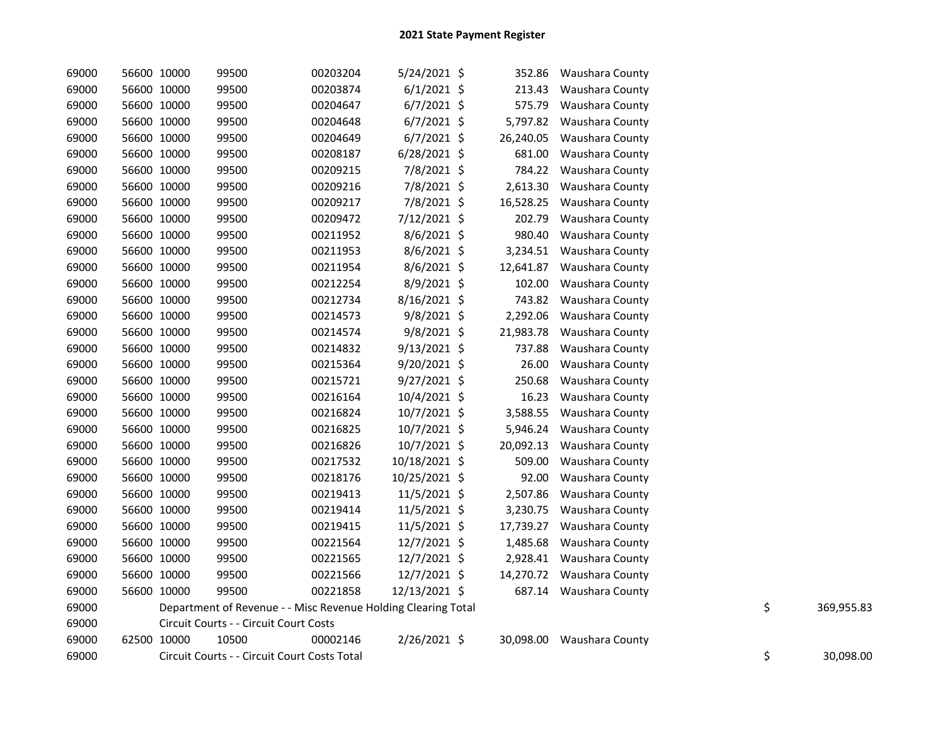| 69000 | 56600 10000 | 99500                                                         | 00203204 | $5/24/2021$ \$ | 352.86    | Waushara County           |    |            |
|-------|-------------|---------------------------------------------------------------|----------|----------------|-----------|---------------------------|----|------------|
| 69000 | 56600 10000 | 99500                                                         | 00203874 | $6/1/2021$ \$  | 213.43    | Waushara County           |    |            |
| 69000 | 56600 10000 | 99500                                                         | 00204647 | $6/7/2021$ \$  | 575.79    | Waushara County           |    |            |
| 69000 | 56600 10000 | 99500                                                         | 00204648 | $6/7/2021$ \$  | 5,797.82  | Waushara County           |    |            |
| 69000 | 56600 10000 | 99500                                                         | 00204649 | $6/7/2021$ \$  | 26,240.05 | Waushara County           |    |            |
| 69000 | 56600 10000 | 99500                                                         | 00208187 | $6/28/2021$ \$ | 681.00    | Waushara County           |    |            |
| 69000 | 56600 10000 | 99500                                                         | 00209215 | 7/8/2021 \$    | 784.22    | Waushara County           |    |            |
| 69000 | 56600 10000 | 99500                                                         | 00209216 | 7/8/2021 \$    | 2,613.30  | Waushara County           |    |            |
| 69000 | 56600 10000 | 99500                                                         | 00209217 | 7/8/2021 \$    | 16,528.25 | Waushara County           |    |            |
| 69000 | 56600 10000 | 99500                                                         | 00209472 | 7/12/2021 \$   | 202.79    | Waushara County           |    |            |
| 69000 | 56600 10000 | 99500                                                         | 00211952 | 8/6/2021 \$    | 980.40    | Waushara County           |    |            |
| 69000 | 56600 10000 | 99500                                                         | 00211953 | 8/6/2021 \$    | 3,234.51  | Waushara County           |    |            |
| 69000 | 56600 10000 | 99500                                                         | 00211954 | 8/6/2021 \$    | 12,641.87 | Waushara County           |    |            |
| 69000 | 56600 10000 | 99500                                                         | 00212254 | 8/9/2021 \$    | 102.00    | Waushara County           |    |            |
| 69000 | 56600 10000 | 99500                                                         | 00212734 | 8/16/2021 \$   | 743.82    | Waushara County           |    |            |
| 69000 | 56600 10000 | 99500                                                         | 00214573 | $9/8/2021$ \$  | 2,292.06  | Waushara County           |    |            |
| 69000 | 56600 10000 | 99500                                                         | 00214574 | $9/8/2021$ \$  | 21,983.78 | Waushara County           |    |            |
| 69000 | 56600 10000 | 99500                                                         | 00214832 | $9/13/2021$ \$ | 737.88    | Waushara County           |    |            |
| 69000 | 56600 10000 | 99500                                                         | 00215364 | $9/20/2021$ \$ | 26.00     | Waushara County           |    |            |
| 69000 | 56600 10000 | 99500                                                         | 00215721 | 9/27/2021 \$   | 250.68    | Waushara County           |    |            |
| 69000 | 56600 10000 | 99500                                                         | 00216164 | 10/4/2021 \$   | 16.23     | Waushara County           |    |            |
| 69000 | 56600 10000 | 99500                                                         | 00216824 | 10/7/2021 \$   | 3,588.55  | Waushara County           |    |            |
| 69000 | 56600 10000 | 99500                                                         | 00216825 | 10/7/2021 \$   | 5,946.24  | Waushara County           |    |            |
| 69000 | 56600 10000 | 99500                                                         | 00216826 | 10/7/2021 \$   | 20,092.13 | Waushara County           |    |            |
| 69000 | 56600 10000 | 99500                                                         | 00217532 | 10/18/2021 \$  | 509.00    | Waushara County           |    |            |
| 69000 | 56600 10000 | 99500                                                         | 00218176 | 10/25/2021 \$  | 92.00     | Waushara County           |    |            |
| 69000 | 56600 10000 | 99500                                                         | 00219413 | 11/5/2021 \$   | 2,507.86  | Waushara County           |    |            |
| 69000 | 56600 10000 | 99500                                                         | 00219414 | 11/5/2021 \$   | 3,230.75  | Waushara County           |    |            |
| 69000 | 56600 10000 | 99500                                                         | 00219415 | 11/5/2021 \$   | 17,739.27 | Waushara County           |    |            |
| 69000 | 56600 10000 | 99500                                                         | 00221564 | 12/7/2021 \$   | 1,485.68  | Waushara County           |    |            |
| 69000 | 56600 10000 | 99500                                                         | 00221565 | 12/7/2021 \$   | 2,928.41  | Waushara County           |    |            |
| 69000 | 56600 10000 | 99500                                                         | 00221566 | 12/7/2021 \$   |           | 14,270.72 Waushara County |    |            |
| 69000 | 56600 10000 | 99500                                                         | 00221858 | 12/13/2021 \$  |           | 687.14 Waushara County    |    |            |
| 69000 |             | Department of Revenue - - Misc Revenue Holding Clearing Total |          |                |           |                           | \$ | 369,955.83 |
| 69000 |             | Circuit Courts - - Circuit Court Costs                        |          |                |           |                           |    |            |
| 69000 | 62500 10000 | 10500                                                         | 00002146 | 2/26/2021 \$   |           | 30,098.00 Waushara County |    |            |
| 69000 |             | Circuit Courts - - Circuit Court Costs Total                  |          |                |           |                           | \$ | 30,098.00  |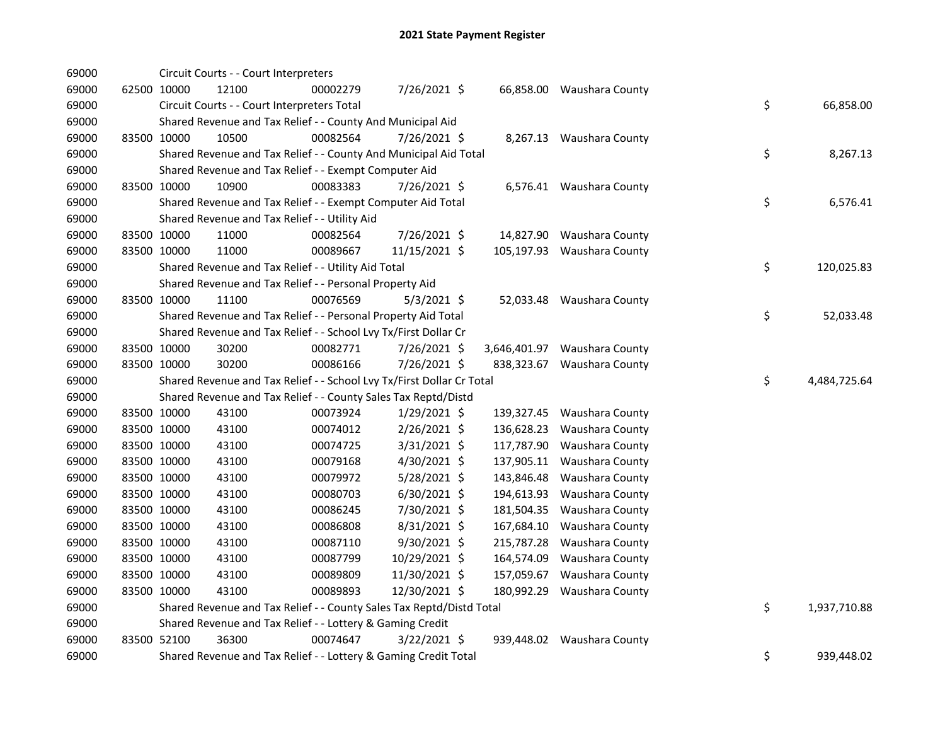| 69000 |             | Circuit Courts - - Court Interpreters                                 |          |                |            |                              |    |              |
|-------|-------------|-----------------------------------------------------------------------|----------|----------------|------------|------------------------------|----|--------------|
| 69000 | 62500 10000 | 12100                                                                 | 00002279 | 7/26/2021 \$   |            | 66,858.00 Waushara County    |    |              |
| 69000 |             | Circuit Courts - - Court Interpreters Total                           |          |                |            |                              | \$ | 66,858.00    |
| 69000 |             | Shared Revenue and Tax Relief - - County And Municipal Aid            |          |                |            |                              |    |              |
| 69000 | 83500 10000 | 10500                                                                 | 00082564 | 7/26/2021 \$   |            | 8,267.13 Waushara County     |    |              |
| 69000 |             | Shared Revenue and Tax Relief - - County And Municipal Aid Total      |          |                |            |                              | \$ | 8,267.13     |
| 69000 |             | Shared Revenue and Tax Relief - - Exempt Computer Aid                 |          |                |            |                              |    |              |
| 69000 | 83500 10000 | 10900                                                                 | 00083383 | 7/26/2021 \$   |            | 6,576.41 Waushara County     |    |              |
| 69000 |             | Shared Revenue and Tax Relief - - Exempt Computer Aid Total           |          |                |            |                              | \$ | 6,576.41     |
| 69000 |             | Shared Revenue and Tax Relief - - Utility Aid                         |          |                |            |                              |    |              |
| 69000 | 83500 10000 | 11000                                                                 | 00082564 | 7/26/2021 \$   | 14,827.90  | Waushara County              |    |              |
| 69000 | 83500 10000 | 11000                                                                 | 00089667 | 11/15/2021 \$  | 105,197.93 | Waushara County              |    |              |
| 69000 |             | Shared Revenue and Tax Relief - - Utility Aid Total                   |          |                |            |                              | \$ | 120,025.83   |
| 69000 |             | Shared Revenue and Tax Relief - - Personal Property Aid               |          |                |            |                              |    |              |
| 69000 | 83500 10000 | 11100                                                                 | 00076569 | $5/3/2021$ \$  |            | 52,033.48 Waushara County    |    |              |
| 69000 |             | Shared Revenue and Tax Relief - - Personal Property Aid Total         |          |                |            |                              | \$ | 52,033.48    |
| 69000 |             | Shared Revenue and Tax Relief - - School Lvy Tx/First Dollar Cr       |          |                |            |                              |    |              |
| 69000 | 83500 10000 | 30200                                                                 | 00082771 | 7/26/2021 \$   |            | 3,646,401.97 Waushara County |    |              |
| 69000 | 83500 10000 | 30200                                                                 | 00086166 | 7/26/2021 \$   | 838,323.67 | Waushara County              |    |              |
| 69000 |             | Shared Revenue and Tax Relief - - School Lvy Tx/First Dollar Cr Total |          |                |            |                              | \$ | 4,484,725.64 |
| 69000 |             | Shared Revenue and Tax Relief - - County Sales Tax Reptd/Distd        |          |                |            |                              |    |              |
| 69000 | 83500 10000 | 43100                                                                 | 00073924 | $1/29/2021$ \$ |            | 139,327.45 Waushara County   |    |              |
| 69000 | 83500 10000 | 43100                                                                 | 00074012 | 2/26/2021 \$   | 136,628.23 | Waushara County              |    |              |
| 69000 | 83500 10000 | 43100                                                                 | 00074725 | 3/31/2021 \$   | 117,787.90 | Waushara County              |    |              |
| 69000 | 83500 10000 | 43100                                                                 | 00079168 | 4/30/2021 \$   | 137,905.11 | Waushara County              |    |              |
| 69000 | 83500 10000 | 43100                                                                 | 00079972 | 5/28/2021 \$   | 143,846.48 | Waushara County              |    |              |
| 69000 | 83500 10000 | 43100                                                                 | 00080703 | $6/30/2021$ \$ | 194,613.93 | Waushara County              |    |              |
| 69000 | 83500 10000 | 43100                                                                 | 00086245 | 7/30/2021 \$   | 181,504.35 | Waushara County              |    |              |
| 69000 | 83500 10000 | 43100                                                                 | 00086808 | 8/31/2021 \$   | 167,684.10 | Waushara County              |    |              |
| 69000 | 83500 10000 | 43100                                                                 | 00087110 | 9/30/2021 \$   | 215,787.28 | Waushara County              |    |              |
| 69000 | 83500 10000 | 43100                                                                 | 00087799 | 10/29/2021 \$  | 164,574.09 | Waushara County              |    |              |
| 69000 | 83500 10000 | 43100                                                                 | 00089809 | 11/30/2021 \$  | 157,059.67 | Waushara County              |    |              |
| 69000 | 83500 10000 | 43100                                                                 | 00089893 | 12/30/2021 \$  | 180,992.29 | Waushara County              |    |              |
| 69000 |             | Shared Revenue and Tax Relief - - County Sales Tax Reptd/Distd Total  |          |                |            |                              | \$ | 1,937,710.88 |
| 69000 |             | Shared Revenue and Tax Relief - - Lottery & Gaming Credit             |          |                |            |                              |    |              |
| 69000 | 83500 52100 | 36300                                                                 | 00074647 | $3/22/2021$ \$ |            | 939,448.02 Waushara County   |    |              |
| 69000 |             | Shared Revenue and Tax Relief - - Lottery & Gaming Credit Total       |          |                |            |                              | \$ | 939,448.02   |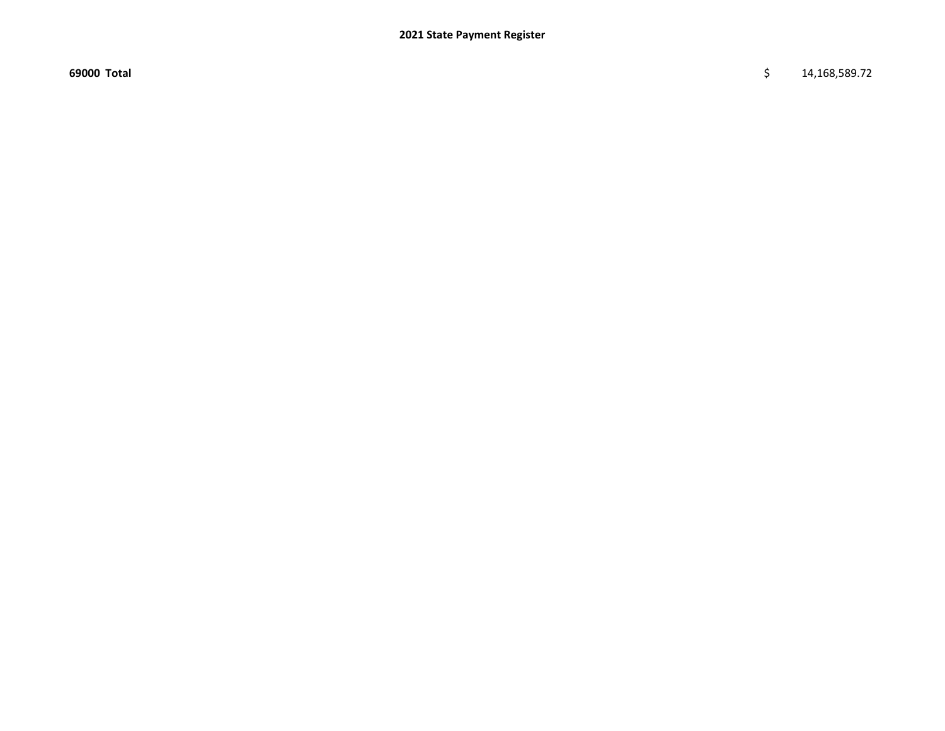69000 Total \$ 14,168,589.72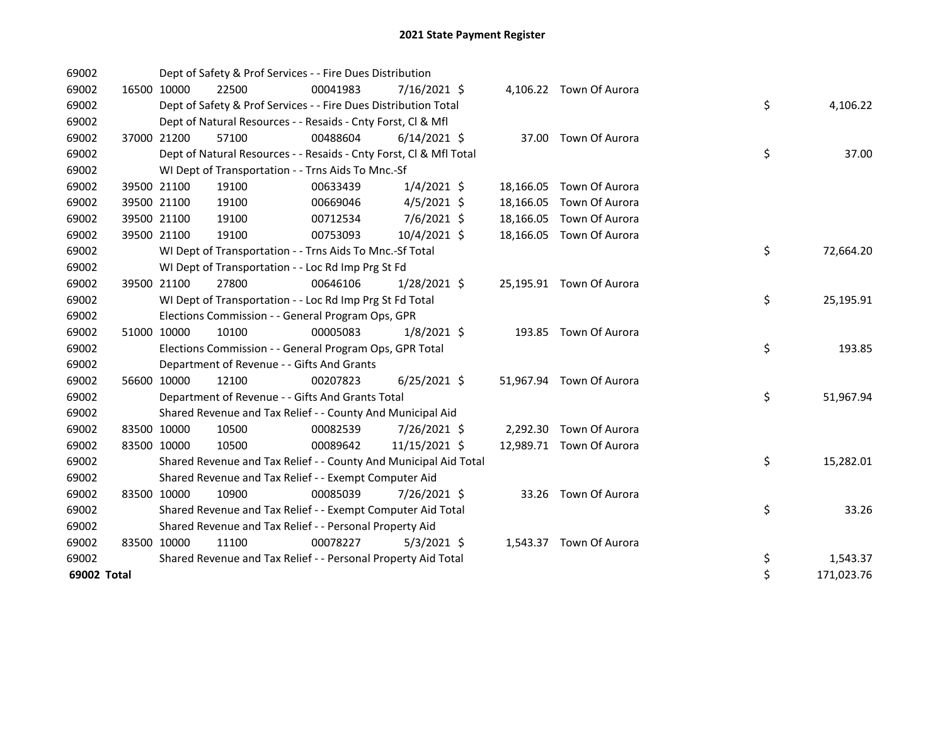| 69002       |             | Dept of Safety & Prof Services - - Fire Dues Distribution          |          |                |  |                          |    |            |
|-------------|-------------|--------------------------------------------------------------------|----------|----------------|--|--------------------------|----|------------|
| 69002       | 16500 10000 | 22500                                                              | 00041983 | $7/16/2021$ \$ |  | 4,106.22 Town Of Aurora  |    |            |
| 69002       |             | Dept of Safety & Prof Services - - Fire Dues Distribution Total    |          |                |  |                          | \$ | 4,106.22   |
| 69002       |             | Dept of Natural Resources - - Resaids - Cnty Forst, Cl & Mfl       |          |                |  |                          |    |            |
| 69002       | 37000 21200 | 57100                                                              | 00488604 | $6/14/2021$ \$ |  | 37.00 Town Of Aurora     |    |            |
| 69002       |             | Dept of Natural Resources - - Resaids - Cnty Forst, Cl & Mfl Total |          |                |  |                          | \$ | 37.00      |
| 69002       |             | WI Dept of Transportation - - Trns Aids To Mnc.-Sf                 |          |                |  |                          |    |            |
| 69002       | 39500 21100 | 19100                                                              | 00633439 | $1/4/2021$ \$  |  | 18,166.05 Town Of Aurora |    |            |
| 69002       | 39500 21100 | 19100                                                              | 00669046 | $4/5/2021$ \$  |  | 18,166.05 Town Of Aurora |    |            |
| 69002       | 39500 21100 | 19100                                                              | 00712534 | 7/6/2021 \$    |  | 18,166.05 Town Of Aurora |    |            |
| 69002       | 39500 21100 | 19100                                                              | 00753093 | 10/4/2021 \$   |  | 18,166.05 Town Of Aurora |    |            |
| 69002       |             | WI Dept of Transportation - - Trns Aids To Mnc.-Sf Total           |          |                |  |                          | \$ | 72,664.20  |
| 69002       |             | WI Dept of Transportation - - Loc Rd Imp Prg St Fd                 |          |                |  |                          |    |            |
| 69002       | 39500 21100 | 27800                                                              | 00646106 | $1/28/2021$ \$ |  | 25,195.91 Town Of Aurora |    |            |
| 69002       |             | WI Dept of Transportation - - Loc Rd Imp Prg St Fd Total           |          |                |  |                          | \$ | 25,195.91  |
| 69002       |             | Elections Commission - - General Program Ops, GPR                  |          |                |  |                          |    |            |
| 69002       | 51000 10000 | 10100                                                              | 00005083 | $1/8/2021$ \$  |  | 193.85 Town Of Aurora    |    |            |
| 69002       |             | Elections Commission - - General Program Ops, GPR Total            |          |                |  |                          | \$ | 193.85     |
| 69002       |             | Department of Revenue - - Gifts And Grants                         |          |                |  |                          |    |            |
| 69002       | 56600 10000 | 12100                                                              | 00207823 | $6/25/2021$ \$ |  | 51,967.94 Town Of Aurora |    |            |
| 69002       |             | Department of Revenue - - Gifts And Grants Total                   |          |                |  |                          | \$ | 51,967.94  |
| 69002       |             | Shared Revenue and Tax Relief - - County And Municipal Aid         |          |                |  |                          |    |            |
| 69002       | 83500 10000 | 10500                                                              | 00082539 | 7/26/2021 \$   |  | 2,292.30 Town Of Aurora  |    |            |
| 69002       | 83500 10000 | 10500                                                              | 00089642 | 11/15/2021 \$  |  | 12,989.71 Town Of Aurora |    |            |
| 69002       |             | Shared Revenue and Tax Relief - - County And Municipal Aid Total   |          |                |  |                          | \$ | 15,282.01  |
| 69002       |             | Shared Revenue and Tax Relief - - Exempt Computer Aid              |          |                |  |                          |    |            |
| 69002       | 83500 10000 | 10900                                                              | 00085039 | 7/26/2021 \$   |  | 33.26 Town Of Aurora     |    |            |
| 69002       |             | Shared Revenue and Tax Relief - - Exempt Computer Aid Total        |          |                |  |                          | \$ | 33.26      |
| 69002       |             | Shared Revenue and Tax Relief - - Personal Property Aid            |          |                |  |                          |    |            |
| 69002       | 83500 10000 | 11100                                                              | 00078227 | $5/3/2021$ \$  |  | 1,543.37 Town Of Aurora  |    |            |
| 69002       |             | Shared Revenue and Tax Relief - - Personal Property Aid Total      |          |                |  |                          | \$ | 1,543.37   |
| 69002 Total |             |                                                                    |          |                |  |                          | \$ | 171,023.76 |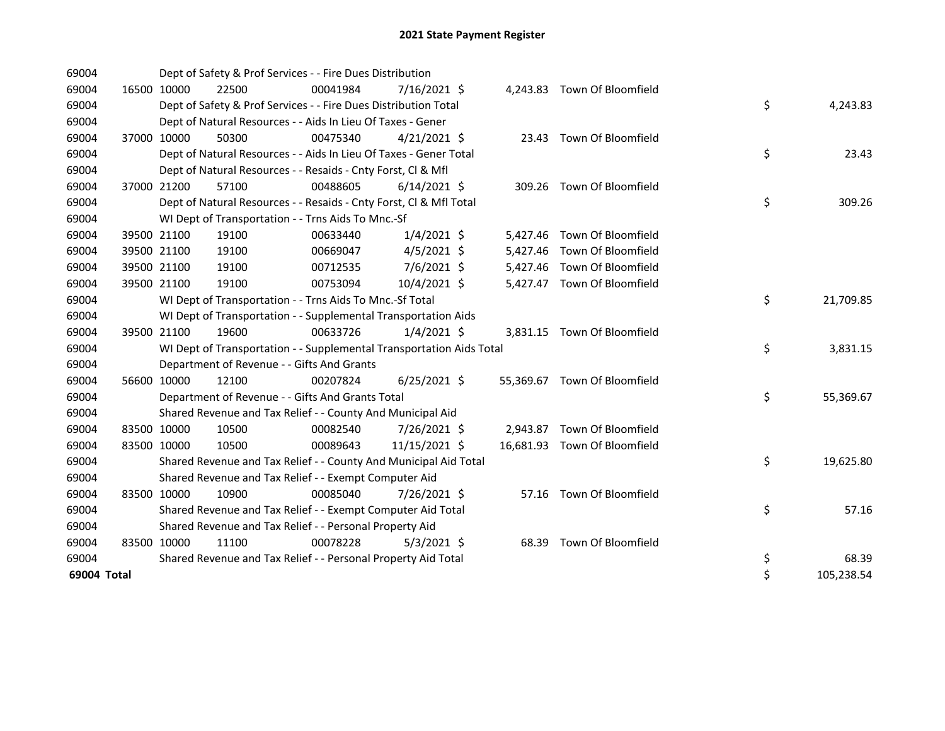| 69004       |             |                                            | Dept of Safety & Prof Services - - Fire Dues Distribution            |                |  |                              |    |            |
|-------------|-------------|--------------------------------------------|----------------------------------------------------------------------|----------------|--|------------------------------|----|------------|
| 69004       | 16500 10000 | 22500                                      | 00041984                                                             | $7/16/2021$ \$ |  | 4,243.83 Town Of Bloomfield  |    |            |
| 69004       |             |                                            | Dept of Safety & Prof Services - - Fire Dues Distribution Total      |                |  |                              | \$ | 4,243.83   |
| 69004       |             |                                            | Dept of Natural Resources - - Aids In Lieu Of Taxes - Gener          |                |  |                              |    |            |
| 69004       | 37000 10000 | 50300                                      | 00475340                                                             | $4/21/2021$ \$ |  | 23.43 Town Of Bloomfield     |    |            |
| 69004       |             |                                            | Dept of Natural Resources - - Aids In Lieu Of Taxes - Gener Total    |                |  |                              | \$ | 23.43      |
| 69004       |             |                                            | Dept of Natural Resources - - Resaids - Cnty Forst, Cl & Mfl         |                |  |                              |    |            |
| 69004       | 37000 21200 | 57100                                      | 00488605                                                             | $6/14/2021$ \$ |  | 309.26 Town Of Bloomfield    |    |            |
| 69004       |             |                                            | Dept of Natural Resources - - Resaids - Cnty Forst, Cl & Mfl Total   |                |  |                              | \$ | 309.26     |
| 69004       |             |                                            | WI Dept of Transportation - - Trns Aids To Mnc.-Sf                   |                |  |                              |    |            |
| 69004       | 39500 21100 | 19100                                      | 00633440                                                             | $1/4/2021$ \$  |  | 5,427.46 Town Of Bloomfield  |    |            |
| 69004       | 39500 21100 | 19100                                      | 00669047                                                             | $4/5/2021$ \$  |  | 5,427.46 Town Of Bloomfield  |    |            |
| 69004       | 39500 21100 | 19100                                      | 00712535                                                             | 7/6/2021 \$    |  | 5,427.46 Town Of Bloomfield  |    |            |
| 69004       | 39500 21100 | 19100                                      | 00753094                                                             | 10/4/2021 \$   |  | 5,427.47 Town Of Bloomfield  |    |            |
| 69004       |             |                                            | WI Dept of Transportation - - Trns Aids To Mnc.-Sf Total             |                |  |                              | \$ | 21,709.85  |
| 69004       |             |                                            | WI Dept of Transportation - - Supplemental Transportation Aids       |                |  |                              |    |            |
| 69004       | 39500 21100 | 19600                                      | 00633726                                                             | $1/4/2021$ \$  |  | 3,831.15 Town Of Bloomfield  |    |            |
| 69004       |             |                                            | WI Dept of Transportation - - Supplemental Transportation Aids Total |                |  |                              | \$ | 3,831.15   |
| 69004       |             | Department of Revenue - - Gifts And Grants |                                                                      |                |  |                              |    |            |
| 69004       | 56600 10000 | 12100                                      | 00207824                                                             | $6/25/2021$ \$ |  | 55,369.67 Town Of Bloomfield |    |            |
| 69004       |             |                                            | Department of Revenue - - Gifts And Grants Total                     |                |  |                              | \$ | 55,369.67  |
| 69004       |             |                                            | Shared Revenue and Tax Relief - - County And Municipal Aid           |                |  |                              |    |            |
| 69004       | 83500 10000 | 10500                                      | 00082540                                                             | 7/26/2021 \$   |  | 2,943.87 Town Of Bloomfield  |    |            |
| 69004       | 83500 10000 | 10500                                      | 00089643                                                             | 11/15/2021 \$  |  | 16,681.93 Town Of Bloomfield |    |            |
| 69004       |             |                                            | Shared Revenue and Tax Relief - - County And Municipal Aid Total     |                |  |                              | \$ | 19,625.80  |
| 69004       |             |                                            | Shared Revenue and Tax Relief - - Exempt Computer Aid                |                |  |                              |    |            |
| 69004       | 83500 10000 | 10900                                      | 00085040                                                             | 7/26/2021 \$   |  | 57.16 Town Of Bloomfield     |    |            |
| 69004       |             |                                            | Shared Revenue and Tax Relief - - Exempt Computer Aid Total          |                |  |                              | \$ | 57.16      |
| 69004       |             |                                            | Shared Revenue and Tax Relief - - Personal Property Aid              |                |  |                              |    |            |
| 69004       | 83500 10000 | 11100                                      | 00078228                                                             | $5/3/2021$ \$  |  | 68.39 Town Of Bloomfield     |    |            |
| 69004       |             |                                            | Shared Revenue and Tax Relief - - Personal Property Aid Total        |                |  |                              | \$ | 68.39      |
| 69004 Total |             |                                            |                                                                      |                |  |                              | \$ | 105,238.54 |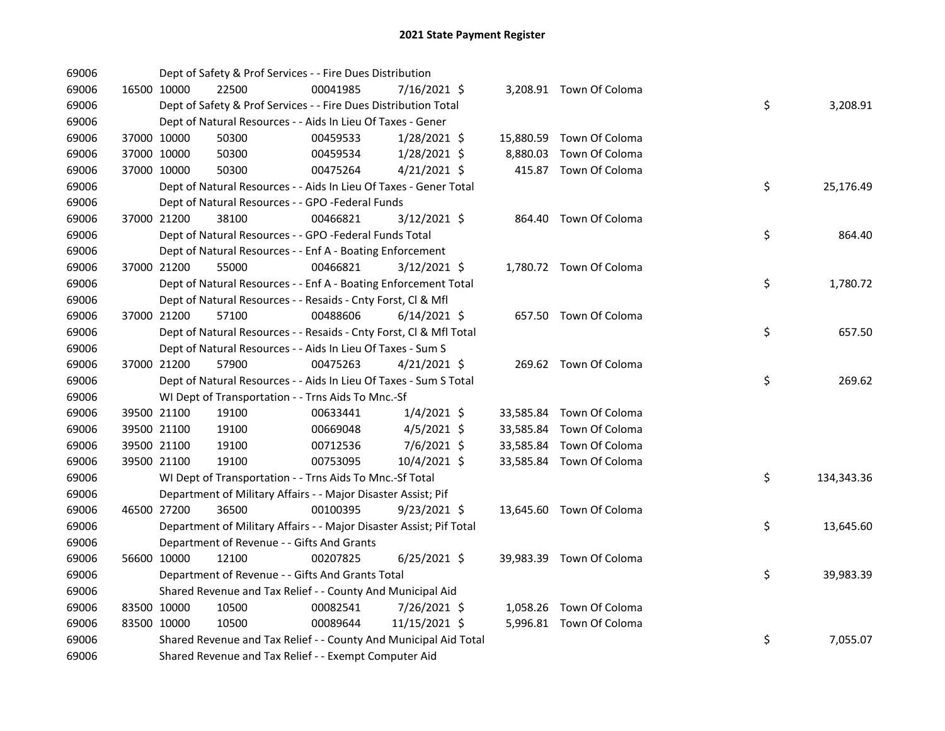| 69006 |             | Dept of Safety & Prof Services - - Fire Dues Distribution           |          |                |  |                          |    |            |
|-------|-------------|---------------------------------------------------------------------|----------|----------------|--|--------------------------|----|------------|
| 69006 | 16500 10000 | 22500                                                               | 00041985 | 7/16/2021 \$   |  | 3,208.91 Town Of Coloma  |    |            |
| 69006 |             | Dept of Safety & Prof Services - - Fire Dues Distribution Total     |          |                |  |                          | \$ | 3,208.91   |
| 69006 |             | Dept of Natural Resources - - Aids In Lieu Of Taxes - Gener         |          |                |  |                          |    |            |
| 69006 | 37000 10000 | 50300                                                               | 00459533 | $1/28/2021$ \$ |  | 15,880.59 Town Of Coloma |    |            |
| 69006 | 37000 10000 | 50300                                                               | 00459534 | $1/28/2021$ \$ |  | 8,880.03 Town Of Coloma  |    |            |
| 69006 | 37000 10000 | 50300                                                               | 00475264 | $4/21/2021$ \$ |  | 415.87 Town Of Coloma    |    |            |
| 69006 |             | Dept of Natural Resources - - Aids In Lieu Of Taxes - Gener Total   |          |                |  |                          | \$ | 25,176.49  |
| 69006 |             | Dept of Natural Resources - - GPO -Federal Funds                    |          |                |  |                          |    |            |
| 69006 | 37000 21200 | 38100                                                               | 00466821 | 3/12/2021 \$   |  | 864.40 Town Of Coloma    |    |            |
| 69006 |             | Dept of Natural Resources - - GPO -Federal Funds Total              |          |                |  |                          | \$ | 864.40     |
| 69006 |             | Dept of Natural Resources - - Enf A - Boating Enforcement           |          |                |  |                          |    |            |
| 69006 | 37000 21200 | 55000                                                               | 00466821 | $3/12/2021$ \$ |  | 1,780.72 Town Of Coloma  |    |            |
| 69006 |             | Dept of Natural Resources - - Enf A - Boating Enforcement Total     |          |                |  |                          | \$ | 1,780.72   |
| 69006 |             | Dept of Natural Resources - - Resaids - Cnty Forst, Cl & Mfl        |          |                |  |                          |    |            |
| 69006 | 37000 21200 | 57100                                                               | 00488606 | $6/14/2021$ \$ |  | 657.50 Town Of Coloma    |    |            |
| 69006 |             | Dept of Natural Resources - - Resaids - Cnty Forst, Cl & Mfl Total  |          |                |  |                          | \$ | 657.50     |
| 69006 |             | Dept of Natural Resources - - Aids In Lieu Of Taxes - Sum S         |          |                |  |                          |    |            |
| 69006 | 37000 21200 | 57900                                                               | 00475263 | $4/21/2021$ \$ |  | 269.62 Town Of Coloma    |    |            |
| 69006 |             | Dept of Natural Resources - - Aids In Lieu Of Taxes - Sum S Total   |          |                |  |                          | \$ | 269.62     |
| 69006 |             | WI Dept of Transportation - - Trns Aids To Mnc.-Sf                  |          |                |  |                          |    |            |
| 69006 | 39500 21100 | 19100                                                               | 00633441 | $1/4/2021$ \$  |  | 33,585.84 Town Of Coloma |    |            |
| 69006 | 39500 21100 | 19100                                                               | 00669048 | $4/5/2021$ \$  |  | 33,585.84 Town Of Coloma |    |            |
| 69006 | 39500 21100 | 19100                                                               | 00712536 | 7/6/2021 \$    |  | 33,585.84 Town Of Coloma |    |            |
| 69006 | 39500 21100 | 19100                                                               | 00753095 | 10/4/2021 \$   |  | 33,585.84 Town Of Coloma |    |            |
| 69006 |             | WI Dept of Transportation - - Trns Aids To Mnc.-Sf Total            |          |                |  |                          | \$ | 134,343.36 |
| 69006 |             | Department of Military Affairs - - Major Disaster Assist; Pif       |          |                |  |                          |    |            |
| 69006 | 46500 27200 | 36500                                                               | 00100395 | $9/23/2021$ \$ |  | 13,645.60 Town Of Coloma |    |            |
| 69006 |             | Department of Military Affairs - - Major Disaster Assist; Pif Total |          |                |  |                          | \$ | 13,645.60  |
| 69006 |             | Department of Revenue - - Gifts And Grants                          |          |                |  |                          |    |            |
| 69006 | 56600 10000 | 12100                                                               | 00207825 | $6/25/2021$ \$ |  | 39,983.39 Town Of Coloma |    |            |
| 69006 |             | Department of Revenue - - Gifts And Grants Total                    |          |                |  |                          | \$ | 39,983.39  |
| 69006 |             | Shared Revenue and Tax Relief - - County And Municipal Aid          |          |                |  |                          |    |            |
| 69006 | 83500 10000 | 10500                                                               | 00082541 | 7/26/2021 \$   |  | 1,058.26 Town Of Coloma  |    |            |
| 69006 | 83500 10000 | 10500                                                               | 00089644 | 11/15/2021 \$  |  | 5,996.81 Town Of Coloma  |    |            |
| 69006 |             | Shared Revenue and Tax Relief - - County And Municipal Aid Total    |          |                |  |                          | \$ | 7,055.07   |
| 69006 |             | Shared Revenue and Tax Relief - - Exempt Computer Aid               |          |                |  |                          |    |            |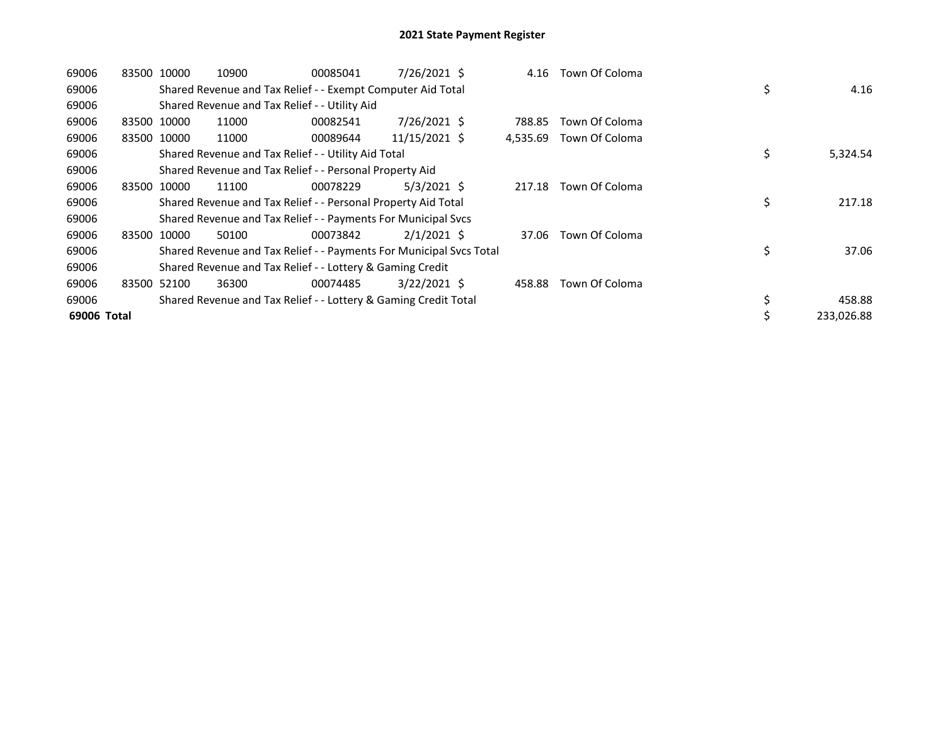| 69006       | 83500 10000 |             | 10900                                                               | 00085041 | $7/26/2021$ \$ | 4.16     | Town Of Coloma |    |            |
|-------------|-------------|-------------|---------------------------------------------------------------------|----------|----------------|----------|----------------|----|------------|
| 69006       |             |             | Shared Revenue and Tax Relief - - Exempt Computer Aid Total         |          |                |          |                | \$ | 4.16       |
| 69006       |             |             | Shared Revenue and Tax Relief - - Utility Aid                       |          |                |          |                |    |            |
| 69006       |             | 83500 10000 | 11000                                                               | 00082541 | 7/26/2021 \$   | 788.85   | Town Of Coloma |    |            |
| 69006       |             | 83500 10000 | 11000                                                               | 00089644 | 11/15/2021 \$  | 4,535.69 | Town Of Coloma |    |            |
| 69006       |             |             | Shared Revenue and Tax Relief - - Utility Aid Total                 |          |                |          |                | \$ | 5,324.54   |
| 69006       |             |             | Shared Revenue and Tax Relief - - Personal Property Aid             |          |                |          |                |    |            |
| 69006       |             | 83500 10000 | 11100                                                               | 00078229 | $5/3/2021$ \$  | 217.18   | Town Of Coloma |    |            |
| 69006       |             |             | Shared Revenue and Tax Relief - - Personal Property Aid Total       |          |                |          |                | \$ | 217.18     |
| 69006       |             |             | Shared Revenue and Tax Relief - - Payments For Municipal Svcs       |          |                |          |                |    |            |
| 69006       | 83500 10000 |             | 50100                                                               | 00073842 | $2/1/2021$ \$  | 37.06    | Town Of Coloma |    |            |
| 69006       |             |             | Shared Revenue and Tax Relief - - Payments For Municipal Svcs Total |          |                |          |                | \$ | 37.06      |
| 69006       |             |             | Shared Revenue and Tax Relief - - Lottery & Gaming Credit           |          |                |          |                |    |            |
| 69006       |             | 83500 52100 | 36300                                                               | 00074485 | $3/22/2021$ \$ | 458.88   | Town Of Coloma |    |            |
| 69006       |             |             | Shared Revenue and Tax Relief - - Lottery & Gaming Credit Total     |          |                |          |                | \$ | 458.88     |
| 69006 Total |             |             |                                                                     |          |                |          |                | \$ | 233,026.88 |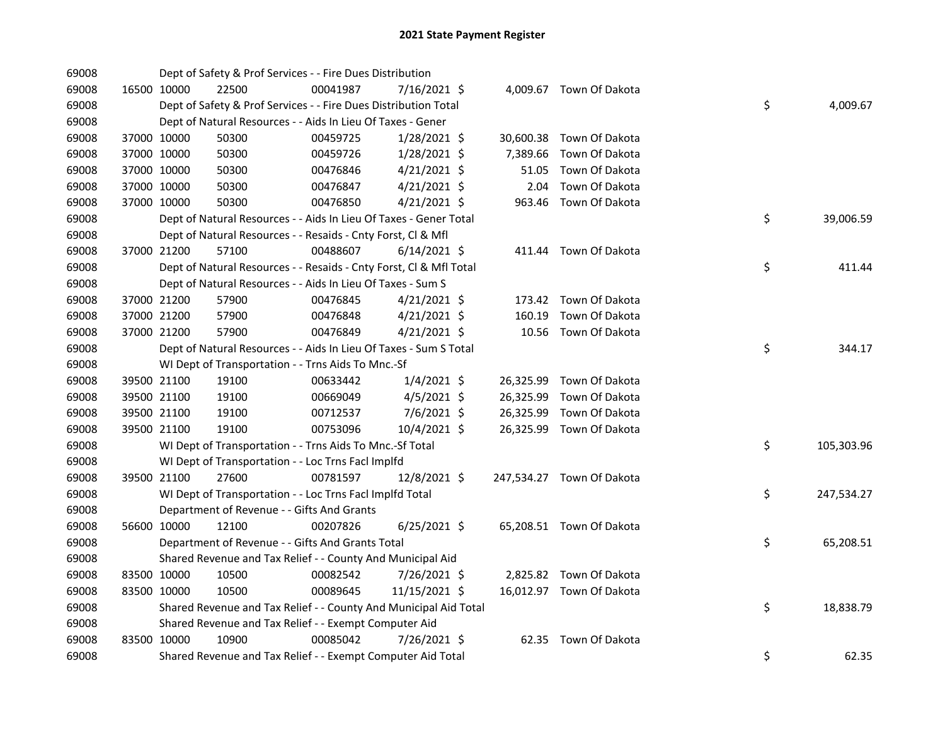| 69008 |             |             | Dept of Safety & Prof Services - - Fire Dues Distribution          |          |                |           |                           |    |            |
|-------|-------------|-------------|--------------------------------------------------------------------|----------|----------------|-----------|---------------------------|----|------------|
| 69008 |             | 16500 10000 | 22500                                                              | 00041987 | 7/16/2021 \$   |           | 4,009.67 Town Of Dakota   |    |            |
| 69008 |             |             | Dept of Safety & Prof Services - - Fire Dues Distribution Total    |          |                |           |                           | \$ | 4,009.67   |
| 69008 |             |             | Dept of Natural Resources - - Aids In Lieu Of Taxes - Gener        |          |                |           |                           |    |            |
| 69008 |             | 37000 10000 | 50300                                                              | 00459725 | $1/28/2021$ \$ |           | 30,600.38 Town Of Dakota  |    |            |
| 69008 |             | 37000 10000 | 50300                                                              | 00459726 | $1/28/2021$ \$ | 7,389.66  | Town Of Dakota            |    |            |
| 69008 |             | 37000 10000 | 50300                                                              | 00476846 | $4/21/2021$ \$ | 51.05     | Town Of Dakota            |    |            |
| 69008 |             | 37000 10000 | 50300                                                              | 00476847 | $4/21/2021$ \$ | 2.04      | Town Of Dakota            |    |            |
| 69008 |             | 37000 10000 | 50300                                                              | 00476850 | $4/21/2021$ \$ | 963.46    | Town Of Dakota            |    |            |
| 69008 |             |             | Dept of Natural Resources - - Aids In Lieu Of Taxes - Gener Total  |          |                |           |                           | \$ | 39,006.59  |
| 69008 |             |             | Dept of Natural Resources - - Resaids - Cnty Forst, Cl & Mfl       |          |                |           |                           |    |            |
| 69008 |             | 37000 21200 | 57100                                                              | 00488607 | $6/14/2021$ \$ |           | 411.44 Town Of Dakota     |    |            |
| 69008 |             |             | Dept of Natural Resources - - Resaids - Cnty Forst, CI & Mfl Total |          |                |           |                           | \$ | 411.44     |
| 69008 |             |             | Dept of Natural Resources - - Aids In Lieu Of Taxes - Sum S        |          |                |           |                           |    |            |
| 69008 |             | 37000 21200 | 57900                                                              | 00476845 | $4/21/2021$ \$ |           | 173.42 Town Of Dakota     |    |            |
| 69008 |             | 37000 21200 | 57900                                                              | 00476848 | $4/21/2021$ \$ | 160.19    | Town Of Dakota            |    |            |
| 69008 |             | 37000 21200 | 57900                                                              | 00476849 | 4/21/2021 \$   |           | 10.56 Town Of Dakota      |    |            |
| 69008 |             |             | Dept of Natural Resources - - Aids In Lieu Of Taxes - Sum S Total  |          |                |           |                           | \$ | 344.17     |
| 69008 |             |             | WI Dept of Transportation - - Trns Aids To Mnc.-Sf                 |          |                |           |                           |    |            |
| 69008 |             | 39500 21100 | 19100                                                              | 00633442 | $1/4/2021$ \$  |           | 26,325.99 Town Of Dakota  |    |            |
| 69008 |             | 39500 21100 | 19100                                                              | 00669049 | $4/5/2021$ \$  | 26,325.99 | Town Of Dakota            |    |            |
| 69008 |             | 39500 21100 | 19100                                                              | 00712537 | 7/6/2021 \$    |           | 26,325.99 Town Of Dakota  |    |            |
| 69008 |             | 39500 21100 | 19100                                                              | 00753096 | 10/4/2021 \$   |           | 26,325.99 Town Of Dakota  |    |            |
| 69008 |             |             | WI Dept of Transportation - - Trns Aids To Mnc.-Sf Total           |          |                |           |                           | \$ | 105,303.96 |
| 69008 |             |             | WI Dept of Transportation - - Loc Trns Facl Implfd                 |          |                |           |                           |    |            |
| 69008 |             | 39500 21100 | 27600                                                              | 00781597 | 12/8/2021 \$   |           | 247,534.27 Town Of Dakota |    |            |
| 69008 |             |             | WI Dept of Transportation - - Loc Trns Facl Implfd Total           |          |                |           |                           | \$ | 247,534.27 |
| 69008 |             |             | Department of Revenue - - Gifts And Grants                         |          |                |           |                           |    |            |
| 69008 |             | 56600 10000 | 12100                                                              | 00207826 | $6/25/2021$ \$ |           | 65,208.51 Town Of Dakota  |    |            |
| 69008 |             |             | Department of Revenue - - Gifts And Grants Total                   |          |                |           |                           | \$ | 65,208.51  |
| 69008 |             |             | Shared Revenue and Tax Relief - - County And Municipal Aid         |          |                |           |                           |    |            |
| 69008 | 83500 10000 |             | 10500                                                              | 00082542 | 7/26/2021 \$   |           | 2,825.82 Town Of Dakota   |    |            |
| 69008 |             | 83500 10000 | 10500                                                              | 00089645 | 11/15/2021 \$  |           | 16,012.97 Town Of Dakota  |    |            |
| 69008 |             |             | Shared Revenue and Tax Relief - - County And Municipal Aid Total   |          |                |           |                           | \$ | 18,838.79  |
| 69008 |             |             | Shared Revenue and Tax Relief - - Exempt Computer Aid              |          |                |           |                           |    |            |
| 69008 |             | 83500 10000 | 10900                                                              | 00085042 | 7/26/2021 \$   |           | 62.35 Town Of Dakota      |    |            |
| 69008 |             |             | Shared Revenue and Tax Relief - - Exempt Computer Aid Total        |          |                |           |                           | \$ | 62.35      |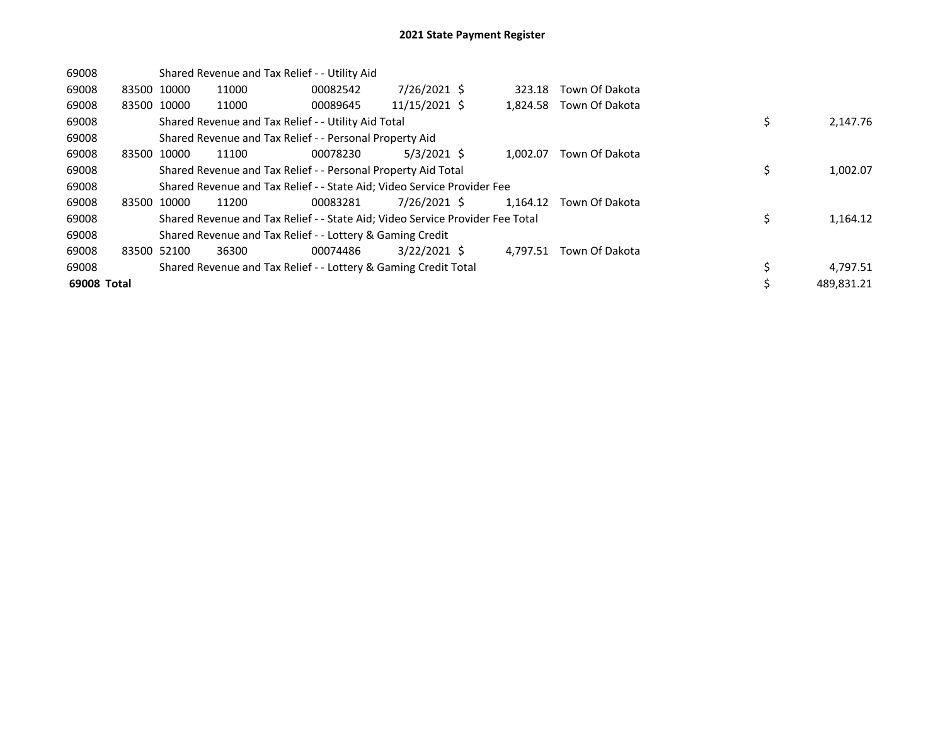| 69008       |             | Shared Revenue and Tax Relief - - Utility Aid                                 |          |                |  |          |                |    |            |  |
|-------------|-------------|-------------------------------------------------------------------------------|----------|----------------|--|----------|----------------|----|------------|--|
| 69008       | 83500 10000 | 11000                                                                         | 00082542 | 7/26/2021 \$   |  | 323.18   | Town Of Dakota |    |            |  |
| 69008       | 83500 10000 | 11000                                                                         | 00089645 | 11/15/2021 \$  |  | 1,824.58 | Town Of Dakota |    |            |  |
| 69008       |             | Shared Revenue and Tax Relief - - Utility Aid Total                           |          |                |  |          |                | \$ | 2,147.76   |  |
| 69008       |             | Shared Revenue and Tax Relief - - Personal Property Aid                       |          |                |  |          |                |    |            |  |
| 69008       | 83500 10000 | 11100                                                                         | 00078230 | $5/3/2021$ \$  |  | 1.002.07 | Town Of Dakota |    |            |  |
| 69008       |             | Shared Revenue and Tax Relief - - Personal Property Aid Total                 |          |                |  |          |                |    | 1,002.07   |  |
| 69008       |             | Shared Revenue and Tax Relief - - State Aid; Video Service Provider Fee       |          |                |  |          |                |    |            |  |
| 69008       | 83500 10000 | 11200                                                                         | 00083281 | 7/26/2021 \$   |  | 1.164.12 | Town Of Dakota |    |            |  |
| 69008       |             | Shared Revenue and Tax Relief - - State Aid; Video Service Provider Fee Total |          |                |  |          |                | \$ | 1,164.12   |  |
| 69008       |             | Shared Revenue and Tax Relief - - Lottery & Gaming Credit                     |          |                |  |          |                |    |            |  |
| 69008       | 83500 52100 | 36300                                                                         | 00074486 | $3/22/2021$ \$ |  | 4.797.51 | Town Of Dakota |    |            |  |
| 69008       |             | Shared Revenue and Tax Relief - - Lottery & Gaming Credit Total               |          |                |  |          |                |    | 4,797.51   |  |
| 69008 Total |             |                                                                               |          |                |  |          |                |    | 489.831.21 |  |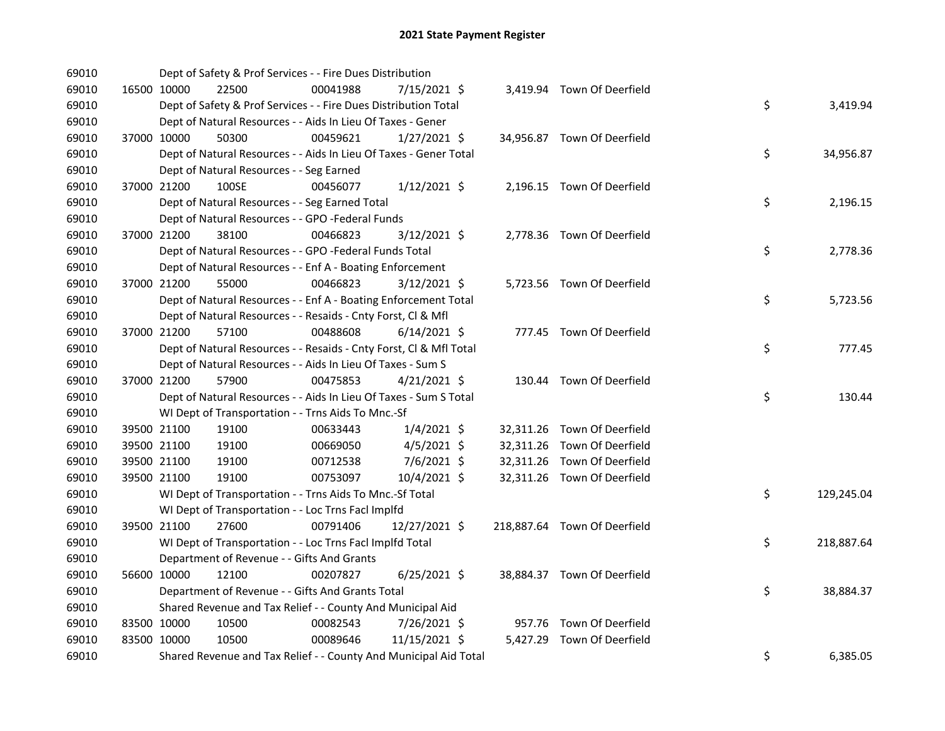| 69010 |             | Dept of Safety & Prof Services - - Fire Dues Distribution          |          |                |  |                              |    |            |
|-------|-------------|--------------------------------------------------------------------|----------|----------------|--|------------------------------|----|------------|
| 69010 | 16500 10000 | 22500                                                              | 00041988 | 7/15/2021 \$   |  | 3,419.94 Town Of Deerfield   |    |            |
| 69010 |             | Dept of Safety & Prof Services - - Fire Dues Distribution Total    |          |                |  |                              | \$ | 3,419.94   |
| 69010 |             | Dept of Natural Resources - - Aids In Lieu Of Taxes - Gener        |          |                |  |                              |    |            |
| 69010 | 37000 10000 | 50300                                                              | 00459621 | $1/27/2021$ \$ |  | 34,956.87 Town Of Deerfield  |    |            |
| 69010 |             | Dept of Natural Resources - - Aids In Lieu Of Taxes - Gener Total  |          |                |  |                              | \$ | 34,956.87  |
| 69010 |             | Dept of Natural Resources - - Seg Earned                           |          |                |  |                              |    |            |
| 69010 | 37000 21200 | 100SE                                                              | 00456077 | $1/12/2021$ \$ |  | 2,196.15 Town Of Deerfield   |    |            |
| 69010 |             | Dept of Natural Resources - - Seg Earned Total                     |          |                |  |                              | \$ | 2,196.15   |
| 69010 |             | Dept of Natural Resources - - GPO -Federal Funds                   |          |                |  |                              |    |            |
| 69010 | 37000 21200 | 38100                                                              | 00466823 | 3/12/2021 \$   |  | 2,778.36 Town Of Deerfield   |    |            |
| 69010 |             | Dept of Natural Resources - - GPO -Federal Funds Total             |          |                |  |                              | \$ | 2,778.36   |
| 69010 |             | Dept of Natural Resources - - Enf A - Boating Enforcement          |          |                |  |                              |    |            |
| 69010 | 37000 21200 | 55000                                                              | 00466823 | $3/12/2021$ \$ |  | 5,723.56 Town Of Deerfield   |    |            |
| 69010 |             | Dept of Natural Resources - - Enf A - Boating Enforcement Total    |          |                |  |                              | \$ | 5,723.56   |
| 69010 |             | Dept of Natural Resources - - Resaids - Cnty Forst, Cl & Mfl       |          |                |  |                              |    |            |
| 69010 | 37000 21200 | 57100                                                              | 00488608 | $6/14/2021$ \$ |  | 777.45 Town Of Deerfield     |    |            |
| 69010 |             | Dept of Natural Resources - - Resaids - Cnty Forst, Cl & Mfl Total |          |                |  |                              | \$ | 777.45     |
| 69010 |             | Dept of Natural Resources - - Aids In Lieu Of Taxes - Sum S        |          |                |  |                              |    |            |
| 69010 | 37000 21200 | 57900                                                              | 00475853 | $4/21/2021$ \$ |  | 130.44 Town Of Deerfield     |    |            |
| 69010 |             | Dept of Natural Resources - - Aids In Lieu Of Taxes - Sum S Total  |          |                |  |                              | \$ | 130.44     |
| 69010 |             | WI Dept of Transportation - - Trns Aids To Mnc.-Sf                 |          |                |  |                              |    |            |
| 69010 | 39500 21100 | 19100                                                              | 00633443 | $1/4/2021$ \$  |  | 32,311.26 Town Of Deerfield  |    |            |
| 69010 | 39500 21100 | 19100                                                              | 00669050 | $4/5/2021$ \$  |  | 32,311.26 Town Of Deerfield  |    |            |
| 69010 | 39500 21100 | 19100                                                              | 00712538 | 7/6/2021 \$    |  | 32,311.26 Town Of Deerfield  |    |            |
| 69010 | 39500 21100 | 19100                                                              | 00753097 | 10/4/2021 \$   |  | 32,311.26 Town Of Deerfield  |    |            |
| 69010 |             | WI Dept of Transportation - - Trns Aids To Mnc.-Sf Total           |          |                |  |                              | \$ | 129,245.04 |
| 69010 |             | WI Dept of Transportation - - Loc Trns Facl Implfd                 |          |                |  |                              |    |            |
| 69010 | 39500 21100 | 27600                                                              | 00791406 | 12/27/2021 \$  |  | 218,887.64 Town Of Deerfield |    |            |
| 69010 |             | WI Dept of Transportation - - Loc Trns Facl Implfd Total           |          |                |  |                              | \$ | 218,887.64 |
| 69010 |             | Department of Revenue - - Gifts And Grants                         |          |                |  |                              |    |            |
| 69010 | 56600 10000 | 12100                                                              | 00207827 | $6/25/2021$ \$ |  | 38,884.37 Town Of Deerfield  |    |            |
| 69010 |             | Department of Revenue - - Gifts And Grants Total                   |          |                |  |                              | \$ | 38,884.37  |
| 69010 |             | Shared Revenue and Tax Relief - - County And Municipal Aid         |          |                |  |                              |    |            |
| 69010 | 83500 10000 | 10500                                                              | 00082543 | 7/26/2021 \$   |  | 957.76 Town Of Deerfield     |    |            |
| 69010 | 83500 10000 | 10500                                                              | 00089646 | 11/15/2021 \$  |  | 5,427.29 Town Of Deerfield   |    |            |
| 69010 |             | Shared Revenue and Tax Relief - - County And Municipal Aid Total   |          |                |  |                              | \$ | 6,385.05   |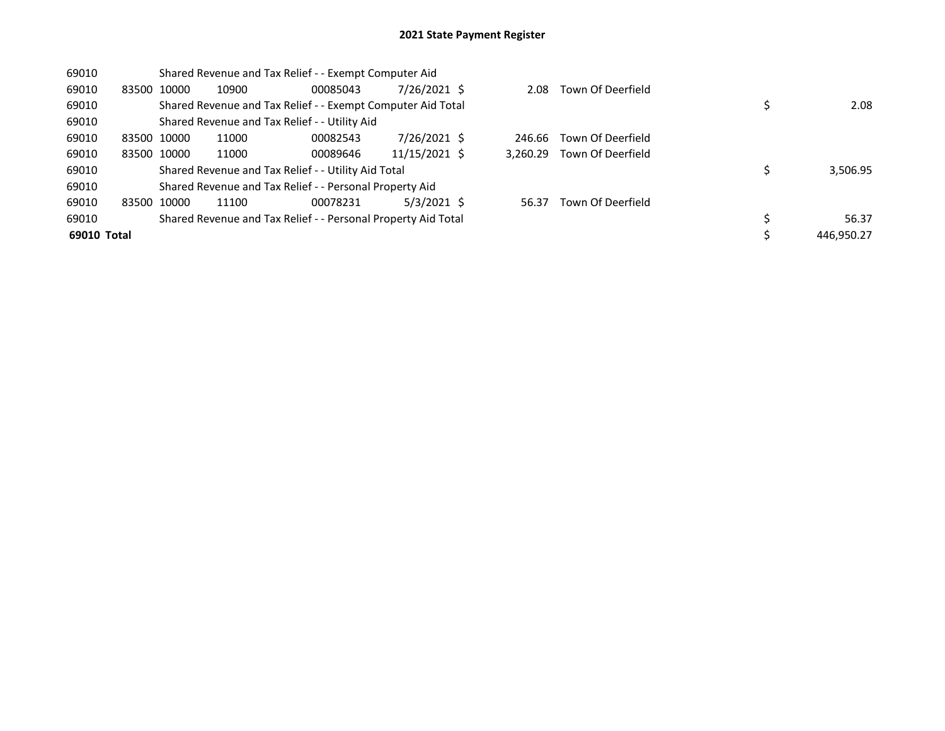| 69010       |             | Shared Revenue and Tax Relief - - Exempt Computer Aid |       |                                                               |               |  |          |                   |  |            |
|-------------|-------------|-------------------------------------------------------|-------|---------------------------------------------------------------|---------------|--|----------|-------------------|--|------------|
| 69010       | 83500       | 10000                                                 | 10900 | 00085043                                                      | 7/26/2021 \$  |  | 2.08     | Town Of Deerfield |  |            |
| 69010       |             |                                                       |       | Shared Revenue and Tax Relief - - Exempt Computer Aid Total   |               |  |          |                   |  | 2.08       |
| 69010       |             |                                                       |       | Shared Revenue and Tax Relief - - Utility Aid                 |               |  |          |                   |  |            |
| 69010       | 83500 10000 |                                                       | 11000 | 00082543                                                      | 7/26/2021 \$  |  | 246.66   | Town Of Deerfield |  |            |
| 69010       |             | 83500 10000                                           | 11000 | 00089646                                                      | 11/15/2021 \$ |  | 3.260.29 | Town Of Deerfield |  |            |
| 69010       |             |                                                       |       | Shared Revenue and Tax Relief - - Utility Aid Total           |               |  |          |                   |  | 3,506.95   |
| 69010       |             |                                                       |       | Shared Revenue and Tax Relief - - Personal Property Aid       |               |  |          |                   |  |            |
| 69010       |             | 83500 10000                                           | 11100 | 00078231                                                      | $5/3/2021$ \$ |  | 56.37    | Town Of Deerfield |  |            |
| 69010       |             |                                                       |       | Shared Revenue and Tax Relief - - Personal Property Aid Total |               |  |          |                   |  | 56.37      |
| 69010 Total |             |                                                       |       |                                                               |               |  |          |                   |  | 446.950.27 |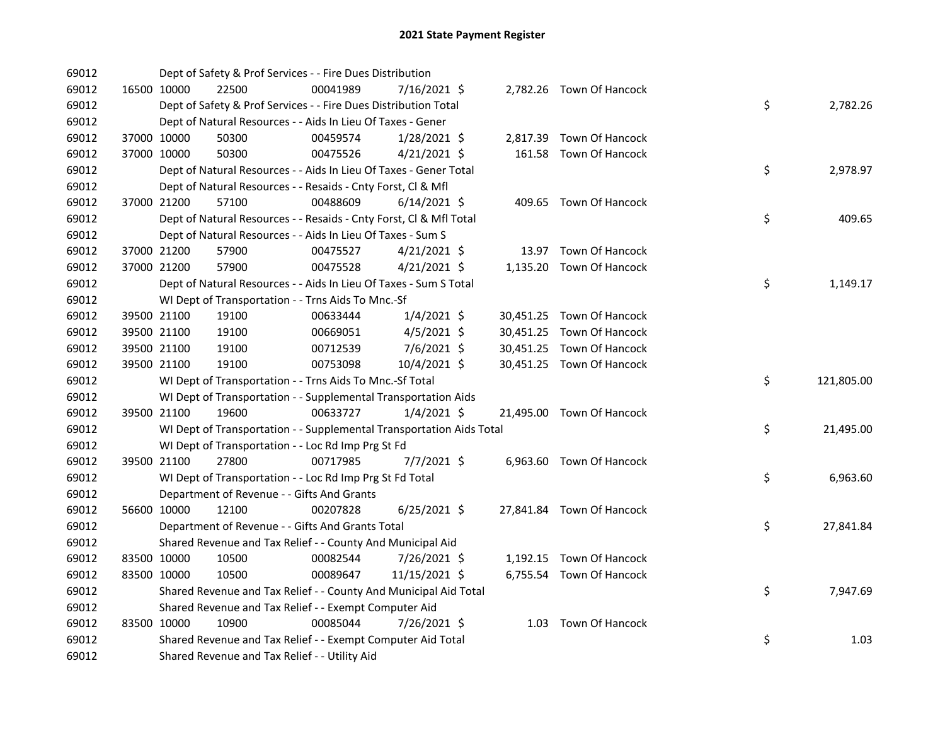| 69012 |             |             | Dept of Safety & Prof Services - - Fire Dues Distribution            |          |                |  |                           |    |            |
|-------|-------------|-------------|----------------------------------------------------------------------|----------|----------------|--|---------------------------|----|------------|
| 69012 |             | 16500 10000 | 22500                                                                | 00041989 | 7/16/2021 \$   |  | 2,782.26 Town Of Hancock  |    |            |
| 69012 |             |             | Dept of Safety & Prof Services - - Fire Dues Distribution Total      |          |                |  |                           | \$ | 2,782.26   |
| 69012 |             |             | Dept of Natural Resources - - Aids In Lieu Of Taxes - Gener          |          |                |  |                           |    |            |
| 69012 |             | 37000 10000 | 50300                                                                | 00459574 | $1/28/2021$ \$ |  | 2,817.39 Town Of Hancock  |    |            |
| 69012 | 37000 10000 |             | 50300                                                                | 00475526 | $4/21/2021$ \$ |  | 161.58 Town Of Hancock    |    |            |
| 69012 |             |             | Dept of Natural Resources - - Aids In Lieu Of Taxes - Gener Total    |          |                |  |                           | \$ | 2,978.97   |
| 69012 |             |             | Dept of Natural Resources - - Resaids - Cnty Forst, Cl & Mfl         |          |                |  |                           |    |            |
| 69012 |             | 37000 21200 | 57100                                                                | 00488609 | $6/14/2021$ \$ |  | 409.65 Town Of Hancock    |    |            |
| 69012 |             |             | Dept of Natural Resources - - Resaids - Cnty Forst, CI & Mfl Total   |          |                |  |                           | \$ | 409.65     |
| 69012 |             |             | Dept of Natural Resources - - Aids In Lieu Of Taxes - Sum S          |          |                |  |                           |    |            |
| 69012 |             | 37000 21200 | 57900                                                                | 00475527 | $4/21/2021$ \$ |  | 13.97 Town Of Hancock     |    |            |
| 69012 | 37000 21200 |             | 57900                                                                | 00475528 | $4/21/2021$ \$ |  | 1,135.20 Town Of Hancock  |    |            |
| 69012 |             |             | Dept of Natural Resources - - Aids In Lieu Of Taxes - Sum S Total    |          |                |  |                           | \$ | 1,149.17   |
| 69012 |             |             | WI Dept of Transportation - - Trns Aids To Mnc.-Sf                   |          |                |  |                           |    |            |
| 69012 |             | 39500 21100 | 19100                                                                | 00633444 | 1/4/2021 \$    |  | 30,451.25 Town Of Hancock |    |            |
| 69012 |             | 39500 21100 | 19100                                                                | 00669051 | $4/5/2021$ \$  |  | 30,451.25 Town Of Hancock |    |            |
| 69012 |             | 39500 21100 | 19100                                                                | 00712539 | $7/6/2021$ \$  |  | 30,451.25 Town Of Hancock |    |            |
| 69012 |             | 39500 21100 | 19100                                                                | 00753098 | 10/4/2021 \$   |  | 30,451.25 Town Of Hancock |    |            |
| 69012 |             |             | WI Dept of Transportation - - Trns Aids To Mnc.-Sf Total             |          |                |  |                           | \$ | 121,805.00 |
| 69012 |             |             | WI Dept of Transportation - - Supplemental Transportation Aids       |          |                |  |                           |    |            |
| 69012 |             | 39500 21100 | 19600                                                                | 00633727 | $1/4/2021$ \$  |  | 21,495.00 Town Of Hancock |    |            |
| 69012 |             |             | WI Dept of Transportation - - Supplemental Transportation Aids Total |          |                |  |                           | \$ | 21,495.00  |
| 69012 |             |             | WI Dept of Transportation - - Loc Rd Imp Prg St Fd                   |          |                |  |                           |    |            |
| 69012 | 39500 21100 |             | 27800                                                                | 00717985 | $7/7/2021$ \$  |  | 6,963.60 Town Of Hancock  |    |            |
| 69012 |             |             | WI Dept of Transportation - - Loc Rd Imp Prg St Fd Total             |          |                |  |                           | \$ | 6,963.60   |
| 69012 |             |             | Department of Revenue - - Gifts And Grants                           |          |                |  |                           |    |            |
| 69012 |             | 56600 10000 | 12100                                                                | 00207828 | $6/25/2021$ \$ |  | 27,841.84 Town Of Hancock |    |            |
| 69012 |             |             | Department of Revenue - - Gifts And Grants Total                     |          |                |  |                           | \$ | 27,841.84  |
| 69012 |             |             | Shared Revenue and Tax Relief - - County And Municipal Aid           |          |                |  |                           |    |            |
| 69012 |             | 83500 10000 | 10500                                                                | 00082544 | 7/26/2021 \$   |  | 1,192.15 Town Of Hancock  |    |            |
| 69012 |             | 83500 10000 | 10500                                                                | 00089647 | 11/15/2021 \$  |  | 6,755.54 Town Of Hancock  |    |            |
| 69012 |             |             | Shared Revenue and Tax Relief - - County And Municipal Aid Total     |          |                |  |                           | \$ | 7,947.69   |
| 69012 |             |             | Shared Revenue and Tax Relief - - Exempt Computer Aid                |          |                |  |                           |    |            |
| 69012 |             | 83500 10000 | 10900                                                                | 00085044 | 7/26/2021 \$   |  | 1.03 Town Of Hancock      |    |            |
| 69012 |             |             | Shared Revenue and Tax Relief - - Exempt Computer Aid Total          |          |                |  |                           | \$ | 1.03       |
| 69012 |             |             | Shared Revenue and Tax Relief - - Utility Aid                        |          |                |  |                           |    |            |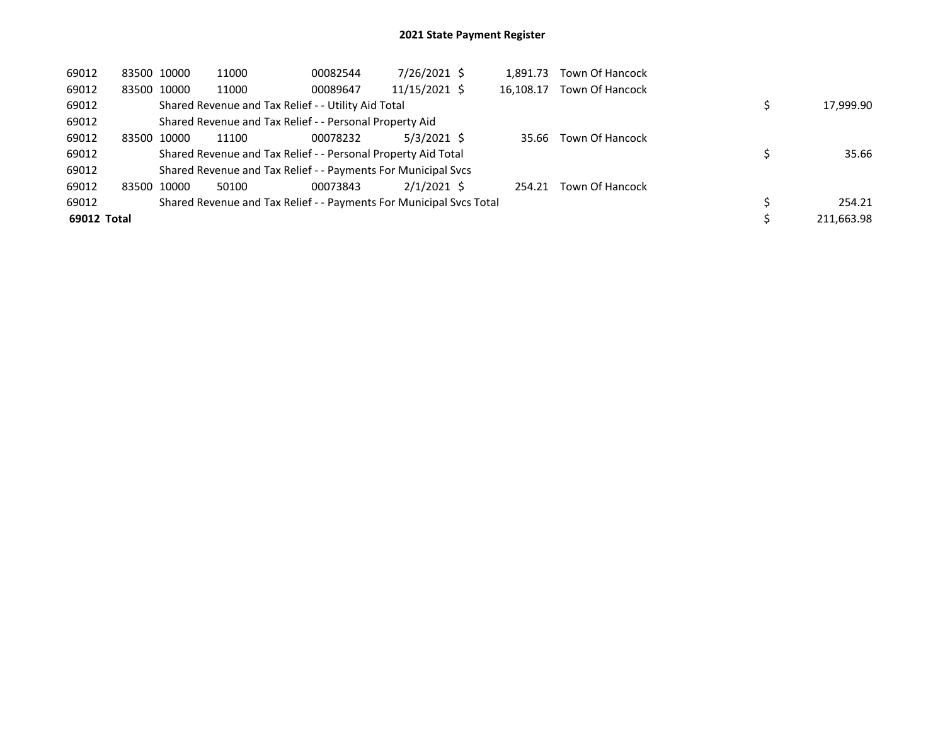| 69012       | 83500 10000 | 11000 | 00082544                                                            | 7/26/2021 \$  | 1,891.73  | Town Of Hancock        |            |
|-------------|-------------|-------|---------------------------------------------------------------------|---------------|-----------|------------------------|------------|
| 69012       | 83500 10000 | 11000 | 00089647                                                            | 11/15/2021 \$ | 16.108.17 | Town Of Hancock        |            |
| 69012       |             |       | Shared Revenue and Tax Relief - - Utility Aid Total                 |               |           |                        | 17,999.90  |
| 69012       |             |       | Shared Revenue and Tax Relief - - Personal Property Aid             |               |           |                        |            |
| 69012       | 83500 10000 | 11100 | 00078232                                                            | $5/3/2021$ \$ | 35.66     | Town Of Hancock        |            |
| 69012       |             |       | Shared Revenue and Tax Relief - - Personal Property Aid Total       |               |           |                        | 35.66      |
| 69012       |             |       | Shared Revenue and Tax Relief - - Payments For Municipal Svcs       |               |           |                        |            |
| 69012       | 83500 10000 | 50100 | 00073843                                                            | $2/1/2021$ \$ | 254.21    | <b>Town Of Hancock</b> |            |
| 69012       |             |       | Shared Revenue and Tax Relief - - Payments For Municipal Svcs Total |               |           |                        | 254.21     |
| 69012 Total |             |       |                                                                     |               |           |                        | 211.663.98 |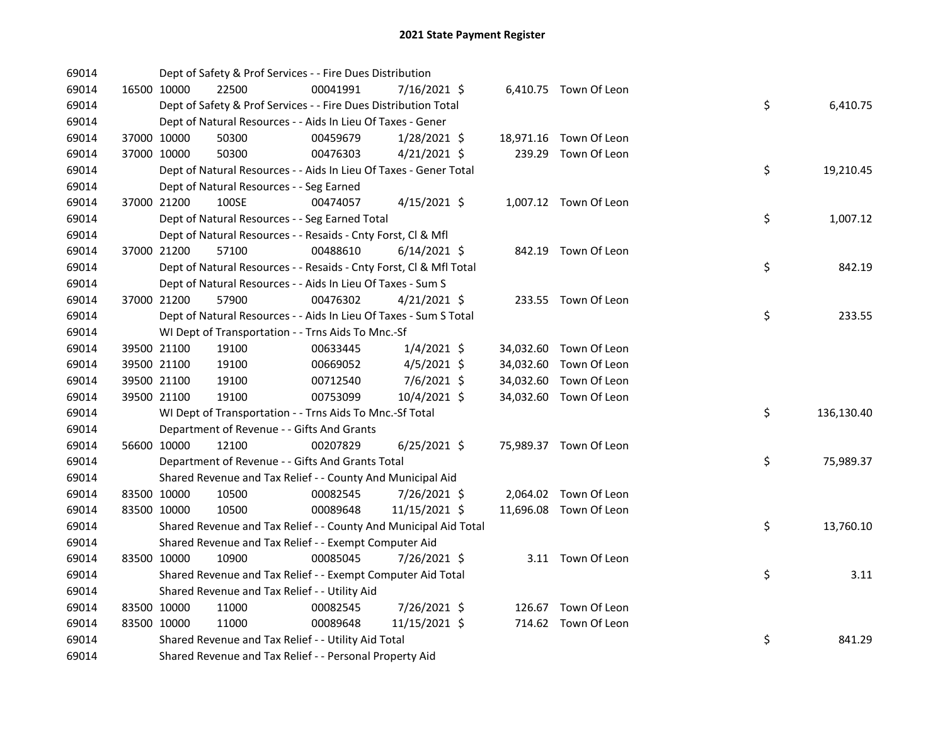| 69014 |             | Dept of Safety & Prof Services - - Fire Dues Distribution          |          |                |  |                        |    |            |
|-------|-------------|--------------------------------------------------------------------|----------|----------------|--|------------------------|----|------------|
| 69014 | 16500 10000 | 22500                                                              | 00041991 | 7/16/2021 \$   |  | 6,410.75 Town Of Leon  |    |            |
| 69014 |             | Dept of Safety & Prof Services - - Fire Dues Distribution Total    |          |                |  |                        | \$ | 6,410.75   |
| 69014 |             | Dept of Natural Resources - - Aids In Lieu Of Taxes - Gener        |          |                |  |                        |    |            |
| 69014 | 37000 10000 | 50300                                                              | 00459679 | 1/28/2021 \$   |  | 18,971.16 Town Of Leon |    |            |
| 69014 | 37000 10000 | 50300                                                              | 00476303 | $4/21/2021$ \$ |  | 239.29 Town Of Leon    |    |            |
| 69014 |             | Dept of Natural Resources - - Aids In Lieu Of Taxes - Gener Total  |          |                |  |                        | \$ | 19,210.45  |
| 69014 |             | Dept of Natural Resources - - Seg Earned                           |          |                |  |                        |    |            |
| 69014 | 37000 21200 | 100SE                                                              | 00474057 | $4/15/2021$ \$ |  | 1,007.12 Town Of Leon  |    |            |
| 69014 |             | Dept of Natural Resources - - Seg Earned Total                     |          |                |  |                        | \$ | 1,007.12   |
| 69014 |             | Dept of Natural Resources - - Resaids - Cnty Forst, Cl & Mfl       |          |                |  |                        |    |            |
| 69014 | 37000 21200 | 57100                                                              | 00488610 | $6/14/2021$ \$ |  | 842.19 Town Of Leon    |    |            |
| 69014 |             | Dept of Natural Resources - - Resaids - Cnty Forst, Cl & Mfl Total |          |                |  |                        | \$ | 842.19     |
| 69014 |             | Dept of Natural Resources - - Aids In Lieu Of Taxes - Sum S        |          |                |  |                        |    |            |
| 69014 | 37000 21200 | 57900                                                              | 00476302 | $4/21/2021$ \$ |  | 233.55 Town Of Leon    |    |            |
| 69014 |             | Dept of Natural Resources - - Aids In Lieu Of Taxes - Sum S Total  |          |                |  |                        | \$ | 233.55     |
| 69014 |             | WI Dept of Transportation - - Trns Aids To Mnc.-Sf                 |          |                |  |                        |    |            |
| 69014 | 39500 21100 | 19100                                                              | 00633445 | $1/4/2021$ \$  |  | 34,032.60 Town Of Leon |    |            |
| 69014 | 39500 21100 | 19100                                                              | 00669052 | 4/5/2021 \$    |  | 34,032.60 Town Of Leon |    |            |
| 69014 | 39500 21100 | 19100                                                              | 00712540 | 7/6/2021 \$    |  | 34,032.60 Town Of Leon |    |            |
| 69014 | 39500 21100 | 19100                                                              | 00753099 | 10/4/2021 \$   |  | 34,032.60 Town Of Leon |    |            |
| 69014 |             | WI Dept of Transportation - - Trns Aids To Mnc.-Sf Total           |          |                |  |                        | \$ | 136,130.40 |
| 69014 |             | Department of Revenue - - Gifts And Grants                         |          |                |  |                        |    |            |
| 69014 | 56600 10000 | 12100                                                              | 00207829 | $6/25/2021$ \$ |  | 75,989.37 Town Of Leon |    |            |
| 69014 |             | Department of Revenue - - Gifts And Grants Total                   |          |                |  |                        | \$ | 75,989.37  |
| 69014 |             | Shared Revenue and Tax Relief - - County And Municipal Aid         |          |                |  |                        |    |            |
| 69014 | 83500 10000 | 10500                                                              | 00082545 | 7/26/2021 \$   |  | 2,064.02 Town Of Leon  |    |            |
| 69014 | 83500 10000 | 10500                                                              | 00089648 | 11/15/2021 \$  |  | 11,696.08 Town Of Leon |    |            |
| 69014 |             | Shared Revenue and Tax Relief - - County And Municipal Aid Total   |          |                |  |                        | \$ | 13,760.10  |
| 69014 |             | Shared Revenue and Tax Relief - - Exempt Computer Aid              |          |                |  |                        |    |            |
| 69014 | 83500 10000 | 10900                                                              | 00085045 | 7/26/2021 \$   |  | 3.11 Town Of Leon      |    |            |
| 69014 |             | Shared Revenue and Tax Relief - - Exempt Computer Aid Total        |          |                |  |                        | \$ | 3.11       |
| 69014 |             | Shared Revenue and Tax Relief - - Utility Aid                      |          |                |  |                        |    |            |
| 69014 | 83500 10000 | 11000                                                              | 00082545 | 7/26/2021 \$   |  | 126.67 Town Of Leon    |    |            |
| 69014 | 83500 10000 | 11000                                                              | 00089648 | 11/15/2021 \$  |  | 714.62 Town Of Leon    |    |            |
| 69014 |             | Shared Revenue and Tax Relief - - Utility Aid Total                |          |                |  |                        | \$ | 841.29     |
| 69014 |             | Shared Revenue and Tax Relief - - Personal Property Aid            |          |                |  |                        |    |            |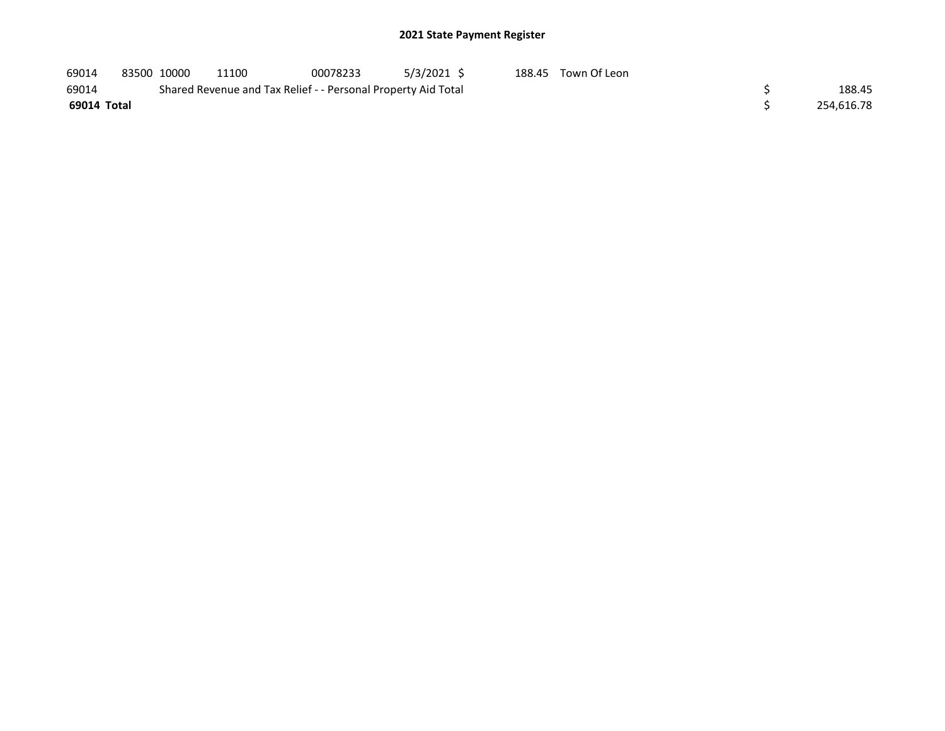| 69014       | 83500 10000 | 11100                                                         | 00078233 | 5/3/2021 \$ | 188.45 Town Of Leon |            |
|-------------|-------------|---------------------------------------------------------------|----------|-------------|---------------------|------------|
| 69014       |             | Shared Revenue and Tax Relief - - Personal Property Aid Total |          |             |                     | 188.45     |
| 69014 Total |             |                                                               |          |             |                     | 254.616.78 |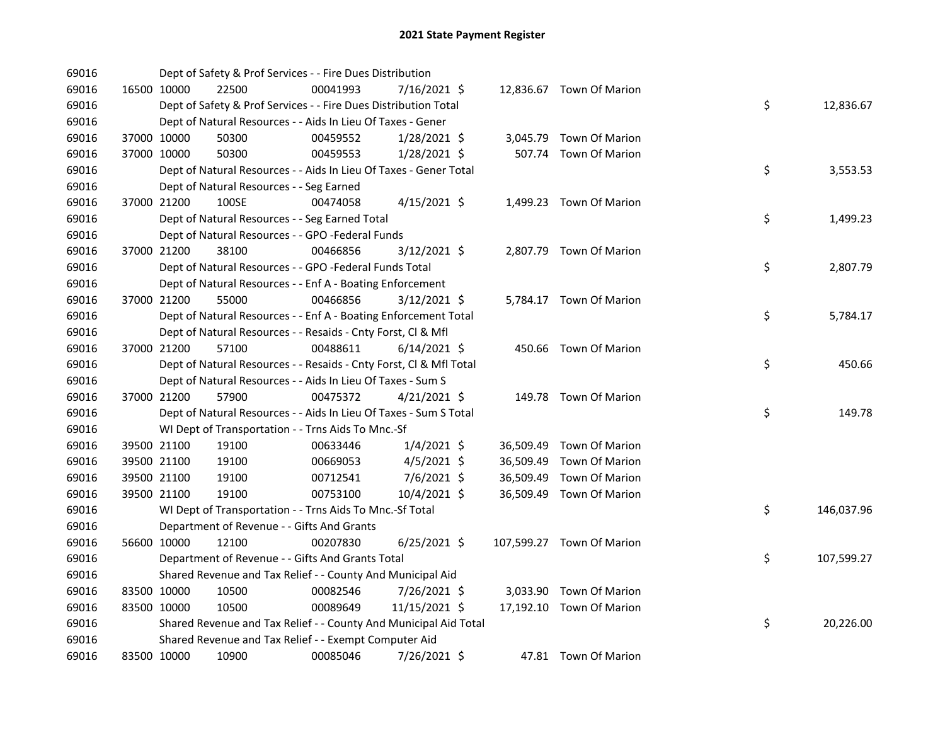| 69016 |             |             | Dept of Safety & Prof Services - - Fire Dues Distribution          |          |                |  |                           |    |            |
|-------|-------------|-------------|--------------------------------------------------------------------|----------|----------------|--|---------------------------|----|------------|
| 69016 |             | 16500 10000 | 22500                                                              | 00041993 | 7/16/2021 \$   |  | 12,836.67 Town Of Marion  |    |            |
| 69016 |             |             | Dept of Safety & Prof Services - - Fire Dues Distribution Total    |          |                |  |                           | \$ | 12,836.67  |
| 69016 |             |             | Dept of Natural Resources - - Aids In Lieu Of Taxes - Gener        |          |                |  |                           |    |            |
| 69016 |             | 37000 10000 | 50300                                                              | 00459552 | 1/28/2021 \$   |  | 3,045.79 Town Of Marion   |    |            |
| 69016 | 37000 10000 |             | 50300                                                              | 00459553 | $1/28/2021$ \$ |  | 507.74 Town Of Marion     |    |            |
| 69016 |             |             | Dept of Natural Resources - - Aids In Lieu Of Taxes - Gener Total  |          |                |  |                           | \$ | 3,553.53   |
| 69016 |             |             | Dept of Natural Resources - - Seg Earned                           |          |                |  |                           |    |            |
| 69016 |             | 37000 21200 | 100SE                                                              | 00474058 | $4/15/2021$ \$ |  | 1,499.23 Town Of Marion   |    |            |
| 69016 |             |             | Dept of Natural Resources - - Seg Earned Total                     |          |                |  |                           | \$ | 1,499.23   |
| 69016 |             |             | Dept of Natural Resources - - GPO -Federal Funds                   |          |                |  |                           |    |            |
| 69016 |             | 37000 21200 | 38100                                                              | 00466856 | 3/12/2021 \$   |  | 2,807.79 Town Of Marion   |    |            |
| 69016 |             |             | Dept of Natural Resources - - GPO -Federal Funds Total             |          |                |  |                           | \$ | 2,807.79   |
| 69016 |             |             | Dept of Natural Resources - - Enf A - Boating Enforcement          |          |                |  |                           |    |            |
| 69016 |             | 37000 21200 | 55000                                                              | 00466856 | $3/12/2021$ \$ |  | 5,784.17 Town Of Marion   |    |            |
| 69016 |             |             | Dept of Natural Resources - - Enf A - Boating Enforcement Total    |          |                |  |                           | \$ | 5,784.17   |
| 69016 |             |             | Dept of Natural Resources - - Resaids - Cnty Forst, Cl & Mfl       |          |                |  |                           |    |            |
| 69016 | 37000 21200 |             | 57100                                                              | 00488611 | $6/14/2021$ \$ |  | 450.66 Town Of Marion     |    |            |
| 69016 |             |             | Dept of Natural Resources - - Resaids - Cnty Forst, Cl & Mfl Total |          |                |  |                           | \$ | 450.66     |
| 69016 |             |             | Dept of Natural Resources - - Aids In Lieu Of Taxes - Sum S        |          |                |  |                           |    |            |
| 69016 |             | 37000 21200 | 57900                                                              | 00475372 | $4/21/2021$ \$ |  | 149.78 Town Of Marion     |    |            |
| 69016 |             |             | Dept of Natural Resources - - Aids In Lieu Of Taxes - Sum S Total  |          |                |  |                           | \$ | 149.78     |
| 69016 |             |             | WI Dept of Transportation - - Trns Aids To Mnc.-Sf                 |          |                |  |                           |    |            |
| 69016 |             | 39500 21100 | 19100                                                              | 00633446 | $1/4/2021$ \$  |  | 36,509.49 Town Of Marion  |    |            |
| 69016 | 39500 21100 |             | 19100                                                              | 00669053 | $4/5/2021$ \$  |  | 36,509.49 Town Of Marion  |    |            |
| 69016 | 39500 21100 |             | 19100                                                              | 00712541 | 7/6/2021 \$    |  | 36,509.49 Town Of Marion  |    |            |
| 69016 |             | 39500 21100 | 19100                                                              | 00753100 | 10/4/2021 \$   |  | 36,509.49 Town Of Marion  |    |            |
| 69016 |             |             | WI Dept of Transportation - - Trns Aids To Mnc.-Sf Total           |          |                |  |                           | \$ | 146,037.96 |
| 69016 |             |             | Department of Revenue - - Gifts And Grants                         |          |                |  |                           |    |            |
| 69016 |             | 56600 10000 | 12100                                                              | 00207830 | $6/25/2021$ \$ |  | 107,599.27 Town Of Marion |    |            |
| 69016 |             |             | Department of Revenue - - Gifts And Grants Total                   |          |                |  |                           | \$ | 107,599.27 |
| 69016 |             |             | Shared Revenue and Tax Relief - - County And Municipal Aid         |          |                |  |                           |    |            |
| 69016 | 83500 10000 |             | 10500                                                              | 00082546 | 7/26/2021 \$   |  | 3,033.90 Town Of Marion   |    |            |
| 69016 | 83500 10000 |             | 10500                                                              | 00089649 | 11/15/2021 \$  |  | 17,192.10 Town Of Marion  |    |            |
| 69016 |             |             | Shared Revenue and Tax Relief - - County And Municipal Aid Total   |          |                |  |                           | \$ | 20,226.00  |
| 69016 |             |             | Shared Revenue and Tax Relief - - Exempt Computer Aid              |          |                |  |                           |    |            |
| 69016 |             | 83500 10000 | 10900                                                              | 00085046 | 7/26/2021 \$   |  | 47.81 Town Of Marion      |    |            |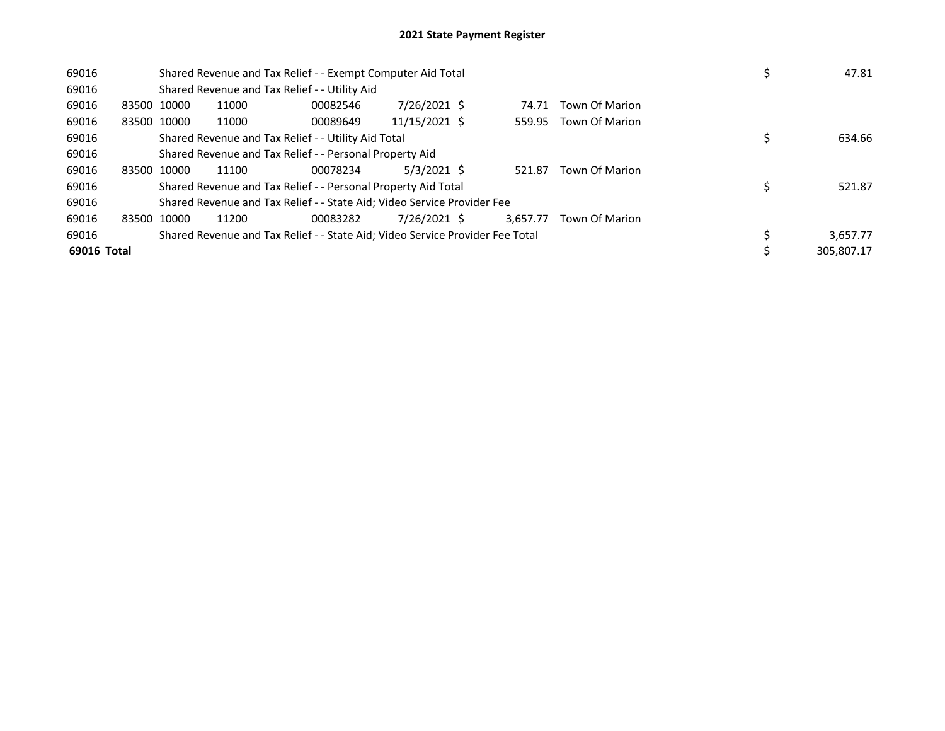| 69016       |             |                                                                               | Shared Revenue and Tax Relief - - Exempt Computer Aid Total             |               | 47.81    |                       |            |
|-------------|-------------|-------------------------------------------------------------------------------|-------------------------------------------------------------------------|---------------|----------|-----------------------|------------|
| 69016       |             |                                                                               | Shared Revenue and Tax Relief - - Utility Aid                           |               |          |                       |            |
| 69016       | 83500 10000 | 11000                                                                         | 00082546                                                                | 7/26/2021 \$  | 74.71    | Town Of Marion        |            |
| 69016       | 83500 10000 | 11000                                                                         | 00089649                                                                | 11/15/2021 \$ |          | 559.95 Town Of Marion |            |
| 69016       |             |                                                                               | Shared Revenue and Tax Relief - - Utility Aid Total                     |               |          |                       | 634.66     |
| 69016       |             | Shared Revenue and Tax Relief - - Personal Property Aid                       |                                                                         |               |          |                       |            |
| 69016       | 83500 10000 | 11100                                                                         | 00078234                                                                | $5/3/2021$ \$ | 521.87   | <b>Town Of Marion</b> |            |
| 69016       |             |                                                                               | Shared Revenue and Tax Relief - - Personal Property Aid Total           |               |          |                       | 521.87     |
| 69016       |             |                                                                               | Shared Revenue and Tax Relief - - State Aid; Video Service Provider Fee |               |          |                       |            |
| 69016       | 83500 10000 | 11200                                                                         | 00083282                                                                | 7/26/2021 \$  | 3.657.77 | <b>Town Of Marion</b> |            |
| 69016       |             | Shared Revenue and Tax Relief - - State Aid; Video Service Provider Fee Total | 3,657.77                                                                |               |          |                       |            |
| 69016 Total |             |                                                                               |                                                                         |               |          |                       | 305.807.17 |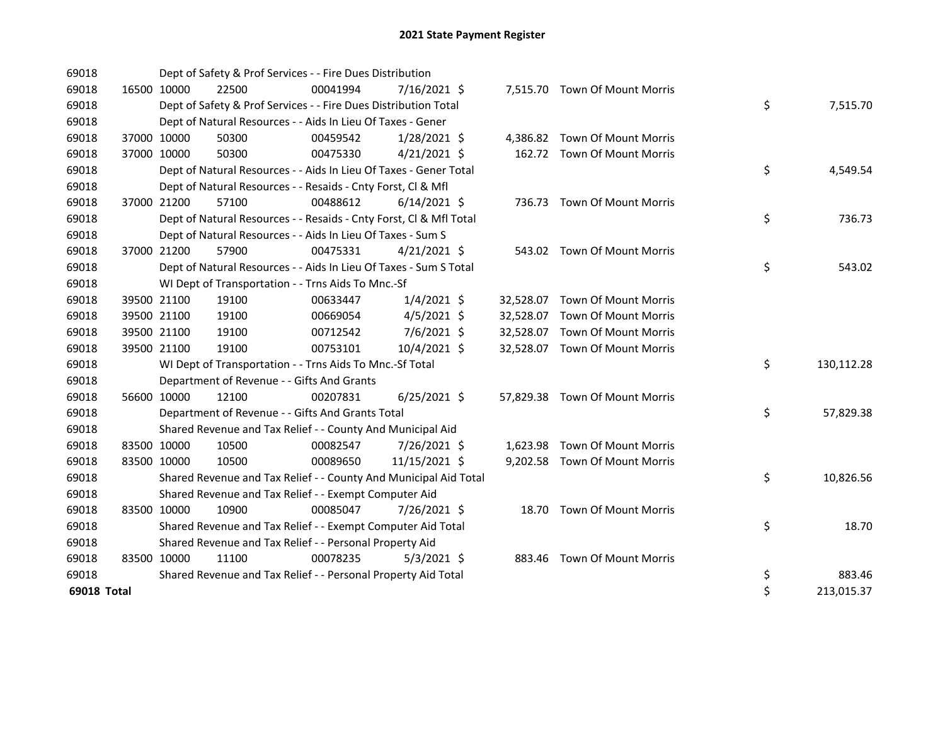| 69018       |             |             | Dept of Safety & Prof Services - - Fire Dues Distribution          |          |                |           |                                |    |            |
|-------------|-------------|-------------|--------------------------------------------------------------------|----------|----------------|-----------|--------------------------------|----|------------|
| 69018       | 16500 10000 |             | 22500                                                              | 00041994 | 7/16/2021 \$   |           | 7,515.70 Town Of Mount Morris  |    |            |
| 69018       |             |             | Dept of Safety & Prof Services - - Fire Dues Distribution Total    |          |                |           |                                | \$ | 7,515.70   |
| 69018       |             |             | Dept of Natural Resources - - Aids In Lieu Of Taxes - Gener        |          |                |           |                                |    |            |
| 69018       | 37000 10000 |             | 50300                                                              | 00459542 | $1/28/2021$ \$ |           | 4,386.82 Town Of Mount Morris  |    |            |
| 69018       | 37000 10000 |             | 50300                                                              | 00475330 | $4/21/2021$ \$ |           | 162.72 Town Of Mount Morris    |    |            |
| 69018       |             |             | Dept of Natural Resources - - Aids In Lieu Of Taxes - Gener Total  |          |                |           |                                | \$ | 4,549.54   |
| 69018       |             |             | Dept of Natural Resources - - Resaids - Cnty Forst, Cl & Mfl       |          |                |           |                                |    |            |
| 69018       | 37000 21200 |             | 57100                                                              | 00488612 | $6/14/2021$ \$ |           | 736.73 Town Of Mount Morris    |    |            |
| 69018       |             |             | Dept of Natural Resources - - Resaids - Cnty Forst, CI & Mfl Total |          |                |           |                                | \$ | 736.73     |
| 69018       |             |             | Dept of Natural Resources - - Aids In Lieu Of Taxes - Sum S        |          |                |           |                                |    |            |
| 69018       | 37000 21200 |             | 57900                                                              | 00475331 | $4/21/2021$ \$ |           | 543.02 Town Of Mount Morris    |    |            |
| 69018       |             |             | Dept of Natural Resources - - Aids In Lieu Of Taxes - Sum S Total  |          |                |           |                                | \$ | 543.02     |
| 69018       |             |             | WI Dept of Transportation - - Trns Aids To Mnc.-Sf                 |          |                |           |                                |    |            |
| 69018       |             | 39500 21100 | 19100                                                              | 00633447 | $1/4/2021$ \$  |           | 32,528.07 Town Of Mount Morris |    |            |
| 69018       | 39500 21100 |             | 19100                                                              | 00669054 | $4/5/2021$ \$  | 32,528.07 | <b>Town Of Mount Morris</b>    |    |            |
| 69018       | 39500 21100 |             | 19100                                                              | 00712542 | 7/6/2021 \$    | 32,528.07 | <b>Town Of Mount Morris</b>    |    |            |
| 69018       | 39500 21100 |             | 19100                                                              | 00753101 | 10/4/2021 \$   |           | 32,528.07 Town Of Mount Morris |    |            |
| 69018       |             |             | WI Dept of Transportation - - Trns Aids To Mnc.-Sf Total           |          |                |           |                                | \$ | 130,112.28 |
| 69018       |             |             | Department of Revenue - - Gifts And Grants                         |          |                |           |                                |    |            |
| 69018       | 56600 10000 |             | 12100                                                              | 00207831 | $6/25/2021$ \$ |           | 57,829.38 Town Of Mount Morris |    |            |
| 69018       |             |             | Department of Revenue - - Gifts And Grants Total                   |          |                |           |                                | \$ | 57,829.38  |
| 69018       |             |             | Shared Revenue and Tax Relief - - County And Municipal Aid         |          |                |           |                                |    |            |
| 69018       | 83500 10000 |             | 10500                                                              | 00082547 | 7/26/2021 \$   |           | 1,623.98 Town Of Mount Morris  |    |            |
| 69018       | 83500 10000 |             | 10500                                                              | 00089650 | 11/15/2021 \$  |           | 9,202.58 Town Of Mount Morris  |    |            |
| 69018       |             |             | Shared Revenue and Tax Relief - - County And Municipal Aid Total   |          |                |           |                                | \$ | 10,826.56  |
| 69018       |             |             | Shared Revenue and Tax Relief - - Exempt Computer Aid              |          |                |           |                                |    |            |
| 69018       | 83500 10000 |             | 10900                                                              | 00085047 | 7/26/2021 \$   |           | 18.70 Town Of Mount Morris     |    |            |
| 69018       |             |             | Shared Revenue and Tax Relief - - Exempt Computer Aid Total        |          |                |           |                                | \$ | 18.70      |
| 69018       |             |             | Shared Revenue and Tax Relief - - Personal Property Aid            |          |                |           |                                |    |            |
| 69018       | 83500 10000 |             | 11100                                                              | 00078235 | $5/3/2021$ \$  |           | 883.46 Town Of Mount Morris    |    |            |
| 69018       |             |             | Shared Revenue and Tax Relief - - Personal Property Aid Total      |          |                |           |                                | \$ | 883.46     |
| 69018 Total |             |             |                                                                    |          |                |           |                                | \$ | 213,015.37 |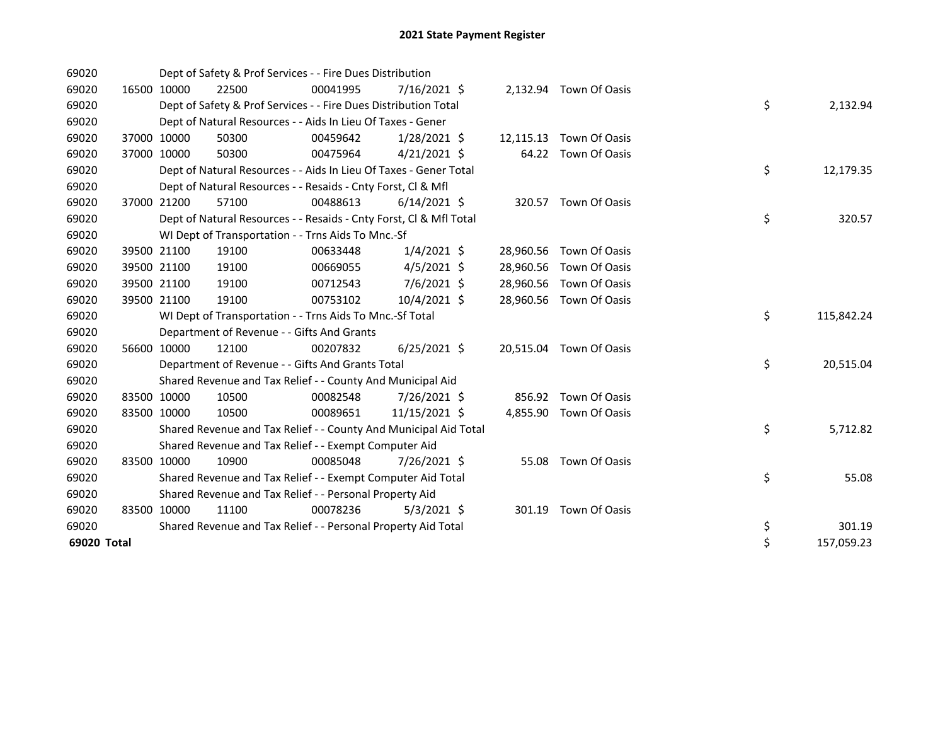| 69020       |             | Dept of Safety & Prof Services - - Fire Dues Distribution          |          |                |           |                         |    |            |
|-------------|-------------|--------------------------------------------------------------------|----------|----------------|-----------|-------------------------|----|------------|
| 69020       | 16500 10000 | 22500                                                              | 00041995 | $7/16/2021$ \$ |           | 2,132.94 Town Of Oasis  |    |            |
| 69020       |             | Dept of Safety & Prof Services - - Fire Dues Distribution Total    |          |                |           |                         | \$ | 2,132.94   |
| 69020       |             | Dept of Natural Resources - - Aids In Lieu Of Taxes - Gener        |          |                |           |                         |    |            |
| 69020       | 37000 10000 | 50300                                                              | 00459642 | $1/28/2021$ \$ | 12,115.13 | Town Of Oasis           |    |            |
| 69020       | 37000 10000 | 50300                                                              | 00475964 | $4/21/2021$ \$ |           | 64.22 Town Of Oasis     |    |            |
| 69020       |             | Dept of Natural Resources - - Aids In Lieu Of Taxes - Gener Total  |          |                |           |                         | \$ | 12,179.35  |
| 69020       |             | Dept of Natural Resources - - Resaids - Cnty Forst, Cl & Mfl       |          |                |           |                         |    |            |
| 69020       | 37000 21200 | 57100                                                              | 00488613 | $6/14/2021$ \$ |           | 320.57 Town Of Oasis    |    |            |
| 69020       |             | Dept of Natural Resources - - Resaids - Cnty Forst, Cl & Mfl Total |          |                |           |                         | \$ | 320.57     |
| 69020       |             | WI Dept of Transportation - - Trns Aids To Mnc.-Sf                 |          |                |           |                         |    |            |
| 69020       | 39500 21100 | 19100                                                              | 00633448 | $1/4/2021$ \$  |           | 28,960.56 Town Of Oasis |    |            |
| 69020       | 39500 21100 | 19100                                                              | 00669055 | $4/5/2021$ \$  | 28,960.56 | Town Of Oasis           |    |            |
| 69020       | 39500 21100 | 19100                                                              | 00712543 | 7/6/2021 \$    |           | 28,960.56 Town Of Oasis |    |            |
| 69020       | 39500 21100 | 19100                                                              | 00753102 | 10/4/2021 \$   | 28,960.56 | Town Of Oasis           |    |            |
| 69020       |             | WI Dept of Transportation - - Trns Aids To Mnc.-Sf Total           |          |                |           |                         | \$ | 115,842.24 |
| 69020       |             | Department of Revenue - - Gifts And Grants                         |          |                |           |                         |    |            |
| 69020       | 56600 10000 | 12100                                                              | 00207832 | $6/25/2021$ \$ |           | 20,515.04 Town Of Oasis |    |            |
| 69020       |             | Department of Revenue - - Gifts And Grants Total                   |          |                |           |                         | \$ | 20,515.04  |
| 69020       |             | Shared Revenue and Tax Relief - - County And Municipal Aid         |          |                |           |                         |    |            |
| 69020       | 83500 10000 | 10500                                                              | 00082548 | 7/26/2021 \$   | 856.92    | Town Of Oasis           |    |            |
| 69020       | 83500 10000 | 10500                                                              | 00089651 | 11/15/2021 \$  |           | 4,855.90 Town Of Oasis  |    |            |
| 69020       |             | Shared Revenue and Tax Relief - - County And Municipal Aid Total   |          |                |           |                         | \$ | 5,712.82   |
| 69020       |             | Shared Revenue and Tax Relief - - Exempt Computer Aid              |          |                |           |                         |    |            |
| 69020       | 83500 10000 | 10900                                                              | 00085048 | 7/26/2021 \$   | 55.08     | Town Of Oasis           |    |            |
| 69020       |             | Shared Revenue and Tax Relief - - Exempt Computer Aid Total        |          |                |           |                         | \$ | 55.08      |
| 69020       |             | Shared Revenue and Tax Relief - - Personal Property Aid            |          |                |           |                         |    |            |
| 69020       | 83500 10000 | 11100                                                              | 00078236 | $5/3/2021$ \$  |           | 301.19 Town Of Oasis    |    |            |
| 69020       |             | Shared Revenue and Tax Relief - - Personal Property Aid Total      |          |                |           |                         | \$ | 301.19     |
| 69020 Total |             |                                                                    |          |                |           |                         | \$ | 157,059.23 |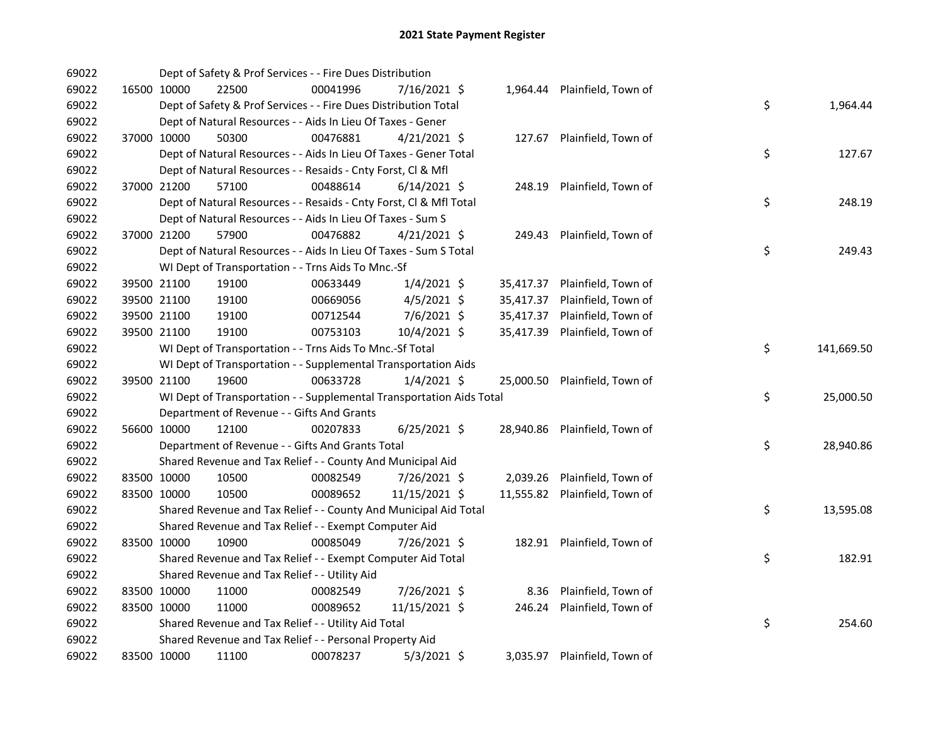| 69022 |             | Dept of Safety & Prof Services - - Fire Dues Distribution            |          |                |           |                               |    |            |
|-------|-------------|----------------------------------------------------------------------|----------|----------------|-----------|-------------------------------|----|------------|
| 69022 | 16500 10000 | 22500                                                                | 00041996 | 7/16/2021 \$   |           | 1,964.44 Plainfield, Town of  |    |            |
| 69022 |             | Dept of Safety & Prof Services - - Fire Dues Distribution Total      |          |                |           |                               | \$ | 1,964.44   |
| 69022 |             | Dept of Natural Resources - - Aids In Lieu Of Taxes - Gener          |          |                |           |                               |    |            |
| 69022 | 37000 10000 | 50300                                                                | 00476881 | $4/21/2021$ \$ |           | 127.67 Plainfield, Town of    |    |            |
| 69022 |             | Dept of Natural Resources - - Aids In Lieu Of Taxes - Gener Total    |          |                |           |                               | \$ | 127.67     |
| 69022 |             | Dept of Natural Resources - - Resaids - Cnty Forst, Cl & Mfl         |          |                |           |                               |    |            |
| 69022 | 37000 21200 | 57100                                                                | 00488614 | $6/14/2021$ \$ |           | 248.19 Plainfield, Town of    |    |            |
| 69022 |             | Dept of Natural Resources - - Resaids - Cnty Forst, Cl & Mfl Total   |          |                |           |                               | \$ | 248.19     |
| 69022 |             | Dept of Natural Resources - - Aids In Lieu Of Taxes - Sum S          |          |                |           |                               |    |            |
| 69022 | 37000 21200 | 57900                                                                | 00476882 | $4/21/2021$ \$ |           | 249.43 Plainfield, Town of    |    |            |
| 69022 |             | Dept of Natural Resources - - Aids In Lieu Of Taxes - Sum S Total    |          |                |           |                               | \$ | 249.43     |
| 69022 |             | WI Dept of Transportation - - Trns Aids To Mnc.-Sf                   |          |                |           |                               |    |            |
| 69022 | 39500 21100 | 19100                                                                | 00633449 | $1/4/2021$ \$  | 35,417.37 | Plainfield, Town of           |    |            |
| 69022 | 39500 21100 | 19100                                                                | 00669056 | $4/5/2021$ \$  | 35,417.37 | Plainfield, Town of           |    |            |
| 69022 | 39500 21100 | 19100                                                                | 00712544 | 7/6/2021 \$    | 35,417.37 | Plainfield, Town of           |    |            |
| 69022 | 39500 21100 | 19100                                                                | 00753103 | 10/4/2021 \$   | 35,417.39 | Plainfield, Town of           |    |            |
| 69022 |             | WI Dept of Transportation - - Trns Aids To Mnc.-Sf Total             |          |                |           |                               | \$ | 141,669.50 |
| 69022 |             | WI Dept of Transportation - - Supplemental Transportation Aids       |          |                |           |                               |    |            |
| 69022 | 39500 21100 | 19600                                                                | 00633728 | $1/4/2021$ \$  |           | 25,000.50 Plainfield, Town of |    |            |
| 69022 |             | WI Dept of Transportation - - Supplemental Transportation Aids Total |          |                |           |                               | \$ | 25,000.50  |
| 69022 |             | Department of Revenue - - Gifts And Grants                           |          |                |           |                               |    |            |
| 69022 | 56600 10000 | 12100                                                                | 00207833 | $6/25/2021$ \$ |           | 28,940.86 Plainfield, Town of |    |            |
| 69022 |             | Department of Revenue - - Gifts And Grants Total                     |          |                |           |                               | \$ | 28,940.86  |
| 69022 |             | Shared Revenue and Tax Relief - - County And Municipal Aid           |          |                |           |                               |    |            |
| 69022 | 83500 10000 | 10500                                                                | 00082549 | 7/26/2021 \$   |           | 2,039.26 Plainfield, Town of  |    |            |
| 69022 | 83500 10000 | 10500                                                                | 00089652 | 11/15/2021 \$  |           | 11,555.82 Plainfield, Town of |    |            |
| 69022 |             | Shared Revenue and Tax Relief - - County And Municipal Aid Total     |          |                |           |                               | \$ | 13,595.08  |
| 69022 |             | Shared Revenue and Tax Relief - - Exempt Computer Aid                |          |                |           |                               |    |            |
| 69022 | 83500 10000 | 10900                                                                | 00085049 | 7/26/2021 \$   |           | 182.91 Plainfield, Town of    |    |            |
| 69022 |             | Shared Revenue and Tax Relief - - Exempt Computer Aid Total          |          |                |           |                               | \$ | 182.91     |
| 69022 |             | Shared Revenue and Tax Relief - - Utility Aid                        |          |                |           |                               |    |            |
| 69022 | 83500 10000 | 11000                                                                | 00082549 | 7/26/2021 \$   | 8.36      | Plainfield, Town of           |    |            |
| 69022 | 83500 10000 | 11000                                                                | 00089652 | 11/15/2021 \$  | 246.24    | Plainfield, Town of           |    |            |
| 69022 |             | Shared Revenue and Tax Relief - - Utility Aid Total                  |          |                |           |                               | \$ | 254.60     |
| 69022 |             | Shared Revenue and Tax Relief - - Personal Property Aid              |          |                |           |                               |    |            |
| 69022 | 83500 10000 | 11100                                                                | 00078237 | $5/3/2021$ \$  |           | 3,035.97 Plainfield, Town of  |    |            |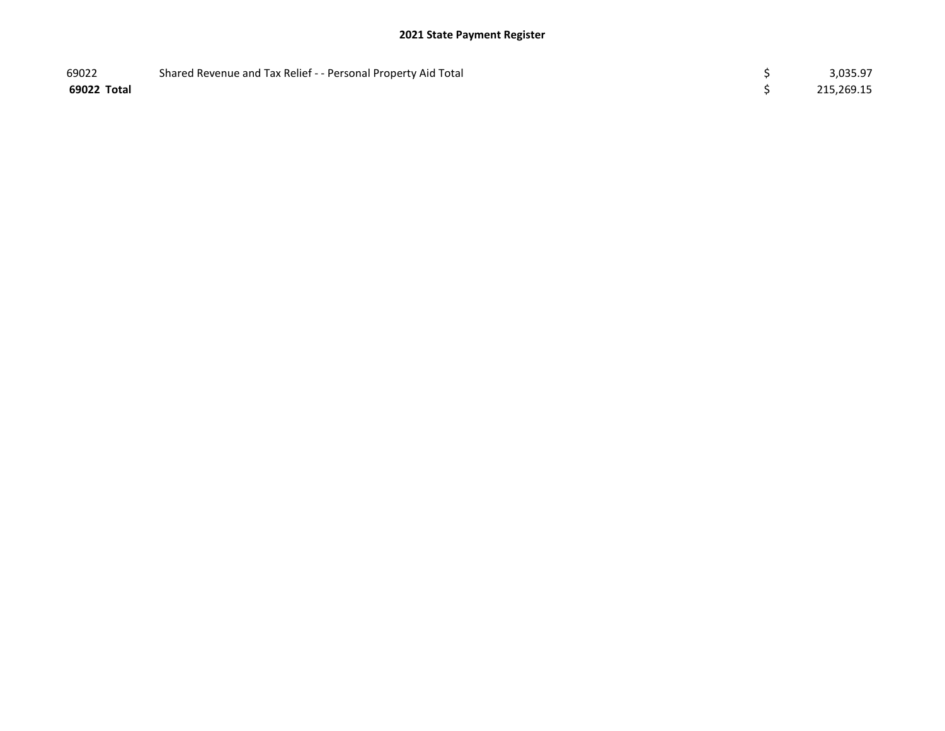| 69022       | Shared Revenue and Tax Relief - - Personal Property Aid Total | 3,035.97   |
|-------------|---------------------------------------------------------------|------------|
| 69022 Total |                                                               | 215,269.15 |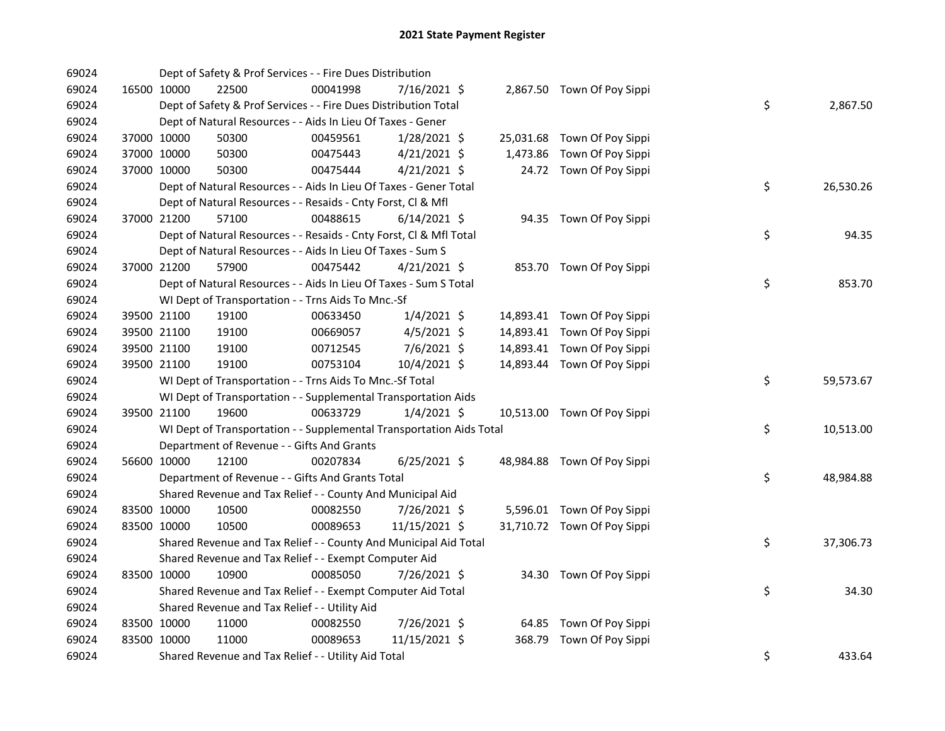| 69024 |             | Dept of Safety & Prof Services - - Fire Dues Distribution            |          |                |  |                             |    |           |
|-------|-------------|----------------------------------------------------------------------|----------|----------------|--|-----------------------------|----|-----------|
| 69024 | 16500 10000 | 22500                                                                | 00041998 | 7/16/2021 \$   |  | 2,867.50 Town Of Poy Sippi  |    |           |
| 69024 |             | Dept of Safety & Prof Services - - Fire Dues Distribution Total      |          |                |  |                             | \$ | 2,867.50  |
| 69024 |             | Dept of Natural Resources - - Aids In Lieu Of Taxes - Gener          |          |                |  |                             |    |           |
| 69024 | 37000 10000 | 50300                                                                | 00459561 | 1/28/2021 \$   |  | 25,031.68 Town Of Poy Sippi |    |           |
| 69024 | 37000 10000 | 50300                                                                | 00475443 | $4/21/2021$ \$ |  | 1,473.86 Town Of Poy Sippi  |    |           |
| 69024 | 37000 10000 | 50300                                                                | 00475444 | $4/21/2021$ \$ |  | 24.72 Town Of Poy Sippi     |    |           |
| 69024 |             | Dept of Natural Resources - - Aids In Lieu Of Taxes - Gener Total    |          |                |  |                             | \$ | 26,530.26 |
| 69024 |             | Dept of Natural Resources - - Resaids - Cnty Forst, Cl & Mfl         |          |                |  |                             |    |           |
| 69024 | 37000 21200 | 57100                                                                | 00488615 | $6/14/2021$ \$ |  | 94.35 Town Of Poy Sippi     |    |           |
| 69024 |             | Dept of Natural Resources - - Resaids - Cnty Forst, Cl & Mfl Total   |          |                |  |                             | \$ | 94.35     |
| 69024 |             | Dept of Natural Resources - - Aids In Lieu Of Taxes - Sum S          |          |                |  |                             |    |           |
| 69024 | 37000 21200 | 57900                                                                | 00475442 | $4/21/2021$ \$ |  | 853.70 Town Of Poy Sippi    |    |           |
| 69024 |             | Dept of Natural Resources - - Aids In Lieu Of Taxes - Sum S Total    |          |                |  |                             | \$ | 853.70    |
| 69024 |             | WI Dept of Transportation - - Trns Aids To Mnc.-Sf                   |          |                |  |                             |    |           |
| 69024 | 39500 21100 | 19100                                                                | 00633450 | 1/4/2021 \$    |  | 14,893.41 Town Of Poy Sippi |    |           |
| 69024 | 39500 21100 | 19100                                                                | 00669057 | $4/5/2021$ \$  |  | 14,893.41 Town Of Poy Sippi |    |           |
| 69024 | 39500 21100 | 19100                                                                | 00712545 | $7/6/2021$ \$  |  | 14,893.41 Town Of Poy Sippi |    |           |
| 69024 | 39500 21100 | 19100                                                                | 00753104 | 10/4/2021 \$   |  | 14,893.44 Town Of Poy Sippi |    |           |
| 69024 |             | WI Dept of Transportation - - Trns Aids To Mnc.-Sf Total             |          |                |  |                             | \$ | 59,573.67 |
| 69024 |             | WI Dept of Transportation - - Supplemental Transportation Aids       |          |                |  |                             |    |           |
| 69024 | 39500 21100 | 19600                                                                | 00633729 | $1/4/2021$ \$  |  | 10,513.00 Town Of Poy Sippi |    |           |
| 69024 |             | WI Dept of Transportation - - Supplemental Transportation Aids Total |          |                |  |                             | \$ | 10,513.00 |
| 69024 |             | Department of Revenue - - Gifts And Grants                           |          |                |  |                             |    |           |
| 69024 | 56600 10000 | 12100                                                                | 00207834 | $6/25/2021$ \$ |  | 48,984.88 Town Of Poy Sippi |    |           |
| 69024 |             | Department of Revenue - - Gifts And Grants Total                     |          |                |  |                             | \$ | 48,984.88 |
| 69024 |             | Shared Revenue and Tax Relief - - County And Municipal Aid           |          |                |  |                             |    |           |
| 69024 | 83500 10000 | 10500                                                                | 00082550 | 7/26/2021 \$   |  | 5,596.01 Town Of Poy Sippi  |    |           |
| 69024 | 83500 10000 | 10500                                                                | 00089653 | 11/15/2021 \$  |  | 31,710.72 Town Of Poy Sippi |    |           |
| 69024 |             | Shared Revenue and Tax Relief - - County And Municipal Aid Total     |          |                |  |                             | \$ | 37,306.73 |
| 69024 |             | Shared Revenue and Tax Relief - - Exempt Computer Aid                |          |                |  |                             |    |           |
| 69024 | 83500 10000 | 10900                                                                | 00085050 | 7/26/2021 \$   |  | 34.30 Town Of Poy Sippi     |    |           |
| 69024 |             | Shared Revenue and Tax Relief - - Exempt Computer Aid Total          |          |                |  |                             | \$ | 34.30     |
| 69024 |             | Shared Revenue and Tax Relief - - Utility Aid                        |          |                |  |                             |    |           |
| 69024 | 83500 10000 | 11000                                                                | 00082550 | 7/26/2021 \$   |  | 64.85 Town Of Poy Sippi     |    |           |
| 69024 | 83500 10000 | 11000                                                                | 00089653 | 11/15/2021 \$  |  | 368.79 Town Of Poy Sippi    |    |           |
| 69024 |             | Shared Revenue and Tax Relief - - Utility Aid Total                  |          |                |  |                             | \$ | 433.64    |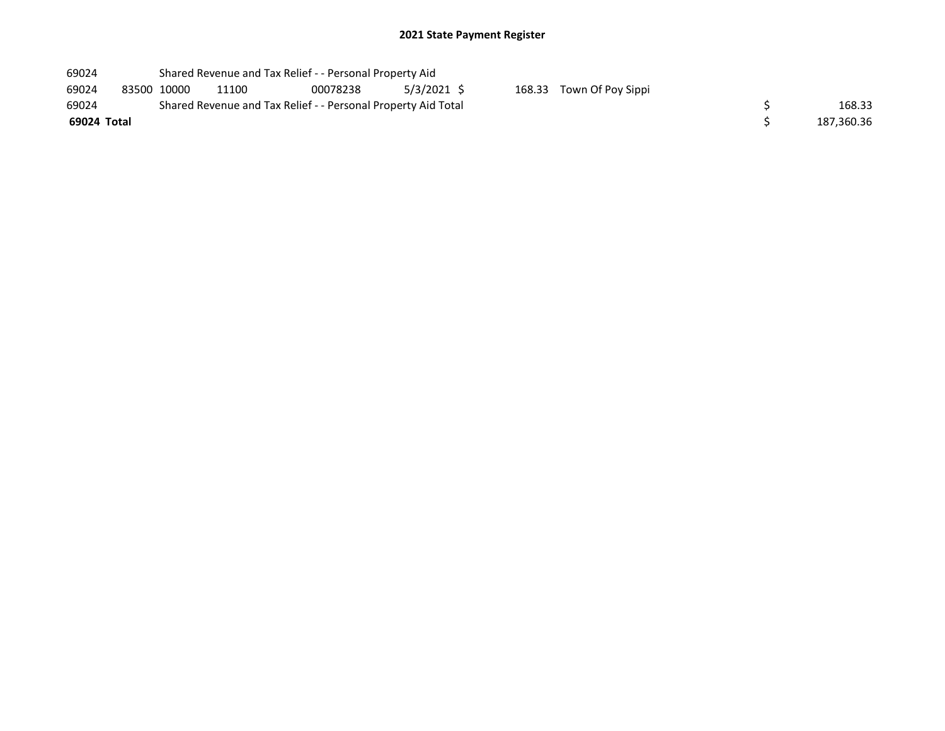| 69024 |             | Shared Revenue and Tax Relief - - Personal Property Aid |                                                               |          |               |  |                          |  |            |  |  |  |
|-------|-------------|---------------------------------------------------------|---------------------------------------------------------------|----------|---------------|--|--------------------------|--|------------|--|--|--|
| 69024 | 83500 10000 |                                                         | 11100                                                         | 00078238 | $5/3/2021$ \$ |  | 168.33 Town Of Poy Sippi |  |            |  |  |  |
| 69024 |             |                                                         | Shared Revenue and Tax Relief - - Personal Property Aid Total |          |               |  |                          |  |            |  |  |  |
|       | 69024 Total |                                                         |                                                               |          |               |  |                          |  | 187,360.36 |  |  |  |
|       |             |                                                         |                                                               |          |               |  |                          |  |            |  |  |  |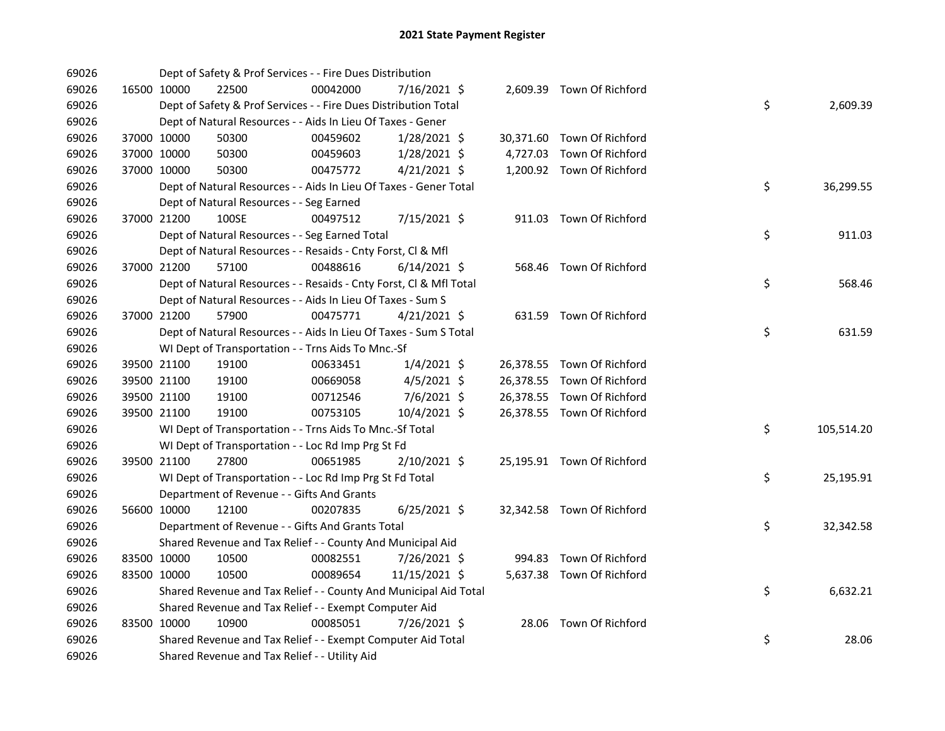| 69026 |             | Dept of Safety & Prof Services - - Fire Dues Distribution          |          |                |  |                            |    |            |
|-------|-------------|--------------------------------------------------------------------|----------|----------------|--|----------------------------|----|------------|
| 69026 | 16500 10000 | 22500                                                              | 00042000 | 7/16/2021 \$   |  | 2,609.39 Town Of Richford  |    |            |
| 69026 |             | Dept of Safety & Prof Services - - Fire Dues Distribution Total    |          |                |  |                            | \$ | 2,609.39   |
| 69026 |             | Dept of Natural Resources - - Aids In Lieu Of Taxes - Gener        |          |                |  |                            |    |            |
| 69026 | 37000 10000 | 50300                                                              | 00459602 | $1/28/2021$ \$ |  | 30,371.60 Town Of Richford |    |            |
| 69026 | 37000 10000 | 50300                                                              | 00459603 | 1/28/2021 \$   |  | 4,727.03 Town Of Richford  |    |            |
| 69026 | 37000 10000 | 50300                                                              | 00475772 | $4/21/2021$ \$ |  | 1,200.92 Town Of Richford  |    |            |
| 69026 |             | Dept of Natural Resources - - Aids In Lieu Of Taxes - Gener Total  |          |                |  |                            | \$ | 36,299.55  |
| 69026 |             | Dept of Natural Resources - - Seg Earned                           |          |                |  |                            |    |            |
| 69026 | 37000 21200 | 100SE                                                              | 00497512 | 7/15/2021 \$   |  | 911.03 Town Of Richford    |    |            |
| 69026 |             | Dept of Natural Resources - - Seg Earned Total                     |          |                |  |                            | \$ | 911.03     |
| 69026 |             | Dept of Natural Resources - - Resaids - Cnty Forst, Cl & Mfl       |          |                |  |                            |    |            |
| 69026 | 37000 21200 | 57100                                                              | 00488616 | $6/14/2021$ \$ |  | 568.46 Town Of Richford    |    |            |
| 69026 |             | Dept of Natural Resources - - Resaids - Cnty Forst, Cl & Mfl Total |          |                |  |                            | \$ | 568.46     |
| 69026 |             | Dept of Natural Resources - - Aids In Lieu Of Taxes - Sum S        |          |                |  |                            |    |            |
| 69026 | 37000 21200 | 57900                                                              | 00475771 | $4/21/2021$ \$ |  | 631.59 Town Of Richford    |    |            |
| 69026 |             | Dept of Natural Resources - - Aids In Lieu Of Taxes - Sum S Total  |          |                |  |                            | \$ | 631.59     |
| 69026 |             | WI Dept of Transportation - - Trns Aids To Mnc.-Sf                 |          |                |  |                            |    |            |
| 69026 | 39500 21100 | 19100                                                              | 00633451 | $1/4/2021$ \$  |  | 26,378.55 Town Of Richford |    |            |
| 69026 | 39500 21100 | 19100                                                              | 00669058 | $4/5/2021$ \$  |  | 26,378.55 Town Of Richford |    |            |
| 69026 | 39500 21100 | 19100                                                              | 00712546 | 7/6/2021 \$    |  | 26,378.55 Town Of Richford |    |            |
| 69026 | 39500 21100 | 19100                                                              | 00753105 | 10/4/2021 \$   |  | 26,378.55 Town Of Richford |    |            |
| 69026 |             | WI Dept of Transportation - - Trns Aids To Mnc.-Sf Total           |          |                |  |                            | \$ | 105,514.20 |
| 69026 |             | WI Dept of Transportation - - Loc Rd Imp Prg St Fd                 |          |                |  |                            |    |            |
| 69026 | 39500 21100 | 27800                                                              | 00651985 | 2/10/2021 \$   |  | 25,195.91 Town Of Richford |    |            |
| 69026 |             | WI Dept of Transportation - - Loc Rd Imp Prg St Fd Total           |          |                |  |                            | \$ | 25,195.91  |
| 69026 |             | Department of Revenue - - Gifts And Grants                         |          |                |  |                            |    |            |
| 69026 | 56600 10000 | 12100                                                              | 00207835 | $6/25/2021$ \$ |  | 32,342.58 Town Of Richford |    |            |
| 69026 |             | Department of Revenue - - Gifts And Grants Total                   |          |                |  |                            | \$ | 32,342.58  |
| 69026 |             | Shared Revenue and Tax Relief - - County And Municipal Aid         |          |                |  |                            |    |            |
| 69026 | 83500 10000 | 10500                                                              | 00082551 | 7/26/2021 \$   |  | 994.83 Town Of Richford    |    |            |
| 69026 | 83500 10000 | 10500                                                              | 00089654 | 11/15/2021 \$  |  | 5,637.38 Town Of Richford  |    |            |
| 69026 |             | Shared Revenue and Tax Relief - - County And Municipal Aid Total   |          |                |  |                            | \$ | 6,632.21   |
| 69026 |             | Shared Revenue and Tax Relief - - Exempt Computer Aid              |          |                |  |                            |    |            |
| 69026 | 83500 10000 | 10900                                                              | 00085051 | 7/26/2021 \$   |  | 28.06 Town Of Richford     |    |            |
| 69026 |             | Shared Revenue and Tax Relief - - Exempt Computer Aid Total        |          |                |  |                            | \$ | 28.06      |
| 69026 |             | Shared Revenue and Tax Relief - - Utility Aid                      |          |                |  |                            |    |            |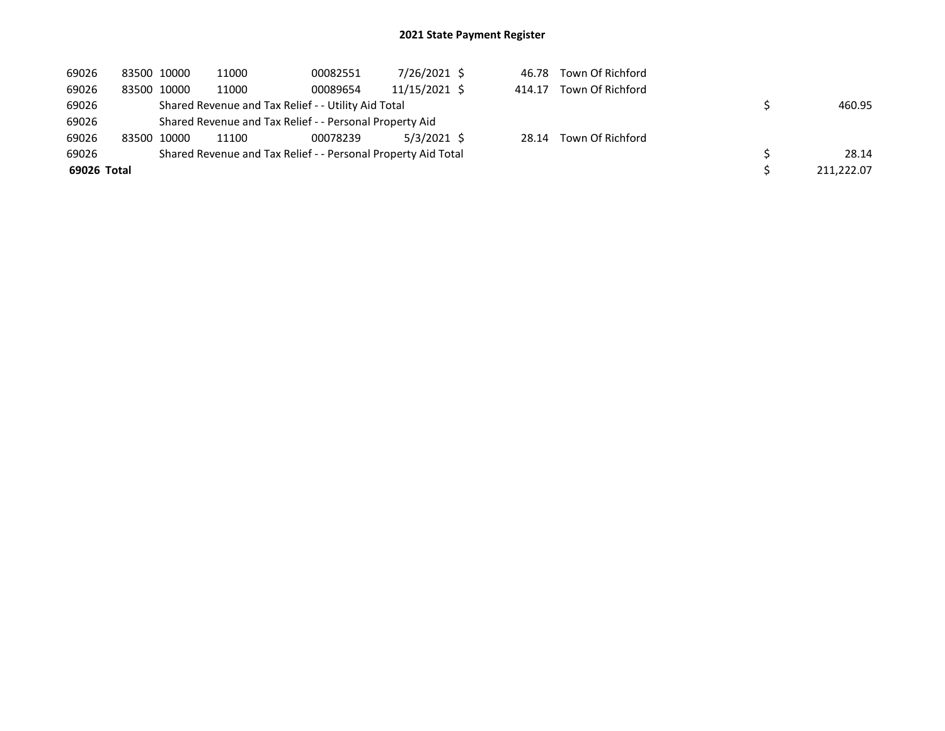| 69026       | 83500 10000 |             | 11000                                                   | 00082551                                                      | 7/26/2021 \$  |        | 46.78 Town Of Richford |            |
|-------------|-------------|-------------|---------------------------------------------------------|---------------------------------------------------------------|---------------|--------|------------------------|------------|
| 69026       |             | 83500 10000 | 11000                                                   | 00089654                                                      | 11/15/2021 \$ | 414.17 | Town Of Richford       |            |
| 69026       |             |             |                                                         | Shared Revenue and Tax Relief - - Utility Aid Total           |               |        |                        | 460.95     |
| 69026       |             |             | Shared Revenue and Tax Relief - - Personal Property Aid |                                                               |               |        |                        |            |
| 69026       |             | 83500 10000 | 11100                                                   | 00078239                                                      | 5/3/2021 \$   |        | 28.14 Town Of Richford |            |
| 69026       |             |             |                                                         | Shared Revenue and Tax Relief - - Personal Property Aid Total |               |        |                        | 28.14      |
| 69026 Total |             |             |                                                         |                                                               |               |        |                        | 211,222.07 |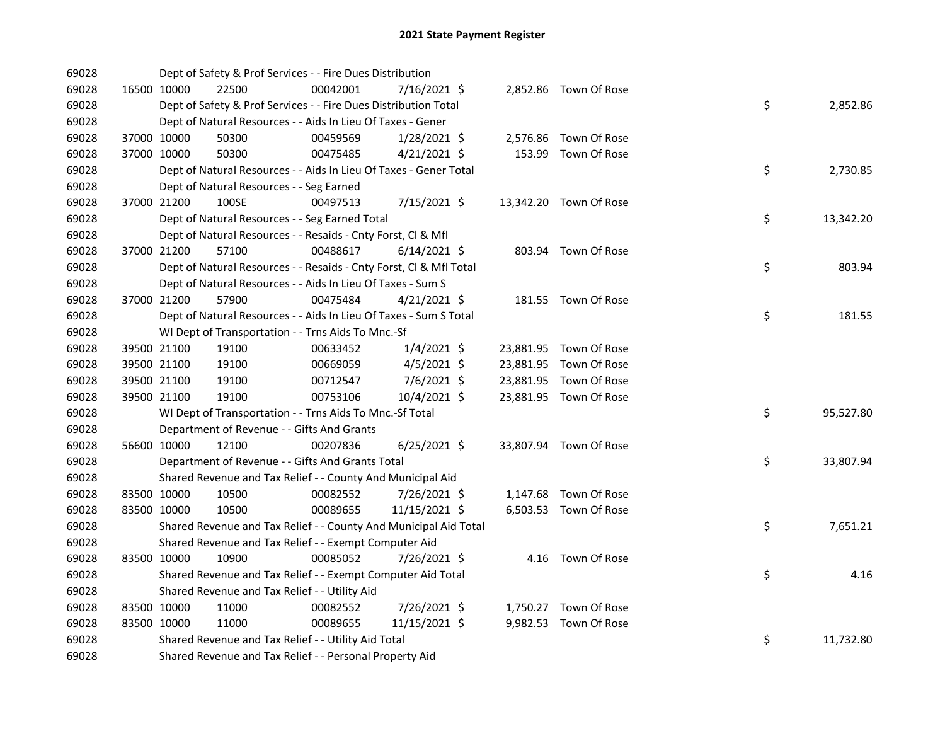| 69028 |             | Dept of Safety & Prof Services - - Fire Dues Distribution          |          |                |  |                        |    |           |
|-------|-------------|--------------------------------------------------------------------|----------|----------------|--|------------------------|----|-----------|
| 69028 | 16500 10000 | 22500                                                              | 00042001 | 7/16/2021 \$   |  | 2,852.86 Town Of Rose  |    |           |
| 69028 |             | Dept of Safety & Prof Services - - Fire Dues Distribution Total    |          |                |  |                        | \$ | 2,852.86  |
| 69028 |             | Dept of Natural Resources - - Aids In Lieu Of Taxes - Gener        |          |                |  |                        |    |           |
| 69028 | 37000 10000 | 50300                                                              | 00459569 | $1/28/2021$ \$ |  | 2,576.86 Town Of Rose  |    |           |
| 69028 | 37000 10000 | 50300                                                              | 00475485 | $4/21/2021$ \$ |  | 153.99 Town Of Rose    |    |           |
| 69028 |             | Dept of Natural Resources - - Aids In Lieu Of Taxes - Gener Total  |          |                |  |                        | \$ | 2,730.85  |
| 69028 |             | Dept of Natural Resources - - Seg Earned                           |          |                |  |                        |    |           |
| 69028 | 37000 21200 | 100SE                                                              | 00497513 | 7/15/2021 \$   |  | 13,342.20 Town Of Rose |    |           |
| 69028 |             | Dept of Natural Resources - - Seg Earned Total                     |          |                |  |                        | \$ | 13,342.20 |
| 69028 |             | Dept of Natural Resources - - Resaids - Cnty Forst, Cl & Mfl       |          |                |  |                        |    |           |
| 69028 | 37000 21200 | 57100                                                              | 00488617 | $6/14/2021$ \$ |  | 803.94 Town Of Rose    |    |           |
| 69028 |             | Dept of Natural Resources - - Resaids - Cnty Forst, CI & Mfl Total |          |                |  |                        | \$ | 803.94    |
| 69028 |             | Dept of Natural Resources - - Aids In Lieu Of Taxes - Sum S        |          |                |  |                        |    |           |
| 69028 | 37000 21200 | 57900                                                              | 00475484 | $4/21/2021$ \$ |  | 181.55 Town Of Rose    |    |           |
| 69028 |             | Dept of Natural Resources - - Aids In Lieu Of Taxes - Sum S Total  |          |                |  |                        | \$ | 181.55    |
| 69028 |             | WI Dept of Transportation - - Trns Aids To Mnc.-Sf                 |          |                |  |                        |    |           |
| 69028 | 39500 21100 | 19100                                                              | 00633452 | $1/4/2021$ \$  |  | 23,881.95 Town Of Rose |    |           |
| 69028 | 39500 21100 | 19100                                                              | 00669059 | $4/5/2021$ \$  |  | 23,881.95 Town Of Rose |    |           |
| 69028 | 39500 21100 | 19100                                                              | 00712547 | 7/6/2021 \$    |  | 23,881.95 Town Of Rose |    |           |
| 69028 | 39500 21100 | 19100                                                              | 00753106 | 10/4/2021 \$   |  | 23,881.95 Town Of Rose |    |           |
| 69028 |             | WI Dept of Transportation - - Trns Aids To Mnc.-Sf Total           |          |                |  |                        | \$ | 95,527.80 |
| 69028 |             | Department of Revenue - - Gifts And Grants                         |          |                |  |                        |    |           |
| 69028 | 56600 10000 | 12100                                                              | 00207836 | $6/25/2021$ \$ |  | 33,807.94 Town Of Rose |    |           |
| 69028 |             | Department of Revenue - - Gifts And Grants Total                   |          |                |  |                        | \$ | 33,807.94 |
| 69028 |             | Shared Revenue and Tax Relief - - County And Municipal Aid         |          |                |  |                        |    |           |
| 69028 | 83500 10000 | 10500                                                              | 00082552 | 7/26/2021 \$   |  | 1,147.68 Town Of Rose  |    |           |
| 69028 | 83500 10000 | 10500                                                              | 00089655 | 11/15/2021 \$  |  | 6,503.53 Town Of Rose  |    |           |
| 69028 |             | Shared Revenue and Tax Relief - - County And Municipal Aid Total   |          |                |  |                        | \$ | 7,651.21  |
| 69028 |             | Shared Revenue and Tax Relief - - Exempt Computer Aid              |          |                |  |                        |    |           |
| 69028 | 83500 10000 | 10900                                                              | 00085052 | 7/26/2021 \$   |  | 4.16 Town Of Rose      |    |           |
| 69028 |             | Shared Revenue and Tax Relief - - Exempt Computer Aid Total        |          |                |  |                        | \$ | 4.16      |
| 69028 |             | Shared Revenue and Tax Relief - - Utility Aid                      |          |                |  |                        |    |           |
| 69028 | 83500 10000 | 11000                                                              | 00082552 | 7/26/2021 \$   |  | 1,750.27 Town Of Rose  |    |           |
| 69028 | 83500 10000 | 11000                                                              | 00089655 | 11/15/2021 \$  |  | 9,982.53 Town Of Rose  |    |           |
| 69028 |             | Shared Revenue and Tax Relief - - Utility Aid Total                |          |                |  |                        | \$ | 11,732.80 |
| 69028 |             | Shared Revenue and Tax Relief - - Personal Property Aid            |          |                |  |                        |    |           |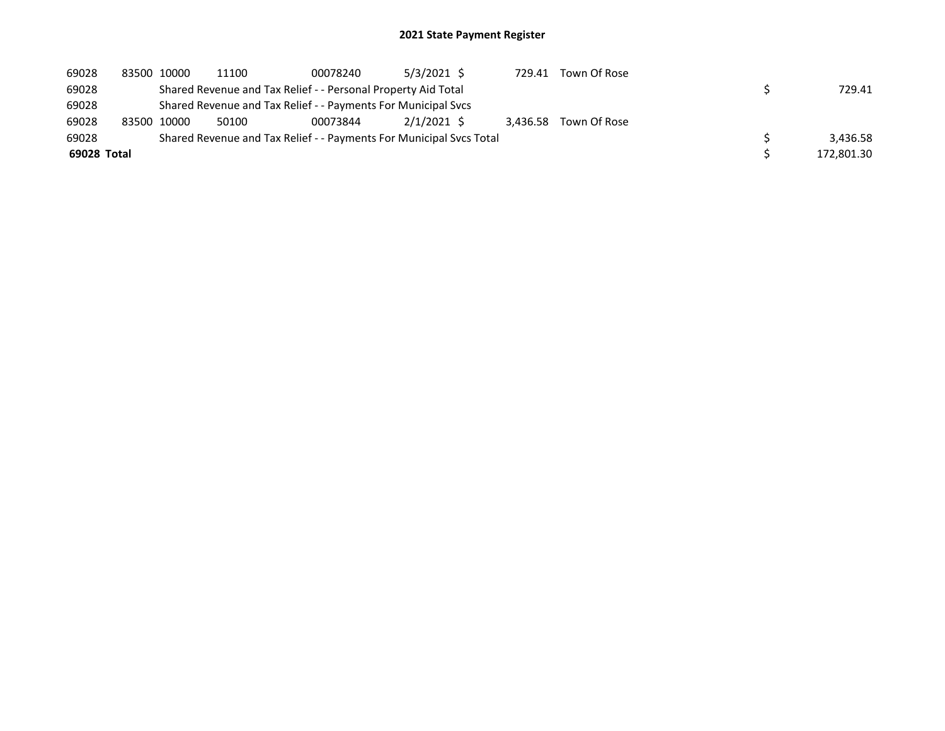| 69028       | 83500 10000 | 11100 | 00078240                                                      | $5/3/2021$ \$                                                       | 729.41 | Town Of Rose          |            |
|-------------|-------------|-------|---------------------------------------------------------------|---------------------------------------------------------------------|--------|-----------------------|------------|
| 69028       |             |       | Shared Revenue and Tax Relief - - Personal Property Aid Total |                                                                     |        |                       | 729.41     |
| 69028       |             |       | Shared Revenue and Tax Relief - - Payments For Municipal Svcs |                                                                     |        |                       |            |
| 69028       | 83500 10000 | 50100 | 00073844                                                      | 2/1/2021 \$                                                         |        | 3.436.58 Town Of Rose |            |
| 69028       |             |       |                                                               | Shared Revenue and Tax Relief - - Payments For Municipal Sycs Total |        |                       | 3,436.58   |
| 69028 Total |             |       |                                                               |                                                                     |        |                       | 172,801.30 |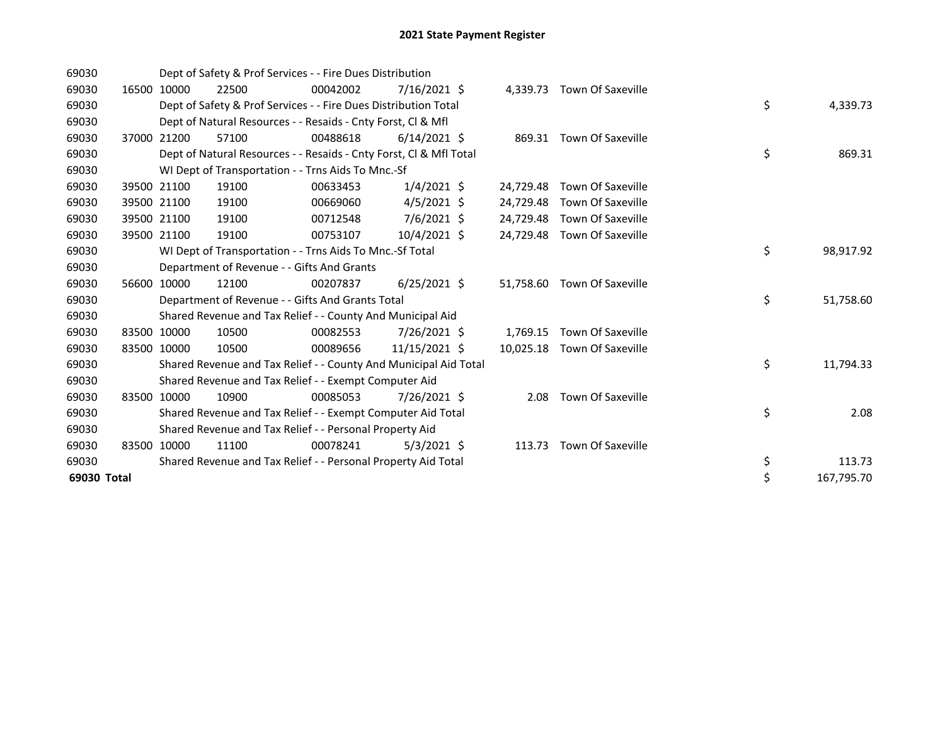| 69030       |       |             | Dept of Safety & Prof Services - - Fire Dues Distribution          |          |                |           |                             |    |            |
|-------------|-------|-------------|--------------------------------------------------------------------|----------|----------------|-----------|-----------------------------|----|------------|
| 69030       | 16500 | 10000       | 22500                                                              | 00042002 | 7/16/2021 \$   |           | 4,339.73 Town Of Saxeville  |    |            |
| 69030       |       |             | Dept of Safety & Prof Services - - Fire Dues Distribution Total    |          |                |           |                             | \$ | 4,339.73   |
| 69030       |       |             | Dept of Natural Resources - - Resaids - Cnty Forst, CI & Mfl       |          |                |           |                             |    |            |
| 69030       |       | 37000 21200 | 57100                                                              | 00488618 | $6/14/2021$ \$ |           | 869.31 Town Of Saxeville    |    |            |
| 69030       |       |             | Dept of Natural Resources - - Resaids - Cnty Forst, CI & Mfl Total |          |                |           |                             | \$ | 869.31     |
| 69030       |       |             | WI Dept of Transportation - - Trns Aids To Mnc.-Sf                 |          |                |           |                             |    |            |
| 69030       | 39500 | 21100       | 19100                                                              | 00633453 | $1/4/2021$ \$  | 24,729.48 | Town Of Saxeville           |    |            |
| 69030       |       | 39500 21100 | 19100                                                              | 00669060 | $4/5/2021$ \$  | 24,729.48 | Town Of Saxeville           |    |            |
| 69030       |       | 39500 21100 | 19100                                                              | 00712548 | 7/6/2021 \$    | 24,729.48 | Town Of Saxeville           |    |            |
| 69030       |       | 39500 21100 | 19100                                                              | 00753107 | 10/4/2021 \$   | 24,729.48 | Town Of Saxeville           |    |            |
| 69030       |       |             | WI Dept of Transportation - - Trns Aids To Mnc.-Sf Total           |          |                |           |                             | \$ | 98,917.92  |
| 69030       |       |             | Department of Revenue - - Gifts And Grants                         |          |                |           |                             |    |            |
| 69030       |       | 56600 10000 | 12100                                                              | 00207837 | $6/25/2021$ \$ |           | 51,758.60 Town Of Saxeville |    |            |
| 69030       |       |             | Department of Revenue - - Gifts And Grants Total                   |          |                |           |                             | \$ | 51,758.60  |
| 69030       |       |             | Shared Revenue and Tax Relief - - County And Municipal Aid         |          |                |           |                             |    |            |
| 69030       | 83500 | 10000       | 10500                                                              | 00082553 | 7/26/2021 \$   | 1,769.15  | Town Of Saxeville           |    |            |
| 69030       |       | 83500 10000 | 10500                                                              | 00089656 | 11/15/2021 \$  | 10,025.18 | <b>Town Of Saxeville</b>    |    |            |
| 69030       |       |             | Shared Revenue and Tax Relief - - County And Municipal Aid Total   |          |                |           |                             | \$ | 11,794.33  |
| 69030       |       |             | Shared Revenue and Tax Relief - - Exempt Computer Aid              |          |                |           |                             |    |            |
| 69030       |       | 83500 10000 | 10900                                                              | 00085053 | 7/26/2021 \$   | 2.08      | Town Of Saxeville           |    |            |
| 69030       |       |             | Shared Revenue and Tax Relief - - Exempt Computer Aid Total        |          |                |           |                             | \$ | 2.08       |
| 69030       |       |             | Shared Revenue and Tax Relief - - Personal Property Aid            |          |                |           |                             |    |            |
| 69030       |       | 83500 10000 | 11100                                                              | 00078241 | $5/3/2021$ \$  | 113.73    | <b>Town Of Saxeville</b>    |    |            |
| 69030       |       |             | Shared Revenue and Tax Relief - - Personal Property Aid Total      |          |                |           |                             | \$ | 113.73     |
| 69030 Total |       |             |                                                                    |          |                |           |                             | \$ | 167,795.70 |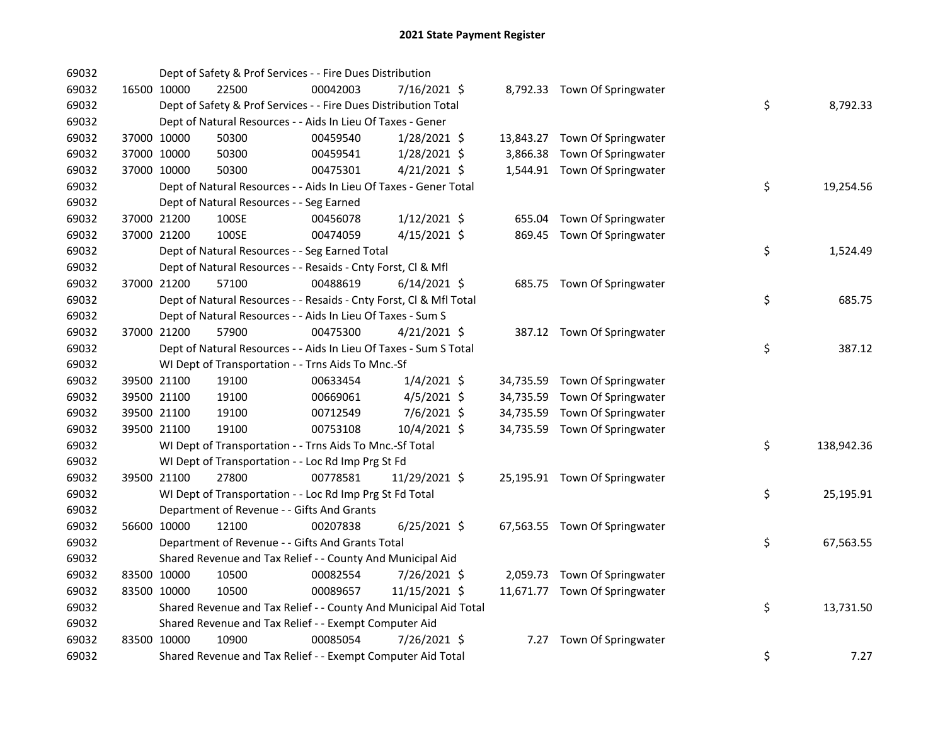| 69032 |             |             | Dept of Safety & Prof Services - - Fire Dues Distribution          |          |                |      |                               |                  |      |
|-------|-------------|-------------|--------------------------------------------------------------------|----------|----------------|------|-------------------------------|------------------|------|
| 69032 |             | 16500 10000 | 22500                                                              | 00042003 | 7/16/2021 \$   |      | 8,792.33 Town Of Springwater  |                  |      |
| 69032 |             |             | Dept of Safety & Prof Services - - Fire Dues Distribution Total    |          |                |      |                               | \$<br>8,792.33   |      |
| 69032 |             |             | Dept of Natural Resources - - Aids In Lieu Of Taxes - Gener        |          |                |      |                               |                  |      |
| 69032 |             | 37000 10000 | 50300                                                              | 00459540 | $1/28/2021$ \$ |      | 13,843.27 Town Of Springwater |                  |      |
| 69032 |             | 37000 10000 | 50300                                                              | 00459541 | 1/28/2021 \$   |      | 3,866.38 Town Of Springwater  |                  |      |
| 69032 | 37000 10000 |             | 50300                                                              | 00475301 | $4/21/2021$ \$ |      | 1,544.91 Town Of Springwater  |                  |      |
| 69032 |             |             | Dept of Natural Resources - - Aids In Lieu Of Taxes - Gener Total  |          |                |      |                               | \$<br>19,254.56  |      |
| 69032 |             |             | Dept of Natural Resources - - Seg Earned                           |          |                |      |                               |                  |      |
| 69032 |             | 37000 21200 | 100SE                                                              | 00456078 | $1/12/2021$ \$ |      | 655.04 Town Of Springwater    |                  |      |
| 69032 |             | 37000 21200 | 100SE                                                              | 00474059 | $4/15/2021$ \$ |      | 869.45 Town Of Springwater    |                  |      |
| 69032 |             |             | Dept of Natural Resources - - Seg Earned Total                     |          |                |      |                               | \$<br>1,524.49   |      |
| 69032 |             |             | Dept of Natural Resources - - Resaids - Cnty Forst, Cl & Mfl       |          |                |      |                               |                  |      |
| 69032 | 37000 21200 |             | 57100                                                              | 00488619 | $6/14/2021$ \$ |      | 685.75 Town Of Springwater    |                  |      |
| 69032 |             |             | Dept of Natural Resources - - Resaids - Cnty Forst, Cl & Mfl Total |          |                |      |                               | \$<br>685.75     |      |
| 69032 |             |             | Dept of Natural Resources - - Aids In Lieu Of Taxes - Sum S        |          |                |      |                               |                  |      |
| 69032 | 37000 21200 |             | 57900                                                              | 00475300 | $4/21/2021$ \$ |      | 387.12 Town Of Springwater    |                  |      |
| 69032 |             |             | Dept of Natural Resources - - Aids In Lieu Of Taxes - Sum S Total  |          |                |      |                               | \$<br>387.12     |      |
| 69032 |             |             | WI Dept of Transportation - - Trns Aids To Mnc.-Sf                 |          |                |      |                               |                  |      |
| 69032 |             | 39500 21100 | 19100                                                              | 00633454 | $1/4/2021$ \$  |      | 34,735.59 Town Of Springwater |                  |      |
| 69032 |             | 39500 21100 | 19100                                                              | 00669061 | $4/5/2021$ \$  |      | 34,735.59 Town Of Springwater |                  |      |
| 69032 |             | 39500 21100 | 19100                                                              | 00712549 | 7/6/2021 \$    |      | 34,735.59 Town Of Springwater |                  |      |
| 69032 |             | 39500 21100 | 19100                                                              | 00753108 | 10/4/2021 \$   |      | 34,735.59 Town Of Springwater |                  |      |
| 69032 |             |             | WI Dept of Transportation - - Trns Aids To Mnc.-Sf Total           |          |                |      |                               | \$<br>138,942.36 |      |
| 69032 |             |             | WI Dept of Transportation - - Loc Rd Imp Prg St Fd                 |          |                |      |                               |                  |      |
| 69032 |             | 39500 21100 | 27800                                                              | 00778581 | 11/29/2021 \$  |      | 25,195.91 Town Of Springwater |                  |      |
| 69032 |             |             | WI Dept of Transportation - - Loc Rd Imp Prg St Fd Total           |          |                |      |                               | \$<br>25,195.91  |      |
| 69032 |             |             | Department of Revenue - - Gifts And Grants                         |          |                |      |                               |                  |      |
| 69032 |             | 56600 10000 | 12100                                                              | 00207838 | $6/25/2021$ \$ |      | 67,563.55 Town Of Springwater |                  |      |
| 69032 |             |             | Department of Revenue - - Gifts And Grants Total                   |          |                |      |                               | \$<br>67,563.55  |      |
| 69032 |             |             | Shared Revenue and Tax Relief - - County And Municipal Aid         |          |                |      |                               |                  |      |
| 69032 |             | 83500 10000 | 10500                                                              | 00082554 | 7/26/2021 \$   |      | 2,059.73 Town Of Springwater  |                  |      |
| 69032 |             | 83500 10000 | 10500                                                              | 00089657 | 11/15/2021 \$  |      | 11,671.77 Town Of Springwater |                  |      |
| 69032 |             |             | Shared Revenue and Tax Relief - - County And Municipal Aid Total   |          |                |      |                               | \$<br>13,731.50  |      |
| 69032 |             |             | Shared Revenue and Tax Relief - - Exempt Computer Aid              |          |                |      |                               |                  |      |
| 69032 | 83500 10000 |             | 10900                                                              | 00085054 | 7/26/2021 \$   | 7.27 | Town Of Springwater           |                  |      |
| 69032 |             |             | Shared Revenue and Tax Relief - - Exempt Computer Aid Total        |          |                |      |                               | \$               | 7.27 |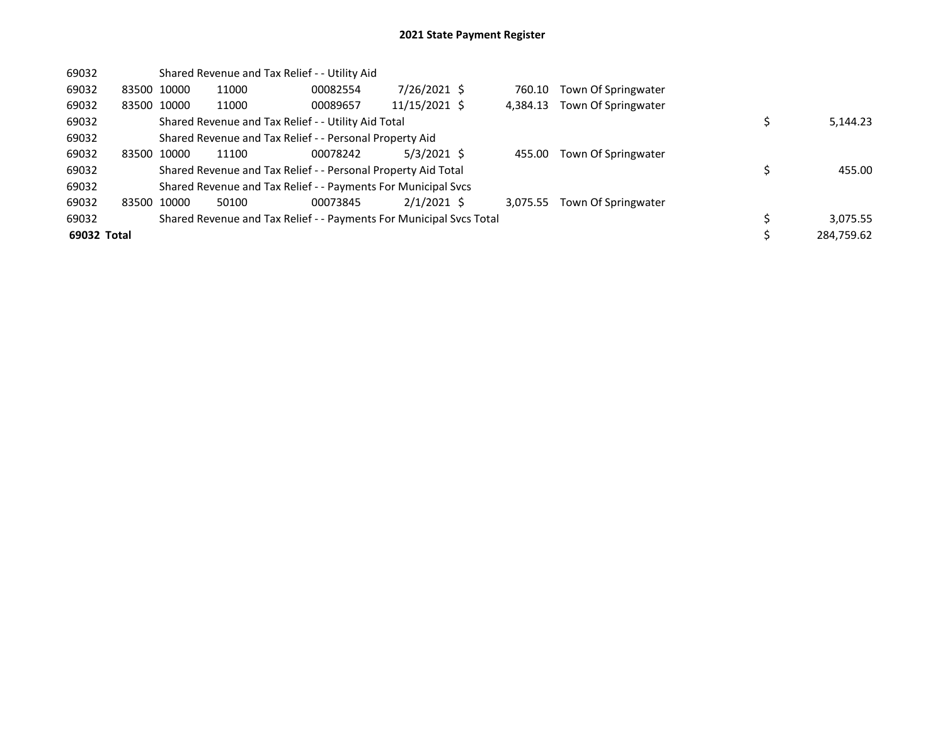| 69032       |             | Shared Revenue and Tax Relief - - Utility Aid                       |          |               |          |                     |            |
|-------------|-------------|---------------------------------------------------------------------|----------|---------------|----------|---------------------|------------|
| 69032       | 83500 10000 | 11000                                                               | 00082554 | 7/26/2021 \$  | 760.10   | Town Of Springwater |            |
| 69032       | 83500 10000 | 11000                                                               | 00089657 | 11/15/2021 \$ | 4,384.13 | Town Of Springwater |            |
| 69032       |             | Shared Revenue and Tax Relief - - Utility Aid Total                 |          |               |          |                     | 5,144.23   |
| 69032       |             | Shared Revenue and Tax Relief - - Personal Property Aid             |          |               |          |                     |            |
| 69032       | 83500 10000 | 11100                                                               | 00078242 | $5/3/2021$ \$ | 455.00   | Town Of Springwater |            |
| 69032       |             | Shared Revenue and Tax Relief - - Personal Property Aid Total       |          |               |          |                     | 455.00     |
| 69032       |             | Shared Revenue and Tax Relief - - Payments For Municipal Svcs       |          |               |          |                     |            |
| 69032       | 83500 10000 | 50100                                                               | 00073845 | $2/1/2021$ \$ | 3.075.55 | Town Of Springwater |            |
| 69032       |             | Shared Revenue and Tax Relief - - Payments For Municipal Svcs Total |          |               |          |                     | 3,075.55   |
| 69032 Total |             |                                                                     |          |               |          |                     | 284,759.62 |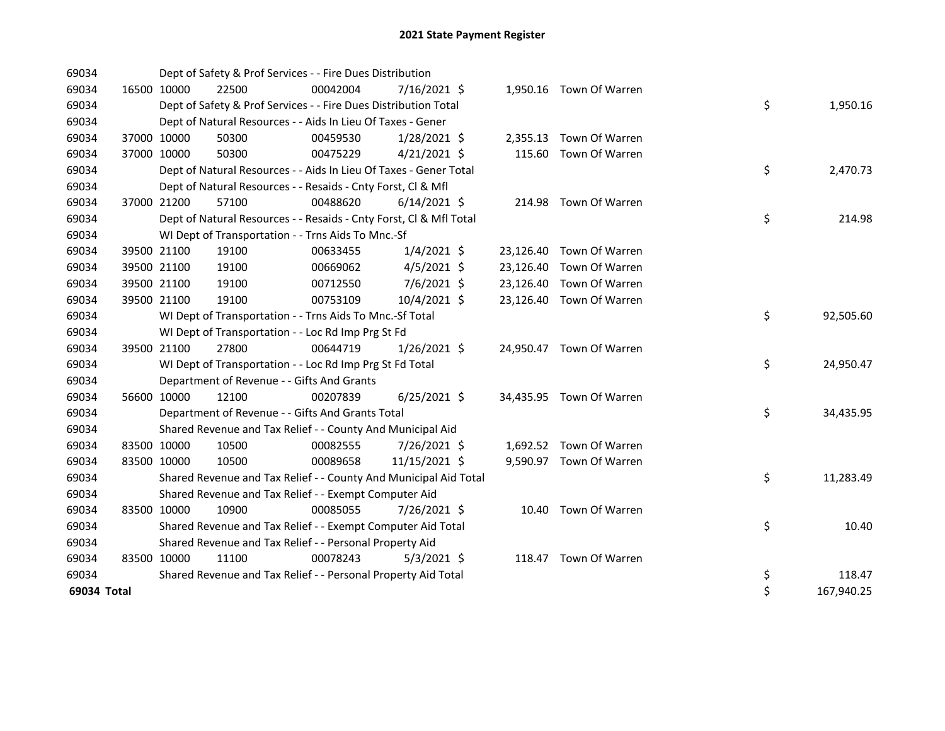| 69034       |             |             | Dept of Safety & Prof Services - - Fire Dues Distribution          |          |                |  |                          |    |            |
|-------------|-------------|-------------|--------------------------------------------------------------------|----------|----------------|--|--------------------------|----|------------|
| 69034       | 16500 10000 |             | 22500                                                              | 00042004 | 7/16/2021 \$   |  | 1,950.16 Town Of Warren  |    |            |
| 69034       |             |             | Dept of Safety & Prof Services - - Fire Dues Distribution Total    |          |                |  |                          | \$ | 1,950.16   |
| 69034       |             |             | Dept of Natural Resources - - Aids In Lieu Of Taxes - Gener        |          |                |  |                          |    |            |
| 69034       | 37000 10000 |             | 50300                                                              | 00459530 | $1/28/2021$ \$ |  | 2,355.13 Town Of Warren  |    |            |
| 69034       | 37000 10000 |             | 50300                                                              | 00475229 | $4/21/2021$ \$ |  | 115.60 Town Of Warren    |    |            |
| 69034       |             |             | Dept of Natural Resources - - Aids In Lieu Of Taxes - Gener Total  |          |                |  |                          | \$ | 2,470.73   |
| 69034       |             |             | Dept of Natural Resources - - Resaids - Cnty Forst, Cl & Mfl       |          |                |  |                          |    |            |
| 69034       | 37000 21200 |             | 57100                                                              | 00488620 | $6/14/2021$ \$ |  | 214.98 Town Of Warren    |    |            |
| 69034       |             |             | Dept of Natural Resources - - Resaids - Cnty Forst, Cl & Mfl Total |          |                |  |                          | \$ | 214.98     |
| 69034       |             |             | WI Dept of Transportation - - Trns Aids To Mnc.-Sf                 |          |                |  |                          |    |            |
| 69034       |             | 39500 21100 | 19100                                                              | 00633455 | $1/4/2021$ \$  |  | 23,126.40 Town Of Warren |    |            |
| 69034       | 39500 21100 |             | 19100                                                              | 00669062 | $4/5/2021$ \$  |  | 23,126.40 Town Of Warren |    |            |
| 69034       | 39500 21100 |             | 19100                                                              | 00712550 | 7/6/2021 \$    |  | 23,126.40 Town Of Warren |    |            |
| 69034       | 39500 21100 |             | 19100                                                              | 00753109 | 10/4/2021 \$   |  | 23,126.40 Town Of Warren |    |            |
| 69034       |             |             | WI Dept of Transportation - - Trns Aids To Mnc.-Sf Total           |          |                |  |                          | \$ | 92,505.60  |
| 69034       |             |             | WI Dept of Transportation - - Loc Rd Imp Prg St Fd                 |          |                |  |                          |    |            |
| 69034       | 39500 21100 |             | 27800                                                              | 00644719 | $1/26/2021$ \$ |  | 24,950.47 Town Of Warren |    |            |
| 69034       |             |             | WI Dept of Transportation - - Loc Rd Imp Prg St Fd Total           |          |                |  |                          | \$ | 24,950.47  |
| 69034       |             |             | Department of Revenue - - Gifts And Grants                         |          |                |  |                          |    |            |
| 69034       | 56600 10000 |             | 12100                                                              | 00207839 | $6/25/2021$ \$ |  | 34,435.95 Town Of Warren |    |            |
| 69034       |             |             | Department of Revenue - - Gifts And Grants Total                   |          |                |  |                          | \$ | 34,435.95  |
| 69034       |             |             | Shared Revenue and Tax Relief - - County And Municipal Aid         |          |                |  |                          |    |            |
| 69034       | 83500 10000 |             | 10500                                                              | 00082555 | 7/26/2021 \$   |  | 1,692.52 Town Of Warren  |    |            |
| 69034       | 83500 10000 |             | 10500                                                              | 00089658 | 11/15/2021 \$  |  | 9,590.97 Town Of Warren  |    |            |
| 69034       |             |             | Shared Revenue and Tax Relief - - County And Municipal Aid Total   |          |                |  |                          | \$ | 11,283.49  |
| 69034       |             |             | Shared Revenue and Tax Relief - - Exempt Computer Aid              |          |                |  |                          |    |            |
| 69034       | 83500 10000 |             | 10900                                                              | 00085055 | 7/26/2021 \$   |  | 10.40 Town Of Warren     |    |            |
| 69034       |             |             | Shared Revenue and Tax Relief - - Exempt Computer Aid Total        |          |                |  |                          | \$ | 10.40      |
| 69034       |             |             | Shared Revenue and Tax Relief - - Personal Property Aid            |          |                |  |                          |    |            |
| 69034       | 83500 10000 |             | 11100                                                              | 00078243 | $5/3/2021$ \$  |  | 118.47 Town Of Warren    |    |            |
| 69034       |             |             | Shared Revenue and Tax Relief - - Personal Property Aid Total      |          |                |  |                          | \$ | 118.47     |
| 69034 Total |             |             |                                                                    |          |                |  |                          | \$ | 167,940.25 |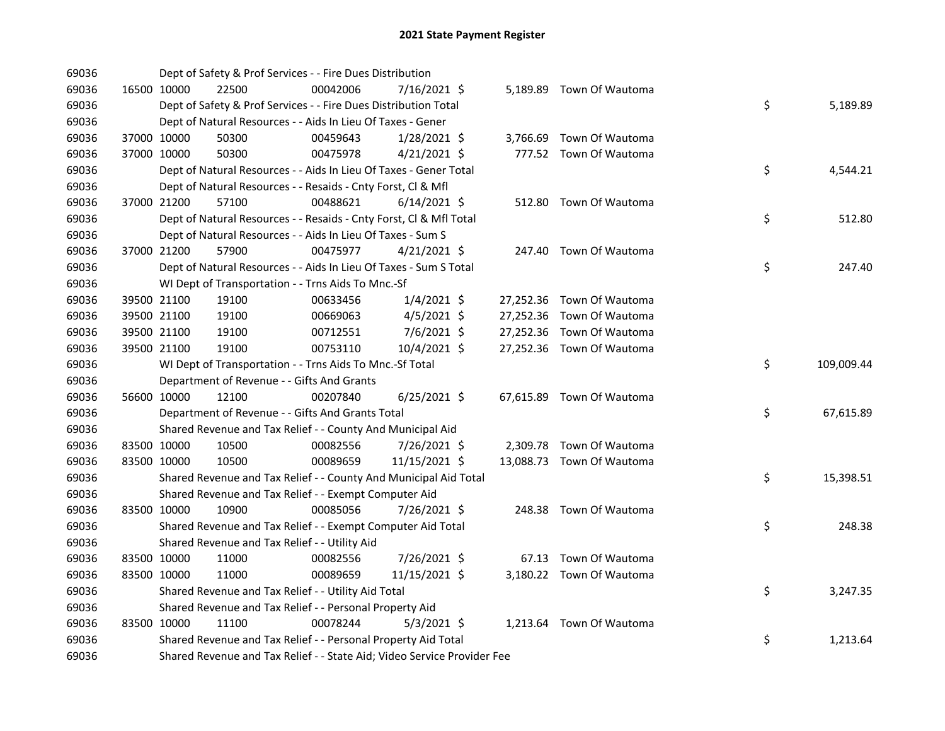| 69036 |             |             | Dept of Safety & Prof Services - - Fire Dues Distribution               |          |                |  |                           |    |            |
|-------|-------------|-------------|-------------------------------------------------------------------------|----------|----------------|--|---------------------------|----|------------|
| 69036 |             | 16500 10000 | 22500                                                                   | 00042006 | 7/16/2021 \$   |  | 5,189.89 Town Of Wautoma  |    |            |
| 69036 |             |             | Dept of Safety & Prof Services - - Fire Dues Distribution Total         |          |                |  |                           | \$ | 5,189.89   |
| 69036 |             |             | Dept of Natural Resources - - Aids In Lieu Of Taxes - Gener             |          |                |  |                           |    |            |
| 69036 |             | 37000 10000 | 50300                                                                   | 00459643 | $1/28/2021$ \$ |  | 3,766.69 Town Of Wautoma  |    |            |
| 69036 |             | 37000 10000 | 50300                                                                   | 00475978 | $4/21/2021$ \$ |  | 777.52 Town Of Wautoma    |    |            |
| 69036 |             |             | Dept of Natural Resources - - Aids In Lieu Of Taxes - Gener Total       |          |                |  |                           | \$ | 4,544.21   |
| 69036 |             |             | Dept of Natural Resources - - Resaids - Cnty Forst, Cl & Mfl            |          |                |  |                           |    |            |
| 69036 | 37000 21200 |             | 57100                                                                   | 00488621 | $6/14/2021$ \$ |  | 512.80 Town Of Wautoma    |    |            |
| 69036 |             |             | Dept of Natural Resources - - Resaids - Cnty Forst, Cl & Mfl Total      |          |                |  |                           | \$ | 512.80     |
| 69036 |             |             | Dept of Natural Resources - - Aids In Lieu Of Taxes - Sum S             |          |                |  |                           |    |            |
| 69036 |             | 37000 21200 | 57900                                                                   | 00475977 | $4/21/2021$ \$ |  | 247.40 Town Of Wautoma    |    |            |
| 69036 |             |             | Dept of Natural Resources - - Aids In Lieu Of Taxes - Sum S Total       |          |                |  |                           | \$ | 247.40     |
| 69036 |             |             | WI Dept of Transportation - - Trns Aids To Mnc.-Sf                      |          |                |  |                           |    |            |
| 69036 |             | 39500 21100 | 19100                                                                   | 00633456 | $1/4/2021$ \$  |  | 27,252.36 Town Of Wautoma |    |            |
| 69036 |             | 39500 21100 | 19100                                                                   | 00669063 | $4/5/2021$ \$  |  | 27,252.36 Town Of Wautoma |    |            |
| 69036 |             | 39500 21100 | 19100                                                                   | 00712551 | $7/6/2021$ \$  |  | 27,252.36 Town Of Wautoma |    |            |
| 69036 |             | 39500 21100 | 19100                                                                   | 00753110 | $10/4/2021$ \$ |  | 27,252.36 Town Of Wautoma |    |            |
| 69036 |             |             | WI Dept of Transportation - - Trns Aids To Mnc.-Sf Total                |          |                |  |                           | \$ | 109,009.44 |
| 69036 |             |             | Department of Revenue - - Gifts And Grants                              |          |                |  |                           |    |            |
| 69036 |             | 56600 10000 | 12100                                                                   | 00207840 | $6/25/2021$ \$ |  | 67,615.89 Town Of Wautoma |    |            |
| 69036 |             |             | Department of Revenue - - Gifts And Grants Total                        |          |                |  |                           | \$ | 67,615.89  |
| 69036 |             |             | Shared Revenue and Tax Relief - - County And Municipal Aid              |          |                |  |                           |    |            |
| 69036 |             | 83500 10000 | 10500                                                                   | 00082556 | 7/26/2021 \$   |  | 2,309.78 Town Of Wautoma  |    |            |
| 69036 |             | 83500 10000 | 10500                                                                   | 00089659 | 11/15/2021 \$  |  | 13,088.73 Town Of Wautoma |    |            |
| 69036 |             |             | Shared Revenue and Tax Relief - - County And Municipal Aid Total        |          |                |  |                           | \$ | 15,398.51  |
| 69036 |             |             | Shared Revenue and Tax Relief - - Exempt Computer Aid                   |          |                |  |                           |    |            |
| 69036 |             | 83500 10000 | 10900                                                                   | 00085056 | 7/26/2021 \$   |  | 248.38 Town Of Wautoma    |    |            |
| 69036 |             |             | Shared Revenue and Tax Relief - - Exempt Computer Aid Total             |          |                |  |                           | \$ | 248.38     |
| 69036 |             |             | Shared Revenue and Tax Relief - - Utility Aid                           |          |                |  |                           |    |            |
| 69036 |             | 83500 10000 | 11000                                                                   | 00082556 | 7/26/2021 \$   |  | 67.13 Town Of Wautoma     |    |            |
| 69036 |             | 83500 10000 | 11000                                                                   | 00089659 | 11/15/2021 \$  |  | 3,180.22 Town Of Wautoma  |    |            |
| 69036 |             |             | Shared Revenue and Tax Relief - - Utility Aid Total                     |          |                |  |                           | \$ | 3,247.35   |
| 69036 |             |             | Shared Revenue and Tax Relief - - Personal Property Aid                 |          |                |  |                           |    |            |
| 69036 |             | 83500 10000 | 11100                                                                   | 00078244 | $5/3/2021$ \$  |  | 1,213.64 Town Of Wautoma  |    |            |
| 69036 |             |             | Shared Revenue and Tax Relief - - Personal Property Aid Total           |          |                |  |                           | \$ | 1,213.64   |
| 69036 |             |             | Shared Revenue and Tax Relief - - State Aid; Video Service Provider Fee |          |                |  |                           |    |            |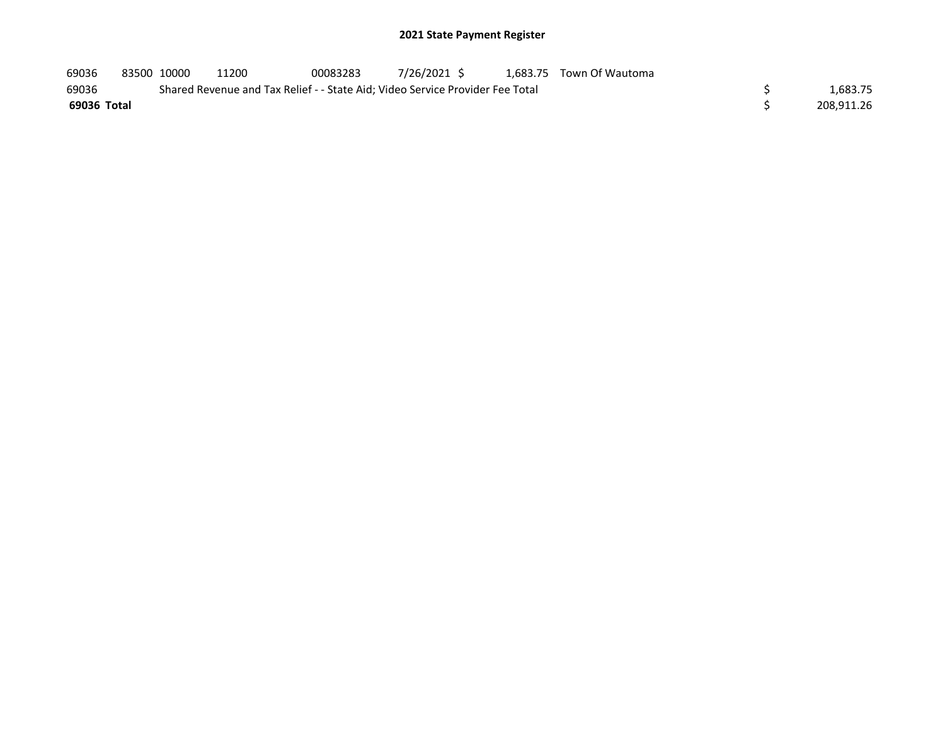| 69036       | 83500 10000 | 11200 | 00083283 | 7/26/2021 \$                                                                  | 1.683.75 Town Of Wautoma |            |
|-------------|-------------|-------|----------|-------------------------------------------------------------------------------|--------------------------|------------|
| 69036       |             |       |          | Shared Revenue and Tax Relief - - State Aid; Video Service Provider Fee Total |                          | 1,683.75   |
| 69036 Total |             |       |          |                                                                               |                          | 208,911.26 |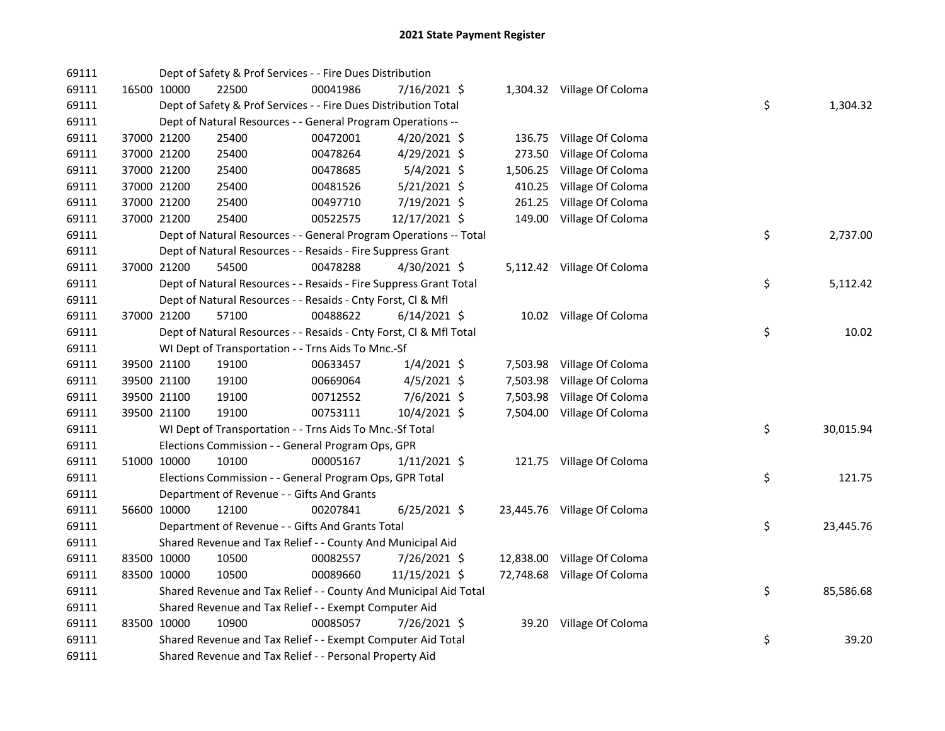| 69111 |             |             | Dept of Safety & Prof Services - - Fire Dues Distribution          |          |                |          |                             |    |           |
|-------|-------------|-------------|--------------------------------------------------------------------|----------|----------------|----------|-----------------------------|----|-----------|
| 69111 |             | 16500 10000 | 22500                                                              | 00041986 | 7/16/2021 \$   |          | 1,304.32 Village Of Coloma  |    |           |
| 69111 |             |             | Dept of Safety & Prof Services - - Fire Dues Distribution Total    |          |                |          |                             | \$ | 1,304.32  |
| 69111 |             |             | Dept of Natural Resources - - General Program Operations --        |          |                |          |                             |    |           |
| 69111 |             | 37000 21200 | 25400                                                              | 00472001 | 4/20/2021 \$   |          | 136.75 Village Of Coloma    |    |           |
| 69111 |             | 37000 21200 | 25400                                                              | 00478264 | 4/29/2021 \$   | 273.50   | Village Of Coloma           |    |           |
| 69111 |             | 37000 21200 | 25400                                                              | 00478685 | $5/4/2021$ \$  | 1,506.25 | Village Of Coloma           |    |           |
| 69111 |             | 37000 21200 | 25400                                                              | 00481526 | 5/21/2021 \$   | 410.25   | Village Of Coloma           |    |           |
| 69111 |             | 37000 21200 | 25400                                                              | 00497710 | 7/19/2021 \$   | 261.25   | Village Of Coloma           |    |           |
| 69111 |             | 37000 21200 | 25400                                                              | 00522575 | 12/17/2021 \$  |          | 149.00 Village Of Coloma    |    |           |
| 69111 |             |             | Dept of Natural Resources - - General Program Operations -- Total  |          |                |          |                             | \$ | 2,737.00  |
| 69111 |             |             | Dept of Natural Resources - - Resaids - Fire Suppress Grant        |          |                |          |                             |    |           |
| 69111 |             | 37000 21200 | 54500                                                              | 00478288 | 4/30/2021 \$   |          | 5,112.42 Village Of Coloma  |    |           |
| 69111 |             |             | Dept of Natural Resources - - Resaids - Fire Suppress Grant Total  |          |                |          |                             | \$ | 5,112.42  |
| 69111 |             |             | Dept of Natural Resources - - Resaids - Cnty Forst, Cl & Mfl       |          |                |          |                             |    |           |
| 69111 |             | 37000 21200 | 57100                                                              | 00488622 | $6/14/2021$ \$ |          | 10.02 Village Of Coloma     |    |           |
| 69111 |             |             | Dept of Natural Resources - - Resaids - Cnty Forst, Cl & Mfl Total |          |                |          |                             | \$ | 10.02     |
| 69111 |             |             | WI Dept of Transportation - - Trns Aids To Mnc.-Sf                 |          |                |          |                             |    |           |
| 69111 |             | 39500 21100 | 19100                                                              | 00633457 | $1/4/2021$ \$  |          | 7,503.98 Village Of Coloma  |    |           |
| 69111 |             | 39500 21100 | 19100                                                              | 00669064 | $4/5/2021$ \$  | 7,503.98 | Village Of Coloma           |    |           |
| 69111 |             | 39500 21100 | 19100                                                              | 00712552 | $7/6/2021$ \$  | 7,503.98 | Village Of Coloma           |    |           |
| 69111 |             | 39500 21100 | 19100                                                              | 00753111 | 10/4/2021 \$   |          | 7,504.00 Village Of Coloma  |    |           |
| 69111 |             |             | WI Dept of Transportation - - Trns Aids To Mnc.-Sf Total           |          |                |          |                             | \$ | 30,015.94 |
| 69111 |             |             | Elections Commission - - General Program Ops, GPR                  |          |                |          |                             |    |           |
| 69111 |             | 51000 10000 | 10100                                                              | 00005167 | $1/11/2021$ \$ |          | 121.75 Village Of Coloma    |    |           |
| 69111 |             |             | Elections Commission - - General Program Ops, GPR Total            |          |                |          |                             | \$ | 121.75    |
| 69111 |             |             | Department of Revenue - - Gifts And Grants                         |          |                |          |                             |    |           |
| 69111 |             | 56600 10000 | 12100                                                              | 00207841 | $6/25/2021$ \$ |          | 23,445.76 Village Of Coloma |    |           |
| 69111 |             |             | Department of Revenue - - Gifts And Grants Total                   |          |                |          |                             | \$ | 23,445.76 |
| 69111 |             |             | Shared Revenue and Tax Relief - - County And Municipal Aid         |          |                |          |                             |    |           |
| 69111 | 83500 10000 |             | 10500                                                              | 00082557 | 7/26/2021 \$   |          | 12,838.00 Village Of Coloma |    |           |
| 69111 |             | 83500 10000 | 10500                                                              | 00089660 | 11/15/2021 \$  |          | 72,748.68 Village Of Coloma |    |           |
| 69111 |             |             | Shared Revenue and Tax Relief - - County And Municipal Aid Total   |          |                |          |                             | \$ | 85,586.68 |
| 69111 |             |             | Shared Revenue and Tax Relief - - Exempt Computer Aid              |          |                |          |                             |    |           |
| 69111 |             | 83500 10000 | 10900                                                              | 00085057 | 7/26/2021 \$   |          | 39.20 Village Of Coloma     |    |           |
| 69111 |             |             | Shared Revenue and Tax Relief - - Exempt Computer Aid Total        |          |                |          |                             | \$ | 39.20     |
| 69111 |             |             | Shared Revenue and Tax Relief - - Personal Property Aid            |          |                |          |                             |    |           |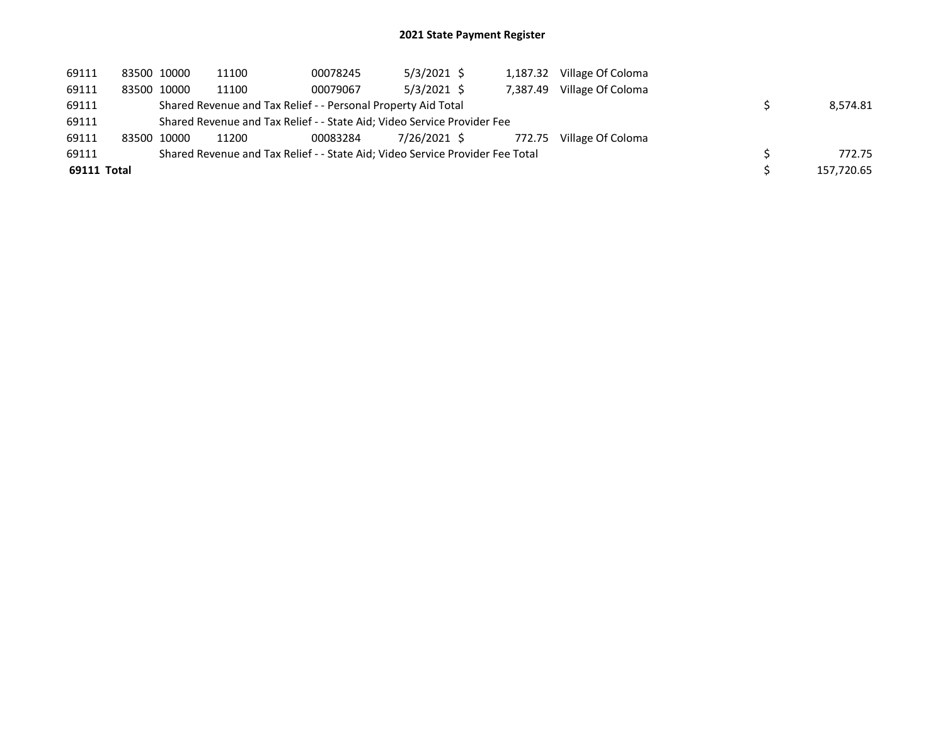| 69111       | 83500 10000 | 11100 | 00078245                                                                      | $5/3/2021$ \$ | 1,187.32 | Village Of Coloma        |            |
|-------------|-------------|-------|-------------------------------------------------------------------------------|---------------|----------|--------------------------|------------|
| 69111       | 83500 10000 | 11100 | 00079067                                                                      | $5/3/2021$ \$ | 7.387.49 | Village Of Coloma        |            |
| 69111       |             |       | Shared Revenue and Tax Relief - - Personal Property Aid Total                 |               |          |                          | 8.574.81   |
| 69111       |             |       | Shared Revenue and Tax Relief - - State Aid; Video Service Provider Fee       |               |          |                          |            |
| 69111       | 83500 10000 | 11200 | 00083284                                                                      | 7/26/2021 \$  |          | 772.75 Village Of Coloma |            |
| 69111       |             |       | Shared Revenue and Tax Relief - - State Aid; Video Service Provider Fee Total |               |          |                          | 772.75     |
| 69111 Total |             |       |                                                                               |               |          |                          | 157,720.65 |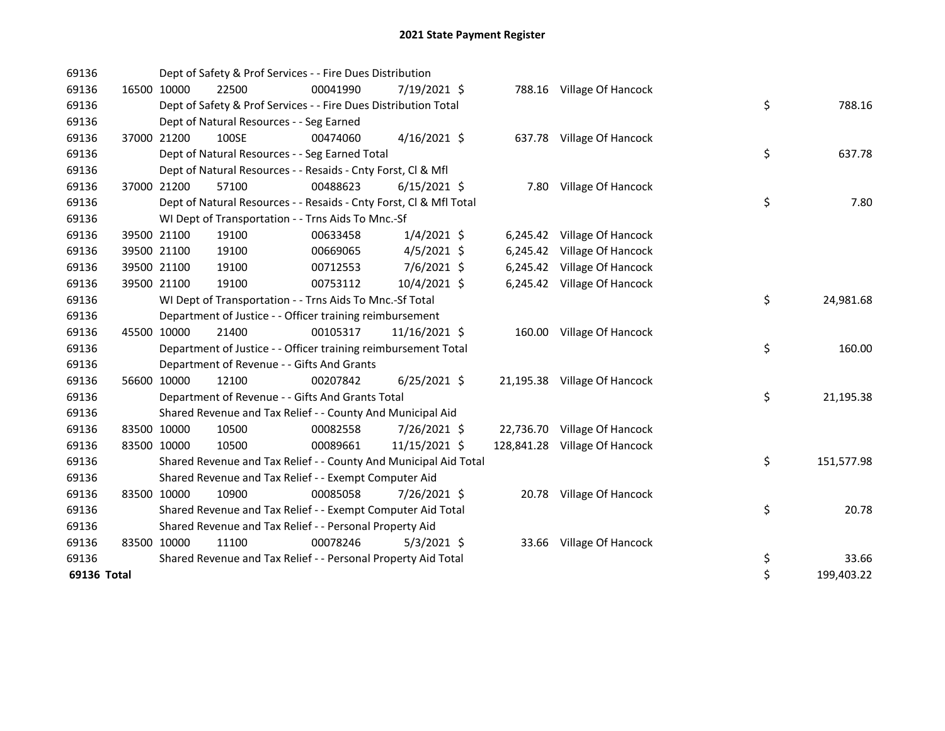| 69136       |             | Dept of Safety & Prof Services - - Fire Dues Distribution          |          |                |  |                               |    |            |
|-------------|-------------|--------------------------------------------------------------------|----------|----------------|--|-------------------------------|----|------------|
| 69136       | 16500 10000 | 22500                                                              | 00041990 | 7/19/2021 \$   |  | 788.16 Village Of Hancock     |    |            |
| 69136       |             | Dept of Safety & Prof Services - - Fire Dues Distribution Total    |          |                |  |                               | \$ | 788.16     |
| 69136       |             | Dept of Natural Resources - - Seg Earned                           |          |                |  |                               |    |            |
| 69136       | 37000 21200 | 100SE                                                              | 00474060 | 4/16/2021 \$   |  | 637.78 Village Of Hancock     |    |            |
| 69136       |             | Dept of Natural Resources - - Seg Earned Total                     |          |                |  |                               | \$ | 637.78     |
| 69136       |             | Dept of Natural Resources - - Resaids - Cnty Forst, Cl & Mfl       |          |                |  |                               |    |            |
| 69136       | 37000 21200 | 57100                                                              | 00488623 | $6/15/2021$ \$ |  | 7.80 Village Of Hancock       |    |            |
| 69136       |             | Dept of Natural Resources - - Resaids - Cnty Forst, CI & Mfl Total |          |                |  |                               | \$ | 7.80       |
| 69136       |             | WI Dept of Transportation - - Trns Aids To Mnc.-Sf                 |          |                |  |                               |    |            |
| 69136       | 39500 21100 | 19100                                                              | 00633458 | $1/4/2021$ \$  |  | 6,245.42 Village Of Hancock   |    |            |
| 69136       | 39500 21100 | 19100                                                              | 00669065 | $4/5/2021$ \$  |  | 6,245.42 Village Of Hancock   |    |            |
| 69136       | 39500 21100 | 19100                                                              | 00712553 | 7/6/2021 \$    |  | 6,245.42 Village Of Hancock   |    |            |
| 69136       | 39500 21100 | 19100                                                              | 00753112 | 10/4/2021 \$   |  | 6,245.42 Village Of Hancock   |    |            |
| 69136       |             | WI Dept of Transportation - - Trns Aids To Mnc.-Sf Total           |          |                |  |                               | \$ | 24,981.68  |
| 69136       |             | Department of Justice - - Officer training reimbursement           |          |                |  |                               |    |            |
| 69136       | 45500 10000 | 21400                                                              | 00105317 | 11/16/2021 \$  |  | 160.00 Village Of Hancock     |    |            |
| 69136       |             | Department of Justice - - Officer training reimbursement Total     |          |                |  |                               | \$ | 160.00     |
| 69136       |             | Department of Revenue - - Gifts And Grants                         |          |                |  |                               |    |            |
| 69136       | 56600 10000 | 12100                                                              | 00207842 | $6/25/2021$ \$ |  | 21,195.38 Village Of Hancock  |    |            |
| 69136       |             | Department of Revenue - - Gifts And Grants Total                   |          |                |  |                               | \$ | 21,195.38  |
| 69136       |             | Shared Revenue and Tax Relief - - County And Municipal Aid         |          |                |  |                               |    |            |
| 69136       | 83500 10000 | 10500                                                              | 00082558 | 7/26/2021 \$   |  | 22,736.70 Village Of Hancock  |    |            |
| 69136       | 83500 10000 | 10500                                                              | 00089661 | 11/15/2021 \$  |  | 128,841.28 Village Of Hancock |    |            |
| 69136       |             | Shared Revenue and Tax Relief - - County And Municipal Aid Total   |          |                |  |                               | \$ | 151,577.98 |
| 69136       |             | Shared Revenue and Tax Relief - - Exempt Computer Aid              |          |                |  |                               |    |            |
| 69136       | 83500 10000 | 10900                                                              | 00085058 | 7/26/2021 \$   |  | 20.78 Village Of Hancock      |    |            |
| 69136       |             | Shared Revenue and Tax Relief - - Exempt Computer Aid Total        |          |                |  |                               | \$ | 20.78      |
| 69136       |             | Shared Revenue and Tax Relief - - Personal Property Aid            |          |                |  |                               |    |            |
| 69136       | 83500 10000 | 11100                                                              | 00078246 | $5/3/2021$ \$  |  | 33.66 Village Of Hancock      |    |            |
| 69136       |             | Shared Revenue and Tax Relief - - Personal Property Aid Total      |          |                |  |                               | \$ | 33.66      |
| 69136 Total |             |                                                                    |          |                |  |                               | \$ | 199,403.22 |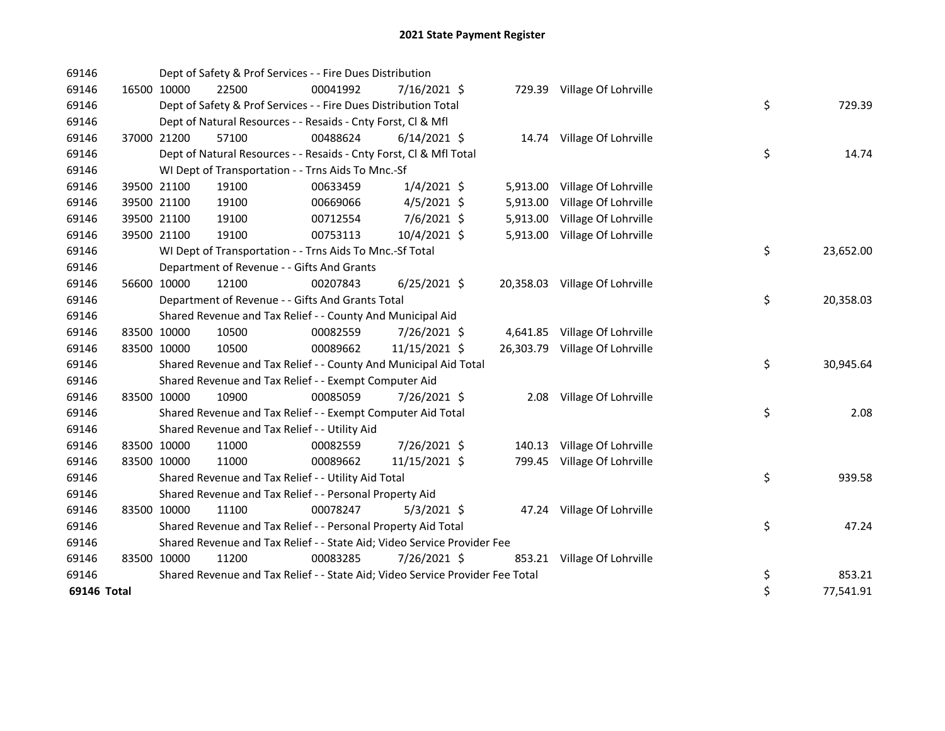| 69146       |             | Dept of Safety & Prof Services - - Fire Dues Distribution                     |          |                |          |                                |    |           |
|-------------|-------------|-------------------------------------------------------------------------------|----------|----------------|----------|--------------------------------|----|-----------|
| 69146       | 16500 10000 | 22500                                                                         | 00041992 | 7/16/2021 \$   |          | 729.39 Village Of Lohrville    |    |           |
| 69146       |             | Dept of Safety & Prof Services - - Fire Dues Distribution Total               |          |                |          |                                | \$ | 729.39    |
| 69146       |             | Dept of Natural Resources - - Resaids - Cnty Forst, Cl & Mfl                  |          |                |          |                                |    |           |
| 69146       | 37000 21200 | 57100                                                                         | 00488624 | $6/14/2021$ \$ |          | 14.74 Village Of Lohrville     |    |           |
| 69146       |             | Dept of Natural Resources - - Resaids - Cnty Forst, Cl & Mfl Total            |          |                |          |                                | \$ | 14.74     |
| 69146       |             | WI Dept of Transportation - - Trns Aids To Mnc.-Sf                            |          |                |          |                                |    |           |
| 69146       | 39500 21100 | 19100                                                                         | 00633459 | $1/4/2021$ \$  |          | 5,913.00 Village Of Lohrville  |    |           |
| 69146       | 39500 21100 | 19100                                                                         | 00669066 | $4/5/2021$ \$  | 5,913.00 | Village Of Lohrville           |    |           |
| 69146       | 39500 21100 | 19100                                                                         | 00712554 | 7/6/2021 \$    | 5,913.00 | Village Of Lohrville           |    |           |
| 69146       | 39500 21100 | 19100                                                                         | 00753113 | 10/4/2021 \$   |          | 5,913.00 Village Of Lohrville  |    |           |
| 69146       |             | WI Dept of Transportation - - Trns Aids To Mnc.-Sf Total                      |          |                |          |                                | \$ | 23,652.00 |
| 69146       |             | Department of Revenue - - Gifts And Grants                                    |          |                |          |                                |    |           |
| 69146       | 56600 10000 | 12100                                                                         | 00207843 | $6/25/2021$ \$ |          | 20,358.03 Village Of Lohrville |    |           |
| 69146       |             | Department of Revenue - - Gifts And Grants Total                              |          |                |          |                                | \$ | 20,358.03 |
| 69146       |             | Shared Revenue and Tax Relief - - County And Municipal Aid                    |          |                |          |                                |    |           |
| 69146       | 83500 10000 | 10500                                                                         | 00082559 | 7/26/2021 \$   |          | 4,641.85 Village Of Lohrville  |    |           |
| 69146       | 83500 10000 | 10500                                                                         | 00089662 | 11/15/2021 \$  |          | 26,303.79 Village Of Lohrville |    |           |
| 69146       |             | Shared Revenue and Tax Relief - - County And Municipal Aid Total              |          |                |          |                                | \$ | 30,945.64 |
| 69146       |             | Shared Revenue and Tax Relief - - Exempt Computer Aid                         |          |                |          |                                |    |           |
| 69146       | 83500 10000 | 10900                                                                         | 00085059 | 7/26/2021 \$   |          | 2.08 Village Of Lohrville      |    |           |
| 69146       |             | Shared Revenue and Tax Relief - - Exempt Computer Aid Total                   |          |                |          |                                | \$ | 2.08      |
| 69146       |             | Shared Revenue and Tax Relief - - Utility Aid                                 |          |                |          |                                |    |           |
| 69146       | 83500 10000 | 11000                                                                         | 00082559 | 7/26/2021 \$   |          | 140.13 Village Of Lohrville    |    |           |
| 69146       | 83500 10000 | 11000                                                                         | 00089662 | 11/15/2021 \$  |          | 799.45 Village Of Lohrville    |    |           |
| 69146       |             | Shared Revenue and Tax Relief - - Utility Aid Total                           |          |                |          |                                | \$ | 939.58    |
| 69146       |             | Shared Revenue and Tax Relief - - Personal Property Aid                       |          |                |          |                                |    |           |
| 69146       | 83500 10000 | 11100                                                                         | 00078247 | $5/3/2021$ \$  |          | 47.24 Village Of Lohrville     |    |           |
| 69146       |             | Shared Revenue and Tax Relief - - Personal Property Aid Total                 |          |                |          |                                | \$ | 47.24     |
| 69146       |             | Shared Revenue and Tax Relief - - State Aid; Video Service Provider Fee       |          |                |          |                                |    |           |
| 69146       | 83500 10000 | 11200                                                                         | 00083285 | 7/26/2021 \$   |          | 853.21 Village Of Lohrville    |    |           |
| 69146       |             | Shared Revenue and Tax Relief - - State Aid; Video Service Provider Fee Total |          |                |          |                                | \$ | 853.21    |
| 69146 Total |             |                                                                               |          |                |          |                                | \$ | 77,541.91 |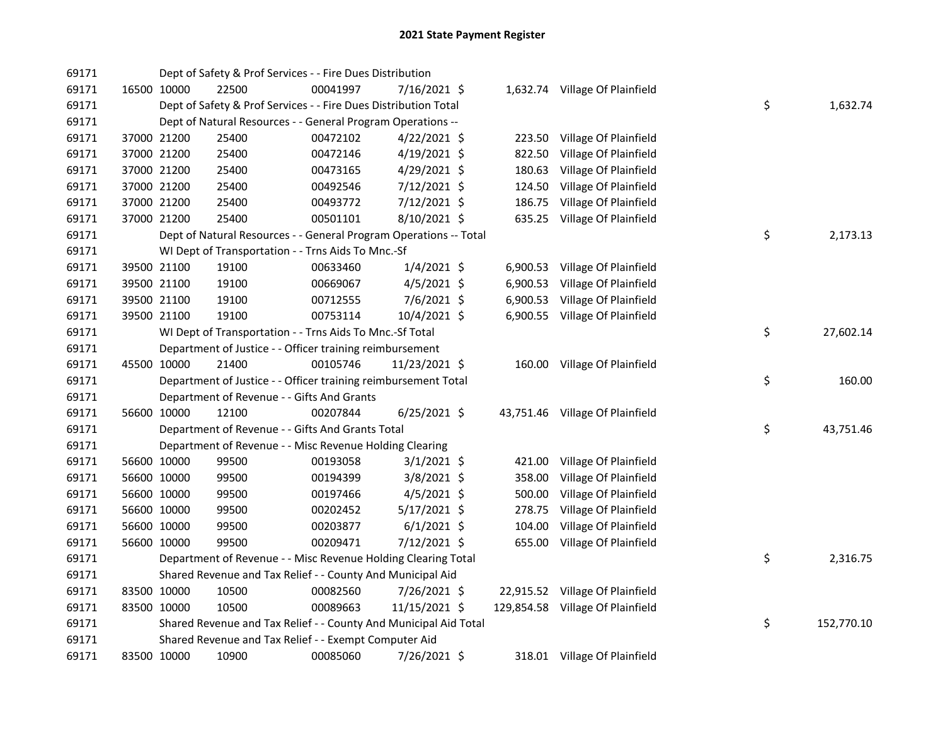| 69171 |             | Dept of Safety & Prof Services - - Fire Dues Distribution         |          |                |        |                                  |    |            |
|-------|-------------|-------------------------------------------------------------------|----------|----------------|--------|----------------------------------|----|------------|
| 69171 | 16500 10000 | 22500                                                             | 00041997 | 7/16/2021 \$   |        | 1,632.74 Village Of Plainfield   |    |            |
| 69171 |             | Dept of Safety & Prof Services - - Fire Dues Distribution Total   |          |                |        |                                  | \$ | 1,632.74   |
| 69171 |             | Dept of Natural Resources - - General Program Operations --       |          |                |        |                                  |    |            |
| 69171 | 37000 21200 | 25400                                                             | 00472102 | 4/22/2021 \$   | 223.50 | Village Of Plainfield            |    |            |
| 69171 | 37000 21200 | 25400                                                             | 00472146 | $4/19/2021$ \$ | 822.50 | Village Of Plainfield            |    |            |
| 69171 | 37000 21200 | 25400                                                             | 00473165 | 4/29/2021 \$   | 180.63 | Village Of Plainfield            |    |            |
| 69171 | 37000 21200 | 25400                                                             | 00492546 | 7/12/2021 \$   | 124.50 | Village Of Plainfield            |    |            |
| 69171 | 37000 21200 | 25400                                                             | 00493772 | 7/12/2021 \$   | 186.75 | Village Of Plainfield            |    |            |
| 69171 | 37000 21200 | 25400                                                             | 00501101 | 8/10/2021 \$   |        | 635.25 Village Of Plainfield     |    |            |
| 69171 |             | Dept of Natural Resources - - General Program Operations -- Total |          |                |        |                                  | \$ | 2,173.13   |
| 69171 |             | WI Dept of Transportation - - Trns Aids To Mnc.-Sf                |          |                |        |                                  |    |            |
| 69171 | 39500 21100 | 19100                                                             | 00633460 | $1/4/2021$ \$  |        | 6,900.53 Village Of Plainfield   |    |            |
| 69171 | 39500 21100 | 19100                                                             | 00669067 | $4/5/2021$ \$  |        | 6,900.53 Village Of Plainfield   |    |            |
| 69171 | 39500 21100 | 19100                                                             | 00712555 | $7/6/2021$ \$  |        | 6,900.53 Village Of Plainfield   |    |            |
| 69171 | 39500 21100 | 19100                                                             | 00753114 | 10/4/2021 \$   |        | 6,900.55 Village Of Plainfield   |    |            |
| 69171 |             | WI Dept of Transportation - - Trns Aids To Mnc.-Sf Total          |          |                |        |                                  | \$ | 27,602.14  |
| 69171 |             | Department of Justice - - Officer training reimbursement          |          |                |        |                                  |    |            |
| 69171 | 45500 10000 | 21400                                                             | 00105746 | 11/23/2021 \$  |        | 160.00 Village Of Plainfield     |    |            |
| 69171 |             | Department of Justice - - Officer training reimbursement Total    |          |                |        |                                  | \$ | 160.00     |
| 69171 |             | Department of Revenue - - Gifts And Grants                        |          |                |        |                                  |    |            |
| 69171 | 56600 10000 | 12100                                                             | 00207844 | $6/25/2021$ \$ |        | 43,751.46 Village Of Plainfield  |    |            |
| 69171 |             | Department of Revenue - - Gifts And Grants Total                  |          |                |        |                                  | \$ | 43,751.46  |
| 69171 |             | Department of Revenue - - Misc Revenue Holding Clearing           |          |                |        |                                  |    |            |
| 69171 | 56600 10000 | 99500                                                             | 00193058 | $3/1/2021$ \$  | 421.00 | Village Of Plainfield            |    |            |
| 69171 | 56600 10000 | 99500                                                             | 00194399 | $3/8/2021$ \$  | 358.00 | Village Of Plainfield            |    |            |
| 69171 | 56600 10000 | 99500                                                             | 00197466 | $4/5/2021$ \$  | 500.00 | Village Of Plainfield            |    |            |
| 69171 | 56600 10000 | 99500                                                             | 00202452 | $5/17/2021$ \$ | 278.75 | Village Of Plainfield            |    |            |
| 69171 | 56600 10000 | 99500                                                             | 00203877 | $6/1/2021$ \$  | 104.00 | Village Of Plainfield            |    |            |
| 69171 | 56600 10000 | 99500                                                             | 00209471 | 7/12/2021 \$   |        | 655.00 Village Of Plainfield     |    |            |
| 69171 |             | Department of Revenue - - Misc Revenue Holding Clearing Total     |          |                |        |                                  | \$ | 2,316.75   |
| 69171 |             | Shared Revenue and Tax Relief - - County And Municipal Aid        |          |                |        |                                  |    |            |
| 69171 | 83500 10000 | 10500                                                             | 00082560 | 7/26/2021 \$   |        | 22,915.52 Village Of Plainfield  |    |            |
| 69171 | 83500 10000 | 10500                                                             | 00089663 | 11/15/2021 \$  |        | 129,854.58 Village Of Plainfield |    |            |
| 69171 |             | Shared Revenue and Tax Relief - - County And Municipal Aid Total  |          |                |        |                                  | \$ | 152,770.10 |
| 69171 |             | Shared Revenue and Tax Relief - - Exempt Computer Aid             |          |                |        |                                  |    |            |
| 69171 | 83500 10000 | 10900                                                             | 00085060 | 7/26/2021 \$   |        | 318.01 Village Of Plainfield     |    |            |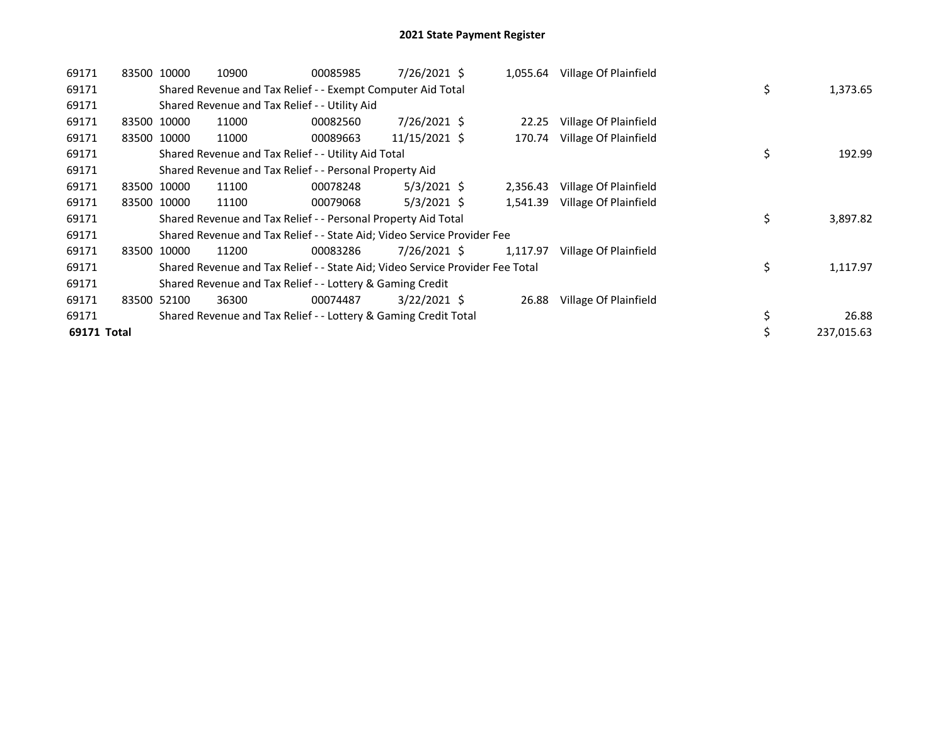| 69171       | 83500 10000 |             | 10900                                                                         | 00085985 | 7/26/2021 \$   |          | 1,055.64 Village Of Plainfield |                |
|-------------|-------------|-------------|-------------------------------------------------------------------------------|----------|----------------|----------|--------------------------------|----------------|
| 69171       |             |             | Shared Revenue and Tax Relief - - Exempt Computer Aid Total                   |          |                |          |                                | \$<br>1,373.65 |
| 69171       |             |             | Shared Revenue and Tax Relief - - Utility Aid                                 |          |                |          |                                |                |
| 69171       |             | 83500 10000 | 11000                                                                         | 00082560 | 7/26/2021 \$   | 22.25    | Village Of Plainfield          |                |
| 69171       |             | 83500 10000 | 11000                                                                         | 00089663 | 11/15/2021 \$  | 170.74   | Village Of Plainfield          |                |
| 69171       |             |             | Shared Revenue and Tax Relief - - Utility Aid Total                           |          |                |          |                                | \$<br>192.99   |
| 69171       |             |             | Shared Revenue and Tax Relief - - Personal Property Aid                       |          |                |          |                                |                |
| 69171       |             | 83500 10000 | 11100                                                                         | 00078248 | $5/3/2021$ \$  | 2,356.43 | Village Of Plainfield          |                |
| 69171       |             | 83500 10000 | 11100                                                                         | 00079068 | $5/3/2021$ \$  | 1,541.39 | Village Of Plainfield          |                |
| 69171       |             |             | Shared Revenue and Tax Relief - - Personal Property Aid Total                 |          |                |          |                                | \$<br>3,897.82 |
| 69171       |             |             | Shared Revenue and Tax Relief - - State Aid; Video Service Provider Fee       |          |                |          |                                |                |
| 69171       |             | 83500 10000 | 11200                                                                         | 00083286 | 7/26/2021 \$   | 1,117.97 | Village Of Plainfield          |                |
| 69171       |             |             | Shared Revenue and Tax Relief - - State Aid; Video Service Provider Fee Total |          |                |          |                                | \$<br>1,117.97 |
| 69171       |             |             | Shared Revenue and Tax Relief - - Lottery & Gaming Credit                     |          |                |          |                                |                |
| 69171       |             | 83500 52100 | 36300                                                                         | 00074487 | $3/22/2021$ \$ | 26.88    | Village Of Plainfield          |                |
| 69171       |             |             | Shared Revenue and Tax Relief - - Lottery & Gaming Credit Total               |          |                |          |                                | \$<br>26.88    |
| 69171 Total |             |             |                                                                               |          |                |          |                                | 237,015.63     |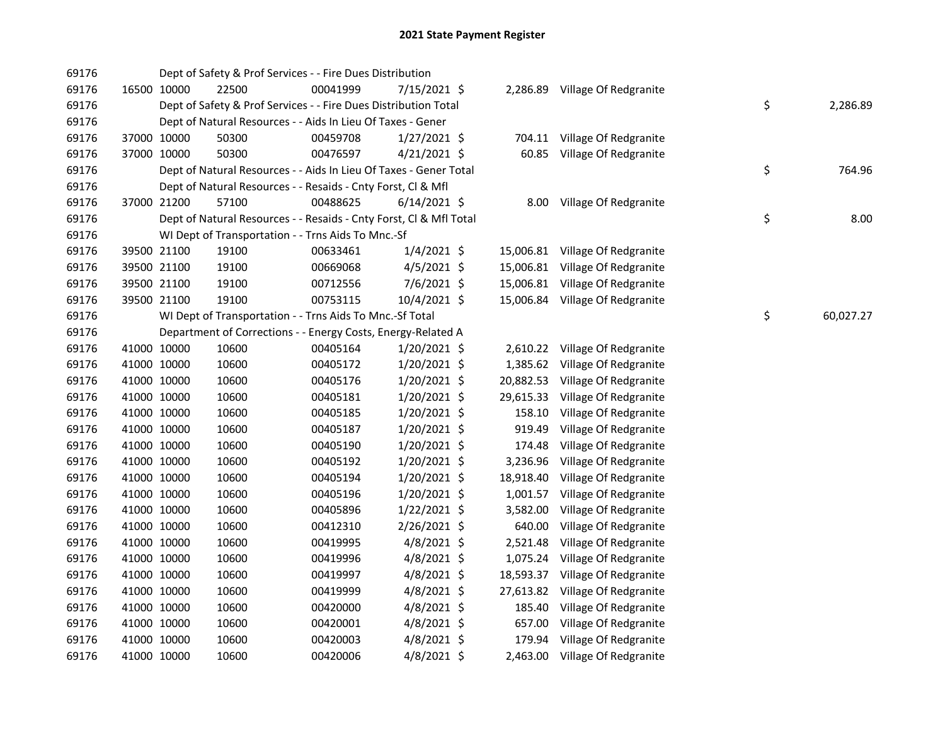| 69176 |             |             | Dept of Safety & Prof Services - - Fire Dues Distribution          |          |                |           |                                 |    |           |
|-------|-------------|-------------|--------------------------------------------------------------------|----------|----------------|-----------|---------------------------------|----|-----------|
| 69176 |             | 16500 10000 | 22500                                                              | 00041999 | 7/15/2021 \$   |           | 2,286.89 Village Of Redgranite  |    |           |
| 69176 |             |             | Dept of Safety & Prof Services - - Fire Dues Distribution Total    |          |                |           |                                 | \$ | 2,286.89  |
| 69176 |             |             | Dept of Natural Resources - - Aids In Lieu Of Taxes - Gener        |          |                |           |                                 |    |           |
| 69176 |             | 37000 10000 | 50300                                                              | 00459708 | $1/27/2021$ \$ |           | 704.11 Village Of Redgranite    |    |           |
| 69176 | 37000 10000 |             | 50300                                                              | 00476597 | 4/21/2021 \$   |           | 60.85 Village Of Redgranite     |    |           |
| 69176 |             |             | Dept of Natural Resources - - Aids In Lieu Of Taxes - Gener Total  |          |                |           |                                 | \$ | 764.96    |
| 69176 |             |             | Dept of Natural Resources - - Resaids - Cnty Forst, Cl & Mfl       |          |                |           |                                 |    |           |
| 69176 | 37000 21200 |             | 57100                                                              | 00488625 | $6/14/2021$ \$ |           | 8.00 Village Of Redgranite      |    |           |
| 69176 |             |             | Dept of Natural Resources - - Resaids - Cnty Forst, CI & Mfl Total |          |                |           |                                 | \$ | 8.00      |
| 69176 |             |             | WI Dept of Transportation - - Trns Aids To Mnc.-Sf                 |          |                |           |                                 |    |           |
| 69176 |             | 39500 21100 | 19100                                                              | 00633461 | $1/4/2021$ \$  |           | 15,006.81 Village Of Redgranite |    |           |
| 69176 |             | 39500 21100 | 19100                                                              | 00669068 | $4/5/2021$ \$  |           | 15,006.81 Village Of Redgranite |    |           |
| 69176 |             | 39500 21100 | 19100                                                              | 00712556 | 7/6/2021 \$    |           | 15,006.81 Village Of Redgranite |    |           |
| 69176 | 39500 21100 |             | 19100                                                              | 00753115 | 10/4/2021 \$   |           | 15,006.84 Village Of Redgranite |    |           |
| 69176 |             |             | WI Dept of Transportation - - Trns Aids To Mnc.-Sf Total           |          |                |           |                                 | \$ | 60,027.27 |
| 69176 |             |             | Department of Corrections - - Energy Costs, Energy-Related A       |          |                |           |                                 |    |           |
| 69176 | 41000 10000 |             | 10600                                                              | 00405164 | $1/20/2021$ \$ |           | 2,610.22 Village Of Redgranite  |    |           |
| 69176 | 41000 10000 |             | 10600                                                              | 00405172 | 1/20/2021 \$   |           | 1,385.62 Village Of Redgranite  |    |           |
| 69176 | 41000 10000 |             | 10600                                                              | 00405176 | 1/20/2021 \$   | 20,882.53 | Village Of Redgranite           |    |           |
| 69176 | 41000 10000 |             | 10600                                                              | 00405181 | 1/20/2021 \$   | 29,615.33 | Village Of Redgranite           |    |           |
| 69176 | 41000 10000 |             | 10600                                                              | 00405185 | 1/20/2021 \$   | 158.10    | Village Of Redgranite           |    |           |
| 69176 | 41000 10000 |             | 10600                                                              | 00405187 | 1/20/2021 \$   | 919.49    | Village Of Redgranite           |    |           |
| 69176 | 41000 10000 |             | 10600                                                              | 00405190 | 1/20/2021 \$   | 174.48    | Village Of Redgranite           |    |           |
| 69176 |             | 41000 10000 | 10600                                                              | 00405192 | 1/20/2021 \$   | 3,236.96  | Village Of Redgranite           |    |           |
| 69176 | 41000 10000 |             | 10600                                                              | 00405194 | 1/20/2021 \$   | 18,918.40 | Village Of Redgranite           |    |           |
| 69176 | 41000 10000 |             | 10600                                                              | 00405196 | 1/20/2021 \$   | 1,001.57  | Village Of Redgranite           |    |           |
| 69176 | 41000 10000 |             | 10600                                                              | 00405896 | 1/22/2021 \$   | 3,582.00  | Village Of Redgranite           |    |           |
| 69176 | 41000 10000 |             | 10600                                                              | 00412310 | 2/26/2021 \$   | 640.00    | Village Of Redgranite           |    |           |
| 69176 | 41000 10000 |             | 10600                                                              | 00419995 | 4/8/2021 \$    | 2,521.48  | Village Of Redgranite           |    |           |
| 69176 | 41000 10000 |             | 10600                                                              | 00419996 | 4/8/2021 \$    | 1,075.24  | Village Of Redgranite           |    |           |
| 69176 | 41000 10000 |             | 10600                                                              | 00419997 | $4/8/2021$ \$  | 18,593.37 | Village Of Redgranite           |    |           |
| 69176 | 41000 10000 |             | 10600                                                              | 00419999 | $4/8/2021$ \$  | 27,613.82 | Village Of Redgranite           |    |           |
| 69176 |             | 41000 10000 | 10600                                                              | 00420000 | $4/8/2021$ \$  | 185.40    | Village Of Redgranite           |    |           |
| 69176 | 41000 10000 |             | 10600                                                              | 00420001 | $4/8/2021$ \$  | 657.00    | Village Of Redgranite           |    |           |
| 69176 |             | 41000 10000 | 10600                                                              | 00420003 | 4/8/2021 \$    | 179.94    | Village Of Redgranite           |    |           |
| 69176 | 41000 10000 |             | 10600                                                              | 00420006 | 4/8/2021 \$    |           | 2,463.00 Village Of Redgranite  |    |           |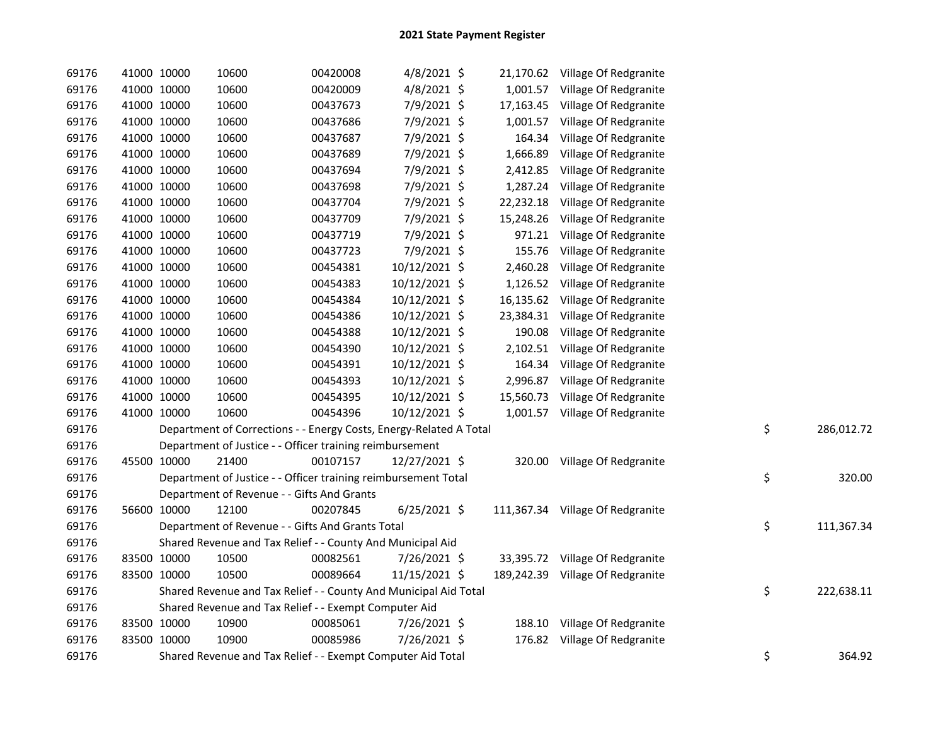| 69176 |             | 41000 10000 | 10600                                                              | 00420008 | 4/8/2021 \$    |           | 21,170.62 Village Of Redgranite  |    |            |
|-------|-------------|-------------|--------------------------------------------------------------------|----------|----------------|-----------|----------------------------------|----|------------|
| 69176 |             | 41000 10000 | 10600                                                              | 00420009 | 4/8/2021 \$    |           | 1,001.57 Village Of Redgranite   |    |            |
| 69176 |             | 41000 10000 | 10600                                                              | 00437673 | 7/9/2021 \$    | 17,163.45 | Village Of Redgranite            |    |            |
| 69176 |             | 41000 10000 | 10600                                                              | 00437686 | 7/9/2021 \$    |           | 1,001.57 Village Of Redgranite   |    |            |
| 69176 |             | 41000 10000 | 10600                                                              | 00437687 | 7/9/2021 \$    | 164.34    | Village Of Redgranite            |    |            |
| 69176 |             | 41000 10000 | 10600                                                              | 00437689 | 7/9/2021 \$    | 1,666.89  | Village Of Redgranite            |    |            |
| 69176 |             | 41000 10000 | 10600                                                              | 00437694 | 7/9/2021 \$    | 2,412.85  | Village Of Redgranite            |    |            |
| 69176 |             | 41000 10000 | 10600                                                              | 00437698 | 7/9/2021 \$    | 1,287.24  | Village Of Redgranite            |    |            |
| 69176 |             | 41000 10000 | 10600                                                              | 00437704 | 7/9/2021 \$    | 22,232.18 | Village Of Redgranite            |    |            |
| 69176 |             | 41000 10000 | 10600                                                              | 00437709 | 7/9/2021 \$    | 15,248.26 | Village Of Redgranite            |    |            |
| 69176 |             | 41000 10000 | 10600                                                              | 00437719 | 7/9/2021 \$    | 971.21    | Village Of Redgranite            |    |            |
| 69176 |             | 41000 10000 | 10600                                                              | 00437723 | 7/9/2021 \$    | 155.76    | Village Of Redgranite            |    |            |
| 69176 |             | 41000 10000 | 10600                                                              | 00454381 | 10/12/2021 \$  | 2,460.28  | Village Of Redgranite            |    |            |
| 69176 |             | 41000 10000 | 10600                                                              | 00454383 | 10/12/2021 \$  |           | 1,126.52 Village Of Redgranite   |    |            |
| 69176 |             | 41000 10000 | 10600                                                              | 00454384 | 10/12/2021 \$  |           | 16,135.62 Village Of Redgranite  |    |            |
| 69176 |             | 41000 10000 | 10600                                                              | 00454386 | 10/12/2021 \$  | 23,384.31 | Village Of Redgranite            |    |            |
| 69176 |             | 41000 10000 | 10600                                                              | 00454388 | 10/12/2021 \$  | 190.08    | Village Of Redgranite            |    |            |
| 69176 |             | 41000 10000 | 10600                                                              | 00454390 | 10/12/2021 \$  |           | 2,102.51 Village Of Redgranite   |    |            |
| 69176 |             | 41000 10000 | 10600                                                              | 00454391 | 10/12/2021 \$  |           | 164.34 Village Of Redgranite     |    |            |
| 69176 |             | 41000 10000 | 10600                                                              | 00454393 | 10/12/2021 \$  | 2,996.87  | Village Of Redgranite            |    |            |
| 69176 |             | 41000 10000 | 10600                                                              | 00454395 | 10/12/2021 \$  | 15,560.73 | Village Of Redgranite            |    |            |
| 69176 |             | 41000 10000 | 10600                                                              | 00454396 | 10/12/2021 \$  |           | 1,001.57 Village Of Redgranite   |    |            |
| 69176 |             |             | Department of Corrections - - Energy Costs, Energy-Related A Total |          |                |           |                                  | \$ | 286,012.72 |
| 69176 |             |             | Department of Justice - - Officer training reimbursement           |          |                |           |                                  |    |            |
| 69176 |             | 45500 10000 | 21400                                                              | 00107157 | 12/27/2021 \$  | 320.00    | Village Of Redgranite            |    |            |
| 69176 |             |             | Department of Justice - - Officer training reimbursement Total     |          |                |           |                                  | \$ | 320.00     |
| 69176 |             |             | Department of Revenue - - Gifts And Grants                         |          |                |           |                                  |    |            |
| 69176 |             | 56600 10000 | 12100                                                              | 00207845 | $6/25/2021$ \$ |           | 111,367.34 Village Of Redgranite |    |            |
| 69176 |             |             | Department of Revenue - - Gifts And Grants Total                   |          |                |           |                                  | \$ | 111,367.34 |
| 69176 |             |             | Shared Revenue and Tax Relief - - County And Municipal Aid         |          |                |           |                                  |    |            |
| 69176 |             | 83500 10000 | 10500                                                              | 00082561 | 7/26/2021 \$   |           | 33,395.72 Village Of Redgranite  |    |            |
| 69176 |             | 83500 10000 | 10500                                                              | 00089664 | 11/15/2021 \$  |           | 189,242.39 Village Of Redgranite |    |            |
| 69176 |             |             | Shared Revenue and Tax Relief - - County And Municipal Aid Total   |          |                |           |                                  | \$ | 222,638.11 |
| 69176 |             |             | Shared Revenue and Tax Relief - - Exempt Computer Aid              |          |                |           |                                  |    |            |
| 69176 |             | 83500 10000 | 10900                                                              | 00085061 | 7/26/2021 \$   |           | 188.10 Village Of Redgranite     |    |            |
| 69176 | 83500 10000 |             | 10900                                                              | 00085986 | 7/26/2021 \$   |           | 176.82 Village Of Redgranite     |    |            |
| 69176 |             |             | Shared Revenue and Tax Relief - - Exempt Computer Aid Total        |          |                |           |                                  | \$ | 364.92     |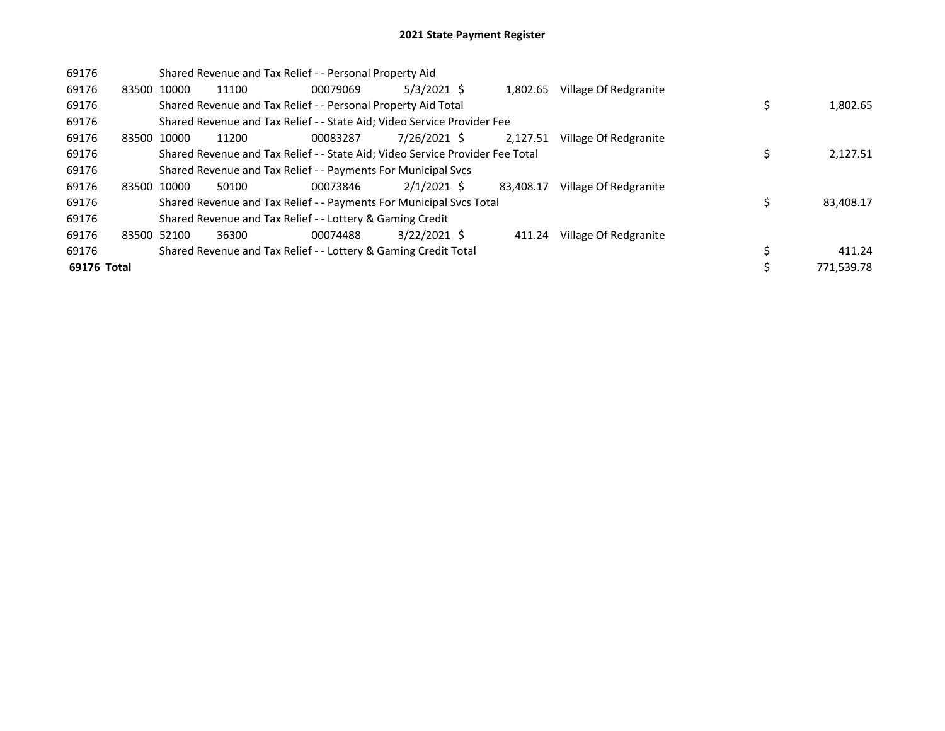| 69176       |             |             | Shared Revenue and Tax Relief - - Personal Property Aid                       |          |                |           |                       |  |            |
|-------------|-------------|-------------|-------------------------------------------------------------------------------|----------|----------------|-----------|-----------------------|--|------------|
| 69176       | 83500 10000 |             | 11100                                                                         | 00079069 | $5/3/2021$ \$  | 1,802.65  | Village Of Redgranite |  |            |
| 69176       |             |             | Shared Revenue and Tax Relief - - Personal Property Aid Total                 |          |                |           |                       |  | 1,802.65   |
| 69176       |             |             | Shared Revenue and Tax Relief - - State Aid; Video Service Provider Fee       |          |                |           |                       |  |            |
| 69176       | 83500 10000 |             | 11200                                                                         | 00083287 | 7/26/2021 \$   | 2.127.51  | Village Of Redgranite |  |            |
| 69176       |             |             | Shared Revenue and Tax Relief - - State Aid; Video Service Provider Fee Total |          |                |           |                       |  | 2,127.51   |
| 69176       |             |             | Shared Revenue and Tax Relief - - Payments For Municipal Svcs                 |          |                |           |                       |  |            |
| 69176       |             | 83500 10000 | 50100                                                                         | 00073846 | $2/1/2021$ \$  | 83.408.17 | Village Of Redgranite |  |            |
| 69176       |             |             | Shared Revenue and Tax Relief - - Payments For Municipal Svcs Total           |          |                |           |                       |  | 83,408.17  |
| 69176       |             |             | Shared Revenue and Tax Relief - - Lottery & Gaming Credit                     |          |                |           |                       |  |            |
| 69176       | 83500 52100 |             | 36300                                                                         | 00074488 | $3/22/2021$ \$ | 411.24    | Village Of Redgranite |  |            |
| 69176       |             |             | Shared Revenue and Tax Relief - - Lottery & Gaming Credit Total               |          |                |           |                       |  | 411.24     |
| 69176 Total |             |             |                                                                               |          |                |           |                       |  | 771.539.78 |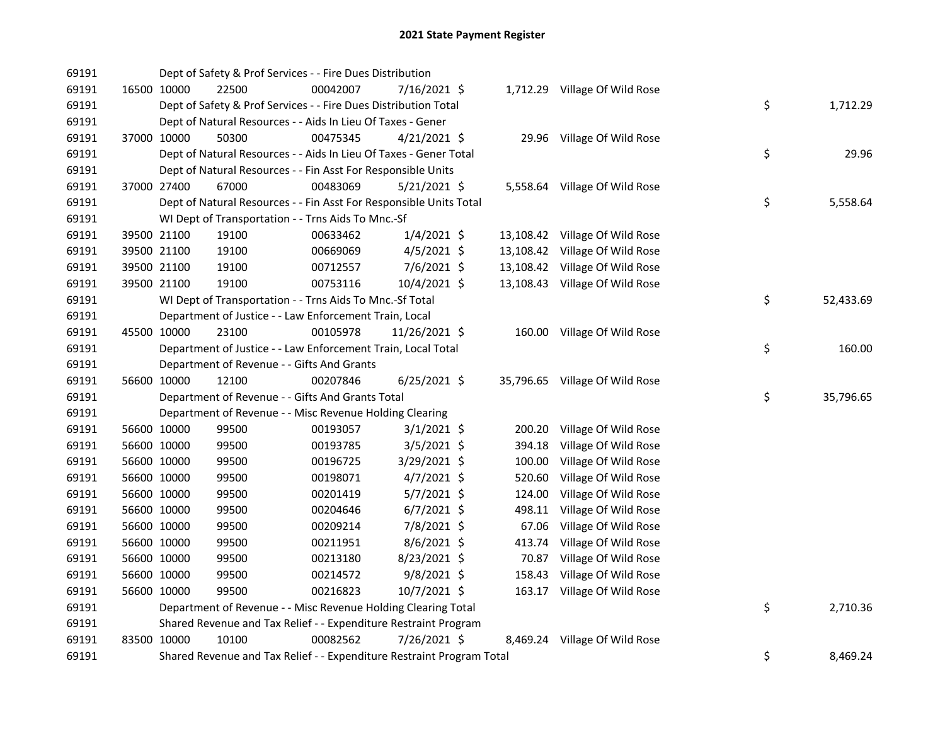| 69191 |             | Dept of Safety & Prof Services - - Fire Dues Distribution          |          |                |        |                                |    |           |
|-------|-------------|--------------------------------------------------------------------|----------|----------------|--------|--------------------------------|----|-----------|
| 69191 | 16500 10000 | 22500                                                              | 00042007 | 7/16/2021 \$   |        | 1,712.29 Village Of Wild Rose  |    |           |
| 69191 |             | Dept of Safety & Prof Services - - Fire Dues Distribution Total    |          |                |        |                                | \$ | 1,712.29  |
| 69191 |             | Dept of Natural Resources - - Aids In Lieu Of Taxes - Gener        |          |                |        |                                |    |           |
| 69191 | 37000 10000 | 50300                                                              | 00475345 | $4/21/2021$ \$ |        | 29.96 Village Of Wild Rose     |    |           |
| 69191 |             | Dept of Natural Resources - - Aids In Lieu Of Taxes - Gener Total  |          |                |        |                                | \$ | 29.96     |
| 69191 |             | Dept of Natural Resources - - Fin Asst For Responsible Units       |          |                |        |                                |    |           |
| 69191 | 37000 27400 | 67000                                                              | 00483069 | 5/21/2021 \$   |        | 5,558.64 Village Of Wild Rose  |    |           |
| 69191 |             | Dept of Natural Resources - - Fin Asst For Responsible Units Total |          |                |        |                                | \$ | 5,558.64  |
| 69191 |             | WI Dept of Transportation - - Trns Aids To Mnc.-Sf                 |          |                |        |                                |    |           |
| 69191 | 39500 21100 | 19100                                                              | 00633462 | $1/4/2021$ \$  |        | 13,108.42 Village Of Wild Rose |    |           |
| 69191 | 39500 21100 | 19100                                                              | 00669069 | $4/5/2021$ \$  |        | 13,108.42 Village Of Wild Rose |    |           |
| 69191 | 39500 21100 | 19100                                                              | 00712557 | 7/6/2021 \$    |        | 13,108.42 Village Of Wild Rose |    |           |
| 69191 | 39500 21100 | 19100                                                              | 00753116 | 10/4/2021 \$   |        | 13,108.43 Village Of Wild Rose |    |           |
| 69191 |             | WI Dept of Transportation - - Trns Aids To Mnc.-Sf Total           |          |                |        |                                | \$ | 52,433.69 |
| 69191 |             | Department of Justice - - Law Enforcement Train, Local             |          |                |        |                                |    |           |
| 69191 | 45500 10000 | 23100                                                              | 00105978 | 11/26/2021 \$  |        | 160.00 Village Of Wild Rose    |    |           |
| 69191 |             | Department of Justice - - Law Enforcement Train, Local Total       |          |                |        |                                | \$ | 160.00    |
| 69191 |             | Department of Revenue - - Gifts And Grants                         |          |                |        |                                |    |           |
| 69191 | 56600 10000 | 12100                                                              | 00207846 | 6/25/2021 \$   |        | 35,796.65 Village Of Wild Rose |    |           |
| 69191 |             | Department of Revenue - - Gifts And Grants Total                   |          |                |        |                                | \$ | 35,796.65 |
| 69191 |             | Department of Revenue - - Misc Revenue Holding Clearing            |          |                |        |                                |    |           |
| 69191 | 56600 10000 | 99500                                                              | 00193057 | $3/1/2021$ \$  | 200.20 | Village Of Wild Rose           |    |           |
| 69191 | 56600 10000 | 99500                                                              | 00193785 | $3/5/2021$ \$  | 394.18 | Village Of Wild Rose           |    |           |
| 69191 | 56600 10000 | 99500                                                              | 00196725 | 3/29/2021 \$   | 100.00 | Village Of Wild Rose           |    |           |
| 69191 | 56600 10000 | 99500                                                              | 00198071 | 4/7/2021 \$    | 520.60 | Village Of Wild Rose           |    |           |
| 69191 | 56600 10000 | 99500                                                              | 00201419 | $5/7/2021$ \$  | 124.00 | Village Of Wild Rose           |    |           |
| 69191 | 56600 10000 | 99500                                                              | 00204646 | $6/7/2021$ \$  | 498.11 | Village Of Wild Rose           |    |           |
| 69191 | 56600 10000 | 99500                                                              | 00209214 | 7/8/2021 \$    | 67.06  | Village Of Wild Rose           |    |           |
| 69191 | 56600 10000 | 99500                                                              | 00211951 | 8/6/2021 \$    | 413.74 | Village Of Wild Rose           |    |           |
| 69191 | 56600 10000 | 99500                                                              | 00213180 | 8/23/2021 \$   | 70.87  | Village Of Wild Rose           |    |           |
| 69191 | 56600 10000 | 99500                                                              | 00214572 | 9/8/2021 \$    | 158.43 | Village Of Wild Rose           |    |           |
| 69191 | 56600 10000 | 99500                                                              | 00216823 | 10/7/2021 \$   |        | 163.17 Village Of Wild Rose    |    |           |
| 69191 |             | Department of Revenue - - Misc Revenue Holding Clearing Total      |          |                |        |                                | \$ | 2,710.36  |
|       |             |                                                                    |          |                |        |                                |    |           |
| 69191 |             | Shared Revenue and Tax Relief - - Expenditure Restraint Program    |          |                |        |                                |    |           |
| 69191 | 83500 10000 | 10100                                                              | 00082562 | 7/26/2021 \$   |        | 8,469.24 Village Of Wild Rose  | \$ |           |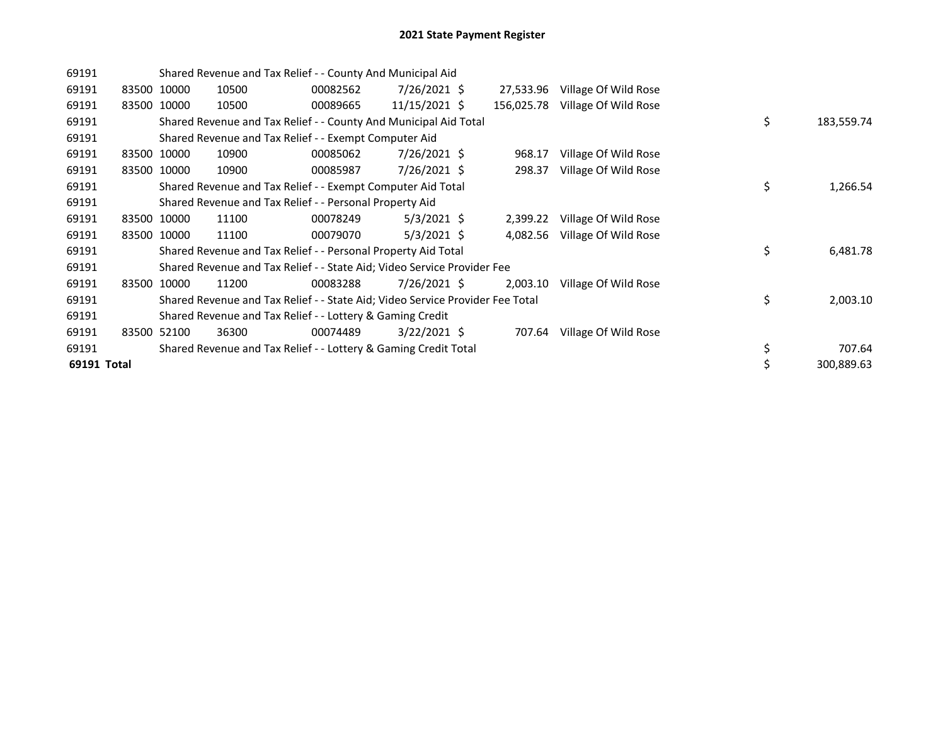| 69191       |       |             |       | Shared Revenue and Tax Relief - - County And Municipal Aid                    |                |            |                      |                  |
|-------------|-------|-------------|-------|-------------------------------------------------------------------------------|----------------|------------|----------------------|------------------|
| 69191       |       | 83500 10000 | 10500 | 00082562                                                                      | 7/26/2021 \$   | 27,533.96  | Village Of Wild Rose |                  |
| 69191       |       | 83500 10000 | 10500 | 00089665                                                                      | 11/15/2021 \$  | 156,025.78 | Village Of Wild Rose |                  |
| 69191       |       |             |       | Shared Revenue and Tax Relief - - County And Municipal Aid Total              |                |            |                      | \$<br>183,559.74 |
| 69191       |       |             |       | Shared Revenue and Tax Relief - - Exempt Computer Aid                         |                |            |                      |                  |
| 69191       |       | 83500 10000 | 10900 | 00085062                                                                      | $7/26/2021$ \$ | 968.17     | Village Of Wild Rose |                  |
| 69191       |       | 83500 10000 | 10900 | 00085987                                                                      | 7/26/2021 \$   | 298.37     | Village Of Wild Rose |                  |
| 69191       |       |             |       | Shared Revenue and Tax Relief - - Exempt Computer Aid Total                   |                |            |                      | \$<br>1,266.54   |
| 69191       |       |             |       | Shared Revenue and Tax Relief - - Personal Property Aid                       |                |            |                      |                  |
| 69191       |       | 83500 10000 | 11100 | 00078249                                                                      | $5/3/2021$ \$  | 2,399.22   | Village Of Wild Rose |                  |
| 69191       |       | 83500 10000 | 11100 | 00079070                                                                      | $5/3/2021$ \$  | 4,082.56   | Village Of Wild Rose |                  |
| 69191       |       |             |       | Shared Revenue and Tax Relief - - Personal Property Aid Total                 |                |            |                      | \$<br>6,481.78   |
| 69191       |       |             |       | Shared Revenue and Tax Relief - - State Aid; Video Service Provider Fee       |                |            |                      |                  |
| 69191       | 83500 | 10000       | 11200 | 00083288                                                                      | 7/26/2021 \$   | 2,003.10   | Village Of Wild Rose |                  |
| 69191       |       |             |       | Shared Revenue and Tax Relief - - State Aid; Video Service Provider Fee Total |                |            |                      | \$<br>2,003.10   |
| 69191       |       |             |       | Shared Revenue and Tax Relief - - Lottery & Gaming Credit                     |                |            |                      |                  |
| 69191       |       | 83500 52100 | 36300 | 00074489                                                                      | $3/22/2021$ \$ | 707.64     | Village Of Wild Rose |                  |
| 69191       |       |             |       | Shared Revenue and Tax Relief - - Lottery & Gaming Credit Total               |                |            |                      | \$<br>707.64     |
| 69191 Total |       |             |       |                                                                               |                |            |                      | 300,889.63       |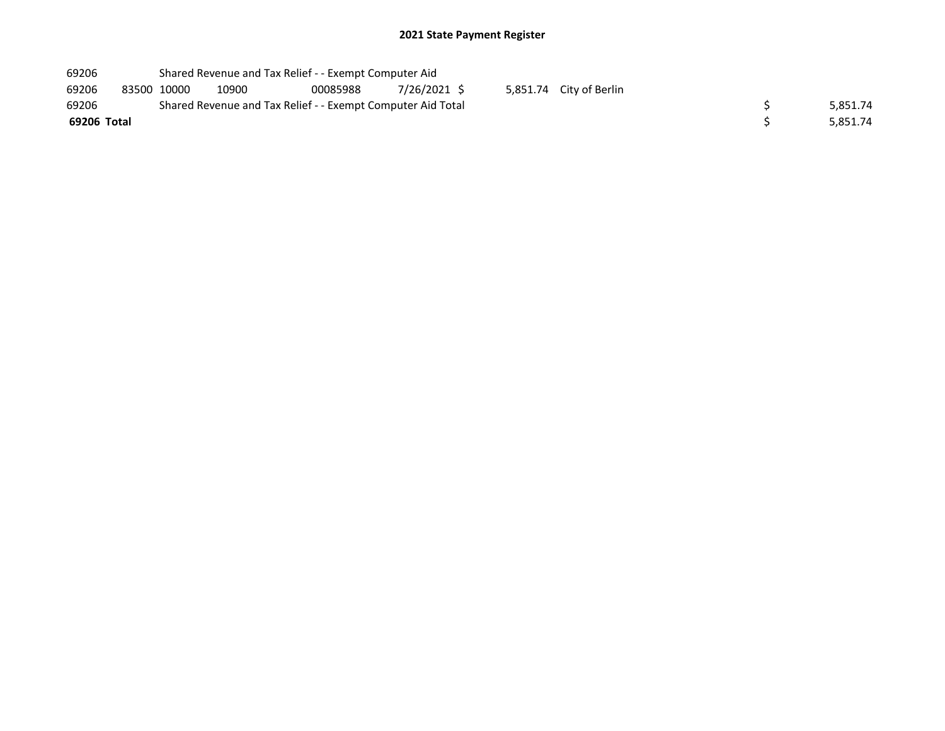| 69206       |             | Shared Revenue and Tax Relief - - Exempt Computer Aid       |          |              |  |                         |  |          |
|-------------|-------------|-------------------------------------------------------------|----------|--------------|--|-------------------------|--|----------|
| 69206       | 83500 10000 | 10900                                                       | 00085988 | 7/26/2021 \$ |  | 5,851.74 City of Berlin |  |          |
| 69206       |             | Shared Revenue and Tax Relief - - Exempt Computer Aid Total |          |              |  |                         |  | 5,851.74 |
| 69206 Total |             |                                                             |          |              |  |                         |  | 5,851.74 |
|             |             |                                                             |          |              |  |                         |  |          |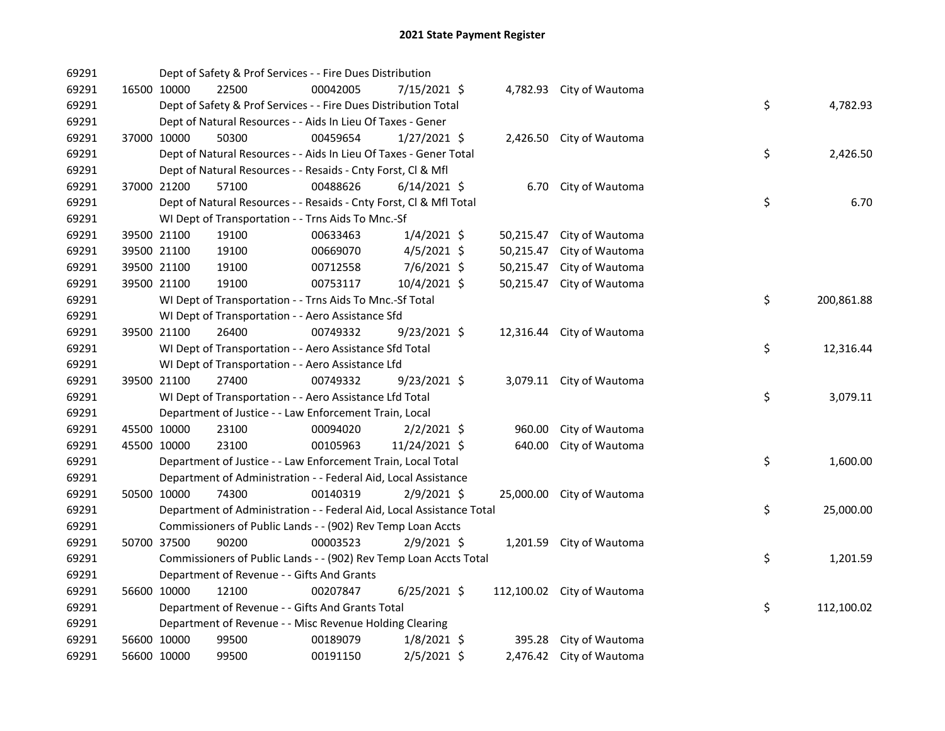| 69291 |             | Dept of Safety & Prof Services - - Fire Dues Distribution            |          |                |           |                            |    |            |
|-------|-------------|----------------------------------------------------------------------|----------|----------------|-----------|----------------------------|----|------------|
| 69291 | 16500 10000 | 22500                                                                | 00042005 | 7/15/2021 \$   |           | 4,782.93 City of Wautoma   |    |            |
| 69291 |             | Dept of Safety & Prof Services - - Fire Dues Distribution Total      |          |                |           |                            | \$ | 4,782.93   |
| 69291 |             | Dept of Natural Resources - - Aids In Lieu Of Taxes - Gener          |          |                |           |                            |    |            |
| 69291 | 37000 10000 | 50300                                                                | 00459654 | $1/27/2021$ \$ |           | 2,426.50 City of Wautoma   |    |            |
| 69291 |             | Dept of Natural Resources - - Aids In Lieu Of Taxes - Gener Total    |          |                |           |                            | \$ | 2,426.50   |
| 69291 |             | Dept of Natural Resources - - Resaids - Cnty Forst, Cl & Mfl         |          |                |           |                            |    |            |
| 69291 | 37000 21200 | 57100                                                                | 00488626 | $6/14/2021$ \$ |           | 6.70 City of Wautoma       |    |            |
| 69291 |             | Dept of Natural Resources - - Resaids - Cnty Forst, CI & Mfl Total   |          |                |           |                            | \$ | 6.70       |
| 69291 |             | WI Dept of Transportation - - Trns Aids To Mnc.-Sf                   |          |                |           |                            |    |            |
| 69291 | 39500 21100 | 19100                                                                | 00633463 | $1/4/2021$ \$  | 50,215.47 | City of Wautoma            |    |            |
| 69291 | 39500 21100 | 19100                                                                | 00669070 | $4/5/2021$ \$  | 50,215.47 | City of Wautoma            |    |            |
| 69291 | 39500 21100 | 19100                                                                | 00712558 | $7/6/2021$ \$  | 50,215.47 | City of Wautoma            |    |            |
| 69291 | 39500 21100 | 19100                                                                | 00753117 | 10/4/2021 \$   | 50,215.47 | City of Wautoma            |    |            |
| 69291 |             | WI Dept of Transportation - - Trns Aids To Mnc.-Sf Total             |          |                |           |                            | \$ | 200,861.88 |
| 69291 |             | WI Dept of Transportation - - Aero Assistance Sfd                    |          |                |           |                            |    |            |
| 69291 | 39500 21100 | 26400                                                                | 00749332 | $9/23/2021$ \$ |           | 12,316.44 City of Wautoma  |    |            |
| 69291 |             | WI Dept of Transportation - - Aero Assistance Sfd Total              |          |                |           |                            | \$ | 12,316.44  |
| 69291 |             | WI Dept of Transportation - - Aero Assistance Lfd                    |          |                |           |                            |    |            |
| 69291 | 39500 21100 | 27400                                                                | 00749332 | 9/23/2021 \$   |           | 3,079.11 City of Wautoma   |    |            |
| 69291 |             | WI Dept of Transportation - - Aero Assistance Lfd Total              |          |                |           |                            | \$ | 3,079.11   |
| 69291 |             | Department of Justice - - Law Enforcement Train, Local               |          |                |           |                            |    |            |
| 69291 | 45500 10000 | 23100                                                                | 00094020 | $2/2/2021$ \$  | 960.00    | City of Wautoma            |    |            |
| 69291 | 45500 10000 | 23100                                                                | 00105963 | 11/24/2021 \$  | 640.00    | City of Wautoma            |    |            |
| 69291 |             | Department of Justice - - Law Enforcement Train, Local Total         |          |                |           |                            | \$ | 1,600.00   |
| 69291 |             | Department of Administration - - Federal Aid, Local Assistance       |          |                |           |                            |    |            |
| 69291 | 50500 10000 | 74300                                                                | 00140319 | $2/9/2021$ \$  |           | 25,000.00 City of Wautoma  |    |            |
| 69291 |             | Department of Administration - - Federal Aid, Local Assistance Total |          |                |           |                            | \$ | 25,000.00  |
| 69291 |             | Commissioners of Public Lands - - (902) Rev Temp Loan Accts          |          |                |           |                            |    |            |
| 69291 | 50700 37500 | 90200                                                                | 00003523 | $2/9/2021$ \$  |           | 1,201.59 City of Wautoma   |    |            |
| 69291 |             | Commissioners of Public Lands - - (902) Rev Temp Loan Accts Total    |          |                |           |                            | \$ | 1,201.59   |
| 69291 |             | Department of Revenue - - Gifts And Grants                           |          |                |           |                            |    |            |
| 69291 | 56600 10000 | 12100                                                                | 00207847 | $6/25/2021$ \$ |           | 112,100.02 City of Wautoma |    |            |
| 69291 |             | Department of Revenue - - Gifts And Grants Total                     |          |                |           |                            | \$ | 112,100.02 |
| 69291 |             | Department of Revenue - - Misc Revenue Holding Clearing              |          |                |           |                            |    |            |
| 69291 | 56600 10000 | 99500                                                                | 00189079 | $1/8/2021$ \$  |           | 395.28 City of Wautoma     |    |            |
| 69291 | 56600 10000 | 99500                                                                | 00191150 | $2/5/2021$ \$  |           | 2,476.42 City of Wautoma   |    |            |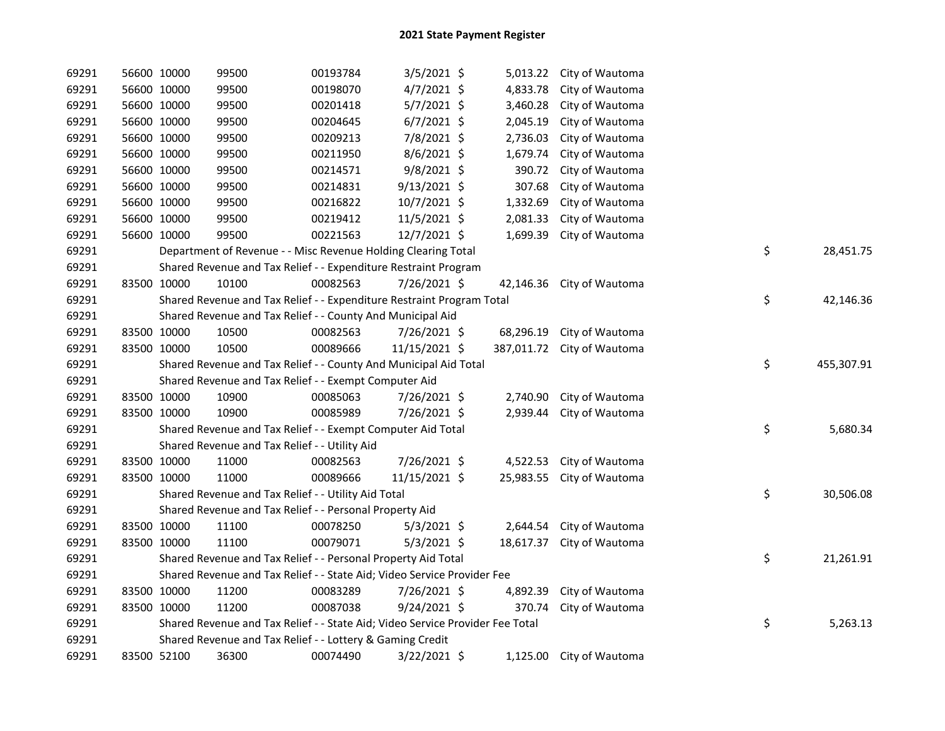| 69291 | 56600 10000 | 99500                                                                         | 00193784 | $3/5/2021$ \$  |            | 5,013.22 City of Wautoma |    |            |
|-------|-------------|-------------------------------------------------------------------------------|----------|----------------|------------|--------------------------|----|------------|
| 69291 | 56600 10000 | 99500                                                                         | 00198070 | 4/7/2021 \$    | 4,833.78   | City of Wautoma          |    |            |
| 69291 | 56600 10000 | 99500                                                                         | 00201418 | $5/7/2021$ \$  | 3,460.28   | City of Wautoma          |    |            |
| 69291 | 56600 10000 | 99500                                                                         | 00204645 | $6/7/2021$ \$  | 2,045.19   | City of Wautoma          |    |            |
| 69291 | 56600 10000 | 99500                                                                         | 00209213 | 7/8/2021 \$    | 2,736.03   | City of Wautoma          |    |            |
| 69291 | 56600 10000 | 99500                                                                         | 00211950 | $8/6/2021$ \$  | 1,679.74   | City of Wautoma          |    |            |
| 69291 | 56600 10000 | 99500                                                                         | 00214571 | 9/8/2021 \$    | 390.72     | City of Wautoma          |    |            |
| 69291 | 56600 10000 | 99500                                                                         | 00214831 | $9/13/2021$ \$ | 307.68     | City of Wautoma          |    |            |
| 69291 | 56600 10000 | 99500                                                                         | 00216822 | 10/7/2021 \$   | 1,332.69   | City of Wautoma          |    |            |
| 69291 | 56600 10000 | 99500                                                                         | 00219412 | 11/5/2021 \$   | 2,081.33   | City of Wautoma          |    |            |
| 69291 | 56600 10000 | 99500                                                                         | 00221563 | 12/7/2021 \$   | 1,699.39   | City of Wautoma          |    |            |
| 69291 |             | Department of Revenue - - Misc Revenue Holding Clearing Total                 |          |                |            |                          | \$ | 28,451.75  |
| 69291 |             | Shared Revenue and Tax Relief - - Expenditure Restraint Program               |          |                |            |                          |    |            |
| 69291 | 83500 10000 | 10100                                                                         | 00082563 | 7/26/2021 \$   | 42,146.36  | City of Wautoma          |    |            |
| 69291 |             | Shared Revenue and Tax Relief - - Expenditure Restraint Program Total         |          |                |            |                          | \$ | 42,146.36  |
| 69291 |             | Shared Revenue and Tax Relief - - County And Municipal Aid                    |          |                |            |                          |    |            |
| 69291 | 83500 10000 | 10500                                                                         | 00082563 | 7/26/2021 \$   | 68,296.19  | City of Wautoma          |    |            |
| 69291 | 83500 10000 | 10500                                                                         | 00089666 | 11/15/2021 \$  | 387,011.72 | City of Wautoma          |    |            |
| 69291 |             | Shared Revenue and Tax Relief - - County And Municipal Aid Total              |          |                |            |                          | \$ | 455,307.91 |
| 69291 |             | Shared Revenue and Tax Relief - - Exempt Computer Aid                         |          |                |            |                          |    |            |
| 69291 | 83500 10000 | 10900                                                                         | 00085063 | 7/26/2021 \$   | 2,740.90   | City of Wautoma          |    |            |
| 69291 | 83500 10000 | 10900                                                                         | 00085989 | 7/26/2021 \$   | 2,939.44   | City of Wautoma          |    |            |
| 69291 |             | Shared Revenue and Tax Relief - - Exempt Computer Aid Total                   |          |                |            |                          | \$ | 5,680.34   |
| 69291 |             | Shared Revenue and Tax Relief - - Utility Aid                                 |          |                |            |                          |    |            |
| 69291 | 83500 10000 | 11000                                                                         | 00082563 | 7/26/2021 \$   | 4,522.53   | City of Wautoma          |    |            |
| 69291 | 83500 10000 | 11000                                                                         | 00089666 | 11/15/2021 \$  | 25,983.55  | City of Wautoma          |    |            |
| 69291 |             | Shared Revenue and Tax Relief - - Utility Aid Total                           |          |                |            |                          | \$ | 30,506.08  |
| 69291 |             | Shared Revenue and Tax Relief - - Personal Property Aid                       |          |                |            |                          |    |            |
| 69291 | 83500 10000 | 11100                                                                         | 00078250 | $5/3/2021$ \$  |            | 2,644.54 City of Wautoma |    |            |
| 69291 | 83500 10000 | 11100                                                                         | 00079071 | $5/3/2021$ \$  | 18,617.37  | City of Wautoma          |    |            |
| 69291 |             | Shared Revenue and Tax Relief - - Personal Property Aid Total                 |          |                |            |                          | \$ | 21,261.91  |
| 69291 |             | Shared Revenue and Tax Relief - - State Aid; Video Service Provider Fee       |          |                |            |                          |    |            |
| 69291 | 83500 10000 | 11200                                                                         | 00083289 | 7/26/2021 \$   | 4,892.39   | City of Wautoma          |    |            |
| 69291 | 83500 10000 | 11200                                                                         | 00087038 | $9/24/2021$ \$ | 370.74     | City of Wautoma          |    |            |
| 69291 |             | Shared Revenue and Tax Relief - - State Aid; Video Service Provider Fee Total |          |                |            |                          | \$ | 5,263.13   |
| 69291 |             | Shared Revenue and Tax Relief - - Lottery & Gaming Credit                     |          |                |            |                          |    |            |
| 69291 | 83500 52100 | 36300                                                                         | 00074490 | $3/22/2021$ \$ |            | 1,125.00 City of Wautoma |    |            |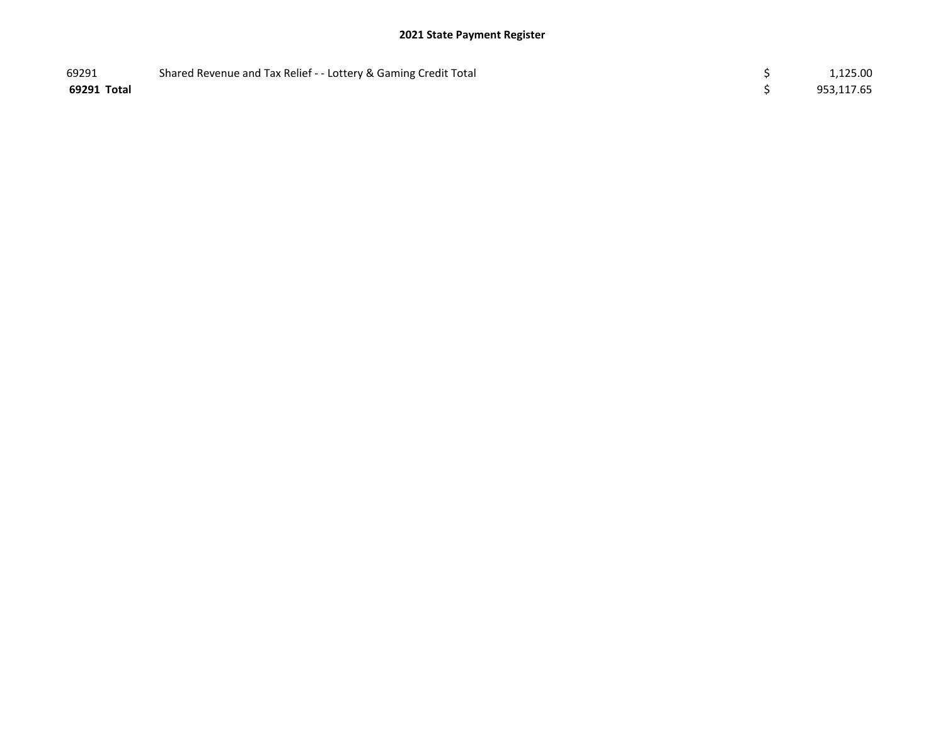| 69291       | Shared Revenue and Tax Relief - - Lottery & Gaming Credit Total | 1,125.00   |
|-------------|-----------------------------------------------------------------|------------|
| 69291 Total |                                                                 | 953,117.65 |